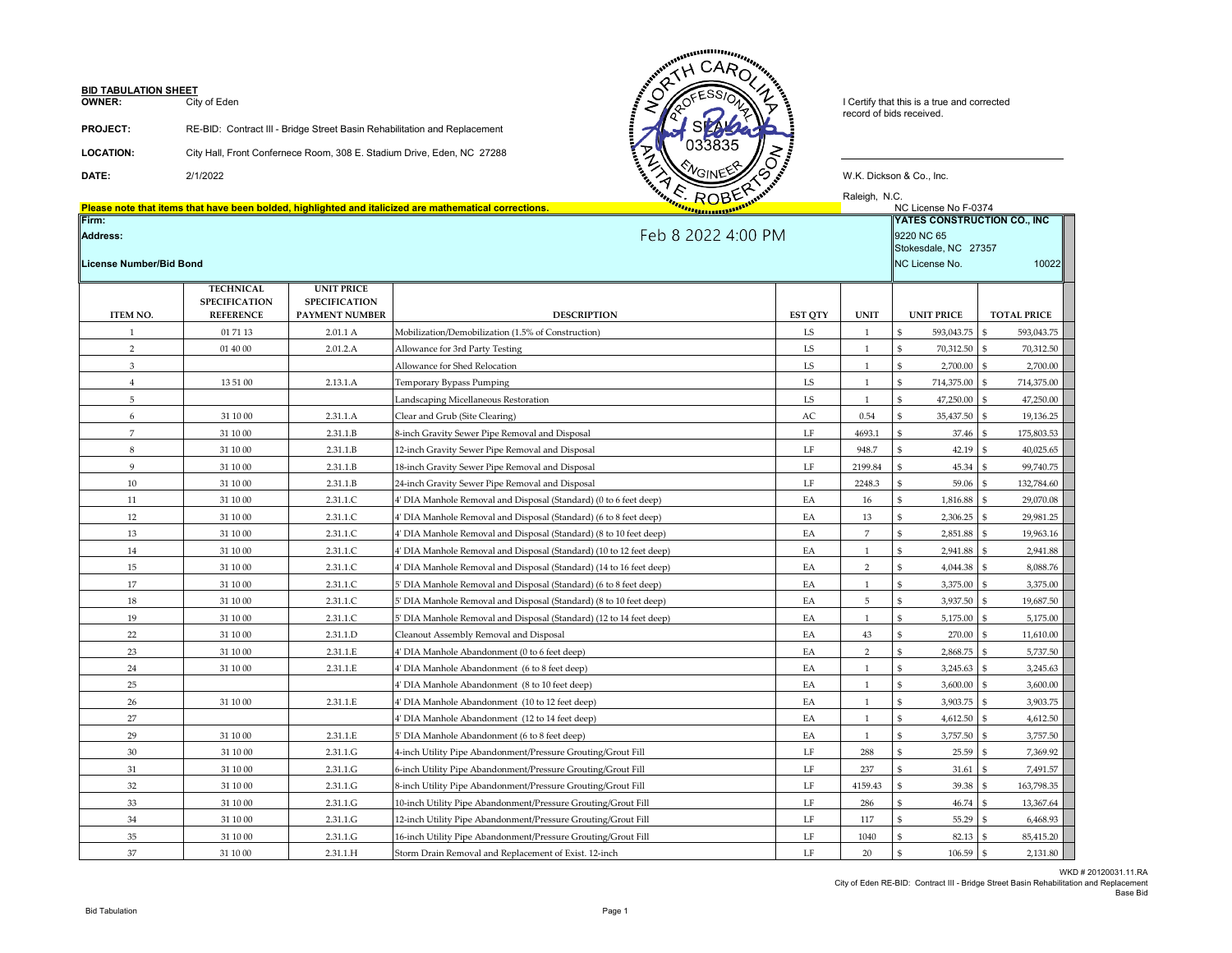# **BID TABULATION SHEET**<br>**OWNER:** City

City of Eden

| <b>PROJECT:</b>  | RE-BID: Contract III - Bridge Street Basin Rehabilitation and Replacement |
|------------------|---------------------------------------------------------------------------|
| <b>LOCATION:</b> | City Hall, Front Confernece Room, 308 E. Stadium Drive, Eden, NC 27288    |

**Please note that items that have been bolded, highlighted and italicized are mathematical corrections.** NC License No F-0374





Raleigh, N.C.<br>KC License No F-0374

| Address:<br>License Number/Bid Bond |                                                              |                                                             | <b>Feb 8 2022 4:00 PM</b><br>9220 NC 65<br>Stokesdale, NC 27357<br>NC License No. |                |                |                          |                            |
|-------------------------------------|--------------------------------------------------------------|-------------------------------------------------------------|-----------------------------------------------------------------------------------|----------------|----------------|--------------------------|----------------------------|
| <b>ITEM NO.</b>                     | <b>TECHNICAL</b><br><b>SPECIFICATION</b><br><b>REFERENCE</b> | <b>UNIT PRICE</b><br><b>SPECIFICATION</b><br>PAYMENT NUMBER | <b>DESCRIPTION</b>                                                                | <b>EST QTY</b> | <b>UNIT</b>    | <b>UNIT PRICE</b>        | <b>TOTAL PRICE</b>         |
| 1                                   | 01 71 13                                                     | 2.01.1 A                                                    | Mobilization/Demobilization (1.5% of Construction)                                | LS             | 1              | \$<br>593,043.75         | 593,043.75<br>\$           |
| $\overline{2}$                      | 01 40 00                                                     | 2.01.2.A                                                    | Allowance for 3rd Party Testing                                                   | LS             | 1              | \$<br>70,312.50          | \$<br>70,312.50            |
| $\mathbf{3}$                        |                                                              |                                                             | Allowance for Shed Relocation                                                     | LS             |                | \$<br>2,700.00           | $\mathbf{\$}$<br>2,700.00  |
| $\overline{4}$                      | 13 51 00                                                     | 2.13.1.A                                                    | Temporary Bypass Pumping                                                          | LS             |                | \$<br>714,375.00         | \$<br>714,375.00           |
| 5                                   |                                                              |                                                             | Landscaping Micellaneous Restoration                                              | LS             |                | \$<br>47,250.00          | \$<br>47,250.00            |
| 6                                   | 31 10 00                                                     | 2.31.1.A                                                    | Clear and Grub (Site Clearing)                                                    | AC             | 0.54           | 35,437.50<br>\$          | $\mathbf{\$}$<br>19,136.25 |
| $\overline{7}$                      | 31 10 00                                                     | 2.31.1.B                                                    | 8-inch Gravity Sewer Pipe Removal and Disposal                                    | LF             | 4693.1         | \$<br>37.46              | \$<br>175,803.53           |
| 8                                   | 31 10 00                                                     | 2.31.1.B                                                    | 12-inch Gravity Sewer Pipe Removal and Disposal                                   | LF             | 948.7          | \$<br>42.19              | \$<br>40,025.65            |
| 9                                   | 31 10 00                                                     | 2.31.1.B                                                    | 18-inch Gravity Sewer Pipe Removal and Disposal                                   | LF             | 2199.84        | \$<br>45.34              | \$<br>99,740.75            |
| 10                                  | 31 10 00                                                     | 2.31.1.B                                                    | 24-inch Gravity Sewer Pipe Removal and Disposal                                   | $\rm LF$       | 2248.3         | \$<br>59.06              | 132,784.60<br>\$           |
| 11                                  | 31 10 00                                                     | 2.31.1.C                                                    | 4' DIA Manhole Removal and Disposal (Standard) (0 to 6 feet deep)                 | EA             | 16             | \$<br>1,816.88           | \$<br>29,070.08            |
| 12                                  | 31 10 00                                                     | 2.31.1.C                                                    | 4' DIA Manhole Removal and Disposal (Standard) (6 to 8 feet deep)                 | EA             | 13             | \$<br>2,306.25           | \$<br>29,981.25            |
| 13                                  | 31 10 00                                                     | 2.31.1.C                                                    | 4' DIA Manhole Removal and Disposal (Standard) (8 to 10 feet deep)                | EA             | $\overline{7}$ | 2,851.88<br>\$           | \$<br>19,963.16            |
| 14                                  | 31 10 00                                                     | 2.31.1.C                                                    | 4' DIA Manhole Removal and Disposal (Standard) (10 to 12 feet deep)               | EA             | $\mathbf{1}$   | \$<br>2,941.88           | \$<br>2,941.88             |
| 15                                  | 31 10 00                                                     | 2.31.1.C                                                    | 4' DIA Manhole Removal and Disposal (Standard) (14 to 16 feet deep)               | EA             | 2              | \$<br>4,044.38           | $\mathbf{s}$<br>8,088.76   |
| 17                                  | 31 10 00                                                     | 2.31.1.C                                                    | 5' DIA Manhole Removal and Disposal (Standard) (6 to 8 feet deep)                 | EA             |                | 3,375.00<br>\$           | \$<br>3,375.00             |
| 18                                  | 31 10 00                                                     | 2.31.1.C                                                    | 5' DIA Manhole Removal and Disposal (Standard) (8 to 10 feet deep)                | EA             | 5              | \$<br>3,937.50           | \$<br>19,687.50            |
| 19                                  | 31 10 00                                                     | 2.31.1.C                                                    | 5' DIA Manhole Removal and Disposal (Standard) (12 to 14 feet deep)               | EA             |                | 5,175.00<br>\$           | \$<br>5,175.00             |
| 22                                  | 31 10 00                                                     | 2.31.1.D                                                    | Cleanout Assembly Removal and Disposal                                            | EA             | 43             | 270.00<br>\$             | \$<br>11,610.00            |
| 23                                  | 31 10 00                                                     | 2.31.1.E                                                    | 4' DIA Manhole Abandonment (0 to 6 feet deep)                                     | EA             | 2              | \$<br>2,868.75           | $\mathbf{\$}$<br>5,737.50  |
| 24                                  | 31 10 00                                                     | 2.31.1.E                                                    | 4' DIA Manhole Abandonment (6 to 8 feet deep)                                     | EA             |                | 3,245.63<br>\$           | \$<br>3,245.63             |
| 25                                  |                                                              |                                                             | 4' DIA Manhole Abandonment (8 to 10 feet deep)                                    | EA             |                | \$<br>3,600.00           | \$<br>3,600.00             |
| 26                                  | 31 10 00                                                     | 2.31.1.E                                                    | 4' DIA Manhole Abandonment (10 to 12 feet deep)                                   | EA             |                | \$<br>3,903.75           | \$<br>3,903.75             |
| 27                                  |                                                              |                                                             | 4' DIA Manhole Abandonment (12 to 14 feet deep)                                   | EA             |                | \$<br>4,612.50           | \$<br>4,612.50             |
| 29                                  | 31 10 00                                                     | 2.31.1.E                                                    | 5' DIA Manhole Abandonment (6 to 8 feet deep)                                     | EA             |                | \$<br>3,757.50           | \$<br>3,757.50             |
| 30                                  | 31 10 00                                                     | 2.31.1.G                                                    | 4-inch Utility Pipe Abandonment/Pressure Grouting/Grout Fill                      | LF             | 288            | 25.59                    | 7,369.92                   |
| 31                                  | 31 10 00                                                     | 2.31.1.G                                                    | 6-inch Utility Pipe Abandonment/Pressure Grouting/Grout Fill                      | $\rm LF$       | 237            | 31.61<br>\$              | 7,491.57<br>\$             |
| 32                                  | 31 10 00                                                     | 2.31.1.G                                                    | 8-inch Utility Pipe Abandonment/Pressure Grouting/Grout Fill                      | LF             | 4159.43        | 39.38<br>\$              | \$<br>163,798.35           |
| 33                                  | 31 10 00                                                     | 2.31.1.G                                                    | 10-inch Utility Pipe Abandonment/Pressure Grouting/Grout Fill                     | LF             | 286            | 46.74<br>\$              | \$<br>13,367.64            |
| 34                                  | 31 10 00                                                     | 2.31.1.G                                                    | 12-inch Utility Pipe Abandonment/Pressure Grouting/Grout Fill                     | $\rm LF$       | 117            | 55.29<br>\$              | \$<br>6,468.93             |
| 35                                  | 31 10 00                                                     | 2.31.1.G                                                    | 16-inch Utility Pipe Abandonment/Pressure Grouting/Grout Fill                     | LF             | 1040           | \$<br>82.13              | 85,415.20<br>\$            |
| 37                                  | 31 10 00                                                     | 2.31.1.H                                                    | Storm Drain Removal and Replacement of Exist. 12-inch                             | LF             | 20             | $\mathfrak{s}$<br>106.59 | $\mathfrak{s}$<br>2,131.80 |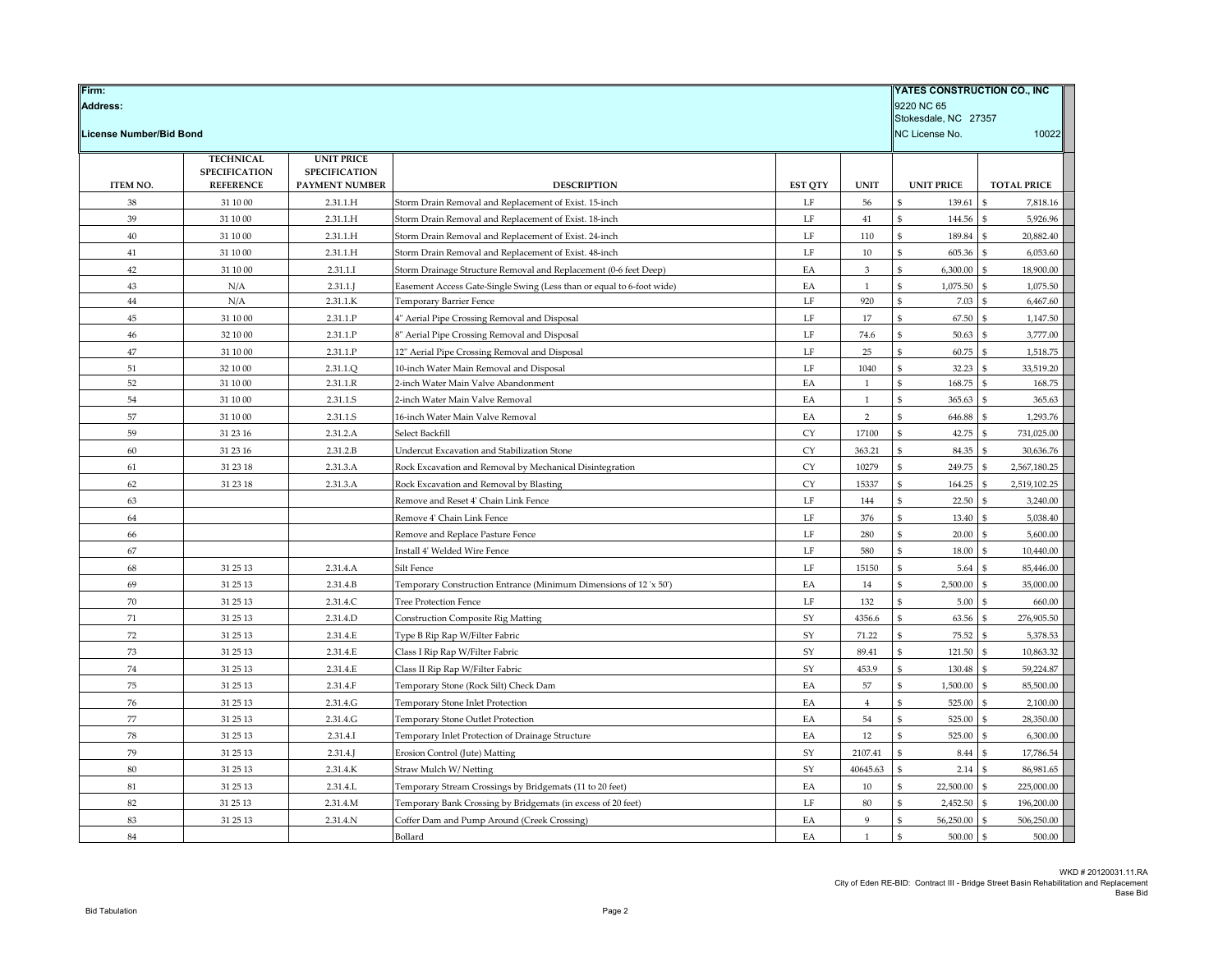| Firm:<br><b>Address:</b> |                      |                       |                                                                       |                |                | YATES CONSTRUCTION CO., INC<br>9220 NC 65 |                                 |
|--------------------------|----------------------|-----------------------|-----------------------------------------------------------------------|----------------|----------------|-------------------------------------------|---------------------------------|
|                          |                      |                       |                                                                       |                |                | Stokesdale, NC 27357                      |                                 |
| License Number/Bid Bond  |                      |                       |                                                                       |                |                | NC License No.                            | 10022                           |
|                          | <b>TECHNICAL</b>     | <b>UNIT PRICE</b>     |                                                                       |                |                |                                           |                                 |
|                          | <b>SPECIFICATION</b> | <b>SPECIFICATION</b>  |                                                                       |                |                |                                           |                                 |
| <b>ITEM NO.</b>          | <b>REFERENCE</b>     | <b>PAYMENT NUMBER</b> | <b>DESCRIPTION</b>                                                    | <b>EST QTY</b> | <b>UNIT</b>    | <b>UNIT PRICE</b>                         | <b>TOTAL PRICE</b>              |
| 38                       | 31 10 00             | 2.31.1.H              | Storm Drain Removal and Replacement of Exist. 15-inch                 | LF             | 56             | 139.61                                    | \$<br>7,818.16                  |
| 39                       | $31\;10\;00$         | 2.31.1.H              | Storm Drain Removal and Replacement of Exist. 18-inch                 | LF             | 41             | 144.56<br>\$                              | 5,926.96<br>\$                  |
| $40\,$                   | 31 10 00             | 2.31.1.H              | Storm Drain Removal and Replacement of Exist. 24-inch                 | $\rm LF$       | 110            | 189.84<br>ፍ                               | $\mathbf{\hat{s}}$<br>20,882.40 |
| 41                       | 31 10 00             | 2.31.1.H              | Storm Drain Removal and Replacement of Exist. 48-inch                 | LF             | 10             | 605.36                                    | 6,053.60                        |
| 42                       | 31 10 00             | 2.31.1.I              | Storm Drainage Structure Removal and Replacement (0-6 feet Deep)      | EA             | 3              | 6,300.00<br>\$                            | 18,900.00<br>\$                 |
| 43                       | N/A                  | $2.31.1$ .J           | Easement Access Gate-Single Swing (Less than or equal to 6-foot wide) | EA             | 1              | 1,075.50<br>ፍ                             | $\mathbf{s}$<br>1,075.50        |
| $44\,$                   | N/A                  | 2.31.1.K              | Temporary Barrier Fence                                               | $\rm LF$       | 920            | 7.03<br>\$                                | \$<br>6,467.60                  |
| 45                       | 31 10 00             | 2.31.1.P              | 4" Aerial Pipe Crossing Removal and Disposal                          | $\rm LF$       | 17             | 67.50                                     | \$<br>1,147.50                  |
| $46\,$                   | 32 10 00             | 2.31.1.P              | 8" Aerial Pipe Crossing Removal and Disposal                          | LF             | 74.6           | 50.63                                     | 3,777.00                        |
| 47                       | 31 10 00             | 2.31.1.P              | 12" Aerial Pipe Crossing Removal and Disposal                         | LF             | 25             | $\mathfrak{S}$<br>60.75                   | $\mathbf{\hat{s}}$<br>1,518.75  |
| 51                       | 32 10 00             | 2.31.1.Q              | 10-inch Water Main Removal and Disposal                               | LF             | 1040           | 32.23<br>\$                               | 33,519.20<br>-S                 |
| 52                       | 31 10 00             | 2.31.1.R              | 2-inch Water Main Valve Abandonment                                   | EA             | 1              | 168.75<br>$\mathfrak{S}$                  | \$.<br>168.75                   |
| 54                       | 31 10 00             | 2.31.1.S              | 2-inch Water Main Valve Removal                                       | EA             | $\mathbf{1}$   | ፍ<br>365.63                               | \$<br>365.63                    |
| 57                       | 31 10 00             | 2.31.1.S              | 16-inch Water Main Valve Removal                                      | EA             | $\overline{2}$ | 646.88                                    | 1,293.76<br>£,                  |
| 59                       | 31 23 16             | 2.31.2.A              | Select Backfill                                                       | CY             | 17100          | $\mathfrak{S}$<br>42.75                   | 731,025.00<br>-S                |
| 60                       | 31 23 16             | 2.31.2.B              | Undercut Excavation and Stabilization Stone                           | <b>CY</b>      | 363.21         | 84.35                                     | $\mathfrak{S}$<br>30,636.76     |
| 61                       | 31 23 18             | 2.31.3.A              | Rock Excavation and Removal by Mechanical Disintegration              | CY             | 10279          | 249.75                                    | 2,567,180.25<br>\$              |
| 62                       | 31 23 18             | 2.31.3.A              | Rock Excavation and Removal by Blasting                               | CY             | 15337          | \$<br>164.25                              | 2,519,102.25<br>\$              |
| 63                       |                      |                       | Remove and Reset 4' Chain Link Fence                                  | LF             | 144            | 22.50<br>ፍ                                | \$<br>3,240.00                  |
| 64                       |                      |                       | Remove 4' Chain Link Fence                                            | LF             | 376            | 13.40                                     | 5,038.40                        |
| 66                       |                      |                       | Remove and Replace Pasture Fence                                      | $\rm LF$       | 280            | 20.00                                     | 5,600.00<br>\$                  |
| 67                       |                      |                       | Install 4' Welded Wire Fence                                          | LF             | 580            | 18.00<br>\$                               | 10,440.00<br>$\mathfrak{S}$     |
| 68                       | 31 25 13             | 2.31.4.A              | Silt Fence                                                            | $\rm LF$       | 15150          | 5.64                                      | 85,446.00                       |
| 69                       | 31 25 13             | 2.31.4.B              | Temporary Construction Entrance (Minimum Dimensions of 12 'x 50')     | EA             | 14             | 2,500.00                                  | \$<br>35,000.00                 |
| 70                       | 31 25 13             | 2.31.4.C              | <b>Tree Protection Fence</b>                                          | LF             | 132            | 5.00<br>\$                                | 660.00<br>\$                    |
| 71                       | 31 25 13             | 2.31.4.D              | <b>Construction Composite Rig Matting</b>                             | SY             | 4356.6         | 63.56                                     | 276,905.50<br>¢                 |
| 72                       | 31 25 13             | 2.31.4.E              | Type B Rip Rap W/Filter Fabric                                        | SY             | 71.22          | \$<br>75.52                               | $\mathfrak{S}$<br>5,378.53      |
| 73                       | 31 25 13             | 2.31.4.E              | Class I Rip Rap W/Filter Fabric                                       | SY             | 89.41          | 121.50                                    | 10,863.32<br>\$                 |
| 74                       | 31 25 13             | 2.31.4.E              | Class II Rip Rap W/Filter Fabric                                      | SY             | 453.9          | 130.48<br>\$                              | \$.<br>59,224.87                |
| 75                       | 31 25 13             | 2.31.4.F              | Temporary Stone (Rock Silt) Check Dam                                 | EA             | 57             | 1,500.00<br>\$                            | \$<br>85,500.00                 |
| 76                       | 31 25 13             | 2.31.4.G              | Temporary Stone Inlet Protection                                      | EA             | $\overline{4}$ | 525.00                                    | 2,100.00                        |
| $77\,$                   | 31 25 13             | 2.31.4.G              | Temporary Stone Outlet Protection                                     | EA             | 54             | \$<br>525.00                              | \$<br>28,350.00                 |
| ${\bf 78}$               | 31 25 13             | 2.31.4.I              | Temporary Inlet Protection of Drainage Structure                      | EA             | 12             | 525.00<br>\$                              | 6,300.00<br>\$                  |
| 79                       | 31 25 13             | $2.31.4$ .J           | Erosion Control (Jute) Matting                                        | SY             | 2107.41        | 8.44                                      | 17,786.54                       |
| 80                       | 31 25 13             | 2.31.4.K              | Straw Mulch W/Netting                                                 | SY             | 40645.63       | \$<br>2.14                                | $\mathfrak{S}$<br>86,981.65     |
| $81\,$                   | 31 25 13             | 2.31.4.L              | Temporary Stream Crossings by Bridgemats (11 to 20 feet)              | EA             | $10\,$         | 22,500.00                                 | $\mathbf{s}$<br>225,000.00      |
| 82                       | 31 25 13             | 2.31.4.M              | Temporary Bank Crossing by Bridgemats (in excess of 20 feet)          | LF             | 80             | 2,452.50                                  | 196,200.00                      |
| 83                       | 31 25 13             | 2.31.4.N              | Coffer Dam and Pump Around (Creek Crossing)                           | EA             | $\mathbf{Q}$   | 56,250.00                                 | 506,250.00<br>\$                |
| 84                       |                      |                       | Bollard                                                               | EA             | $\mathbf{1}$   | 500.00<br>$\mathfrak{S}$                  | $\mathbf{\hat{s}}$<br>500.00    |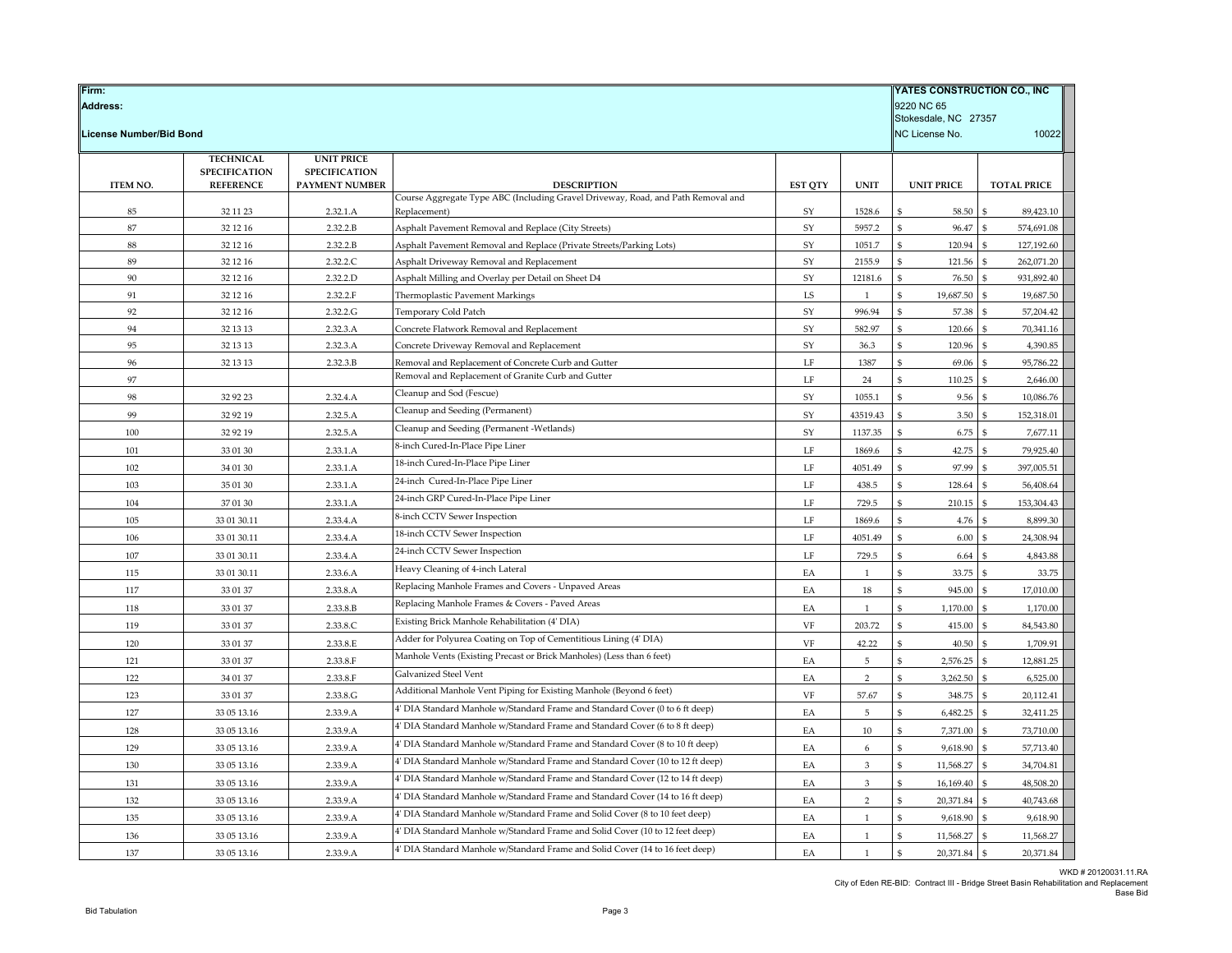| Firm:<br><b>Address:</b> |                      |                      |                                                                                                  |                |                |                             | YATES CONSTRUCTION CO., INC<br>9220 NC 65<br>Stokesdale, NC 27357 |  |  |
|--------------------------|----------------------|----------------------|--------------------------------------------------------------------------------------------------|----------------|----------------|-----------------------------|-------------------------------------------------------------------|--|--|
| License Number/Bid Bond  |                      |                      |                                                                                                  |                |                | NC License No.              | 10022                                                             |  |  |
|                          | <b>TECHNICAL</b>     | <b>UNIT PRICE</b>    |                                                                                                  |                |                |                             |                                                                   |  |  |
|                          | <b>SPECIFICATION</b> | <b>SPECIFICATION</b> |                                                                                                  |                |                |                             |                                                                   |  |  |
| <b>ITEM NO.</b>          | <b>REFERENCE</b>     | PAYMENT NUMBER       | <b>DESCRIPTION</b>                                                                               | <b>EST OTY</b> | <b>UNIT</b>    | <b>UNIT PRICE</b>           | <b>TOTAL PRICE</b>                                                |  |  |
| 85                       | 32 11 23             | 2.32.1.A             | Course Aggregate Type ABC (Including Gravel Driveway, Road, and Path Removal and<br>Replacement) | SY             | 1528.6         | \$<br>58.50                 | 89,423.10                                                         |  |  |
| 87                       | 32 12 16             | 2.32.2.B             | Asphalt Pavement Removal and Replace (City Streets)                                              | SY             | 5957.2         | \$<br>96.47                 | 574,691.08<br>$\mathfrak{S}$                                      |  |  |
| 88                       | 32 12 16             | 2.32.2.B             | Asphalt Pavement Removal and Replace (Private Streets/Parking Lots)                              | SY             | 1051.7         | \$<br>120.94                | 127,192.60                                                        |  |  |
| 89                       | 32 12 16             | 2.32.2.C             | Asphalt Driveway Removal and Replacement                                                         | ${\rm SY}$     | 2155.9         | \$<br>121.56                | 262,071.20                                                        |  |  |
| 90                       | 32 12 16             | 2.32.2.D             | Asphalt Milling and Overlay per Detail on Sheet D4                                               | SY             | 12181.6        | \$<br>76.50                 | 931,892.40                                                        |  |  |
| 91                       | 32 12 16             | 2.32.2.F             | Thermoplastic Pavement Markings                                                                  | LS             | $\mathbf{1}$   | \$<br>19,687.50             | 19,687.50<br>-9                                                   |  |  |
| 92                       | 32 12 16             | 2.32.2.G             | Temporary Cold Patch                                                                             | SY             | 996.94         | \$<br>57.38                 | 57,204.42                                                         |  |  |
| 94                       | 32 13 13             | 2.32.3.A             | Concrete Flatwork Removal and Replacement                                                        | SY             | 582.97         | \$<br>120.66                | 70,341.16                                                         |  |  |
| 95                       | 32 13 13             | 2.32.3.A             | Concrete Driveway Removal and Replacement                                                        | ${\rm SY}$     | 36.3           | \$<br>120.96                | 4,390.85                                                          |  |  |
| 96                       | 32 13 13             | 2.32.3.B             | Removal and Replacement of Concrete Curb and Gutter                                              | LF             | 1387           | \$<br>69.06                 | 95,786.22<br>£.                                                   |  |  |
| 97                       |                      |                      | Removal and Replacement of Granite Curb and Gutter                                               | LF             | 24             | \$<br>110.25                | 2,646.00                                                          |  |  |
| 98                       | 32 92 23             | 2.32.4.A             | Cleanup and Sod (Fescue)                                                                         | SY             | 1055.1         | \$<br>9.56                  | 10,086.76                                                         |  |  |
| 99                       | 32 92 19             | 2.32.5.A             | Cleanup and Seeding (Permanent)                                                                  | SY             | 43519.43       | \$<br>3.50                  | 152,318.01<br>\$.                                                 |  |  |
| 100                      | 32 92 19             | 2.32.5.A             | Cleanup and Seeding (Permanent -Wetlands)                                                        | SY             | 1137.35        | \$<br>6.75                  | 7,677.11                                                          |  |  |
| 101                      | 33 01 30             | 2.33.1.A             | 8-inch Cured-In-Place Pipe Liner                                                                 | LF             | 1869.6         | 42.75<br>\$                 | 79,925.40                                                         |  |  |
| 102                      | 34 01 30             | 2.33.1.A             | 18-inch Cured-In-Place Pipe Liner                                                                | $\rm LF$       | 4051.49        | 97.99<br>\$                 | 397,005.51<br>\$.                                                 |  |  |
| 103                      | 35 01 30             | 2.33.1.A             | 24-inch Cured-In-Place Pipe Liner                                                                | LF             | 438.5          | \$<br>128.64                | 56,408.64                                                         |  |  |
| 104                      | 37 01 30             | 2.33.1.A             | 24-inch GRP Cured-In-Place Pipe Liner                                                            | LF             | 729.5          | \$<br>210.15                | 153,304.43                                                        |  |  |
| 105                      | 33 01 30.11          | 2.33.4.A             | 8-inch CCTV Sewer Inspection                                                                     | $\rm LF$       | 1869.6         | 4.76<br>\$                  | 8,899.30                                                          |  |  |
| 106                      | 33 01 30.11          | 2.33.4.A             | 18-inch CCTV Sewer Inspection                                                                    | LF             | 4051.49        | ፍ<br>6.00                   | 24,308.94                                                         |  |  |
| 107                      | 33 01 30.11          | 2.33.4.A             | 24-inch CCTV Sewer Inspection                                                                    | LF             | 729.5          | ፍ<br>6.64                   | 4,843.88                                                          |  |  |
| 115                      | 33 01 30.11          | 2.33.6.A             | Heavy Cleaning of 4-inch Lateral                                                                 | EA             | $\mathbf{1}$   | \$<br>33.75                 | 33.75                                                             |  |  |
| 117                      | 33 01 37             | 2.33.8.A             | Replacing Manhole Frames and Covers - Unpaved Areas                                              | EA             | 18             | \$<br>945.00                | 17,010.00                                                         |  |  |
| 118                      | 33 01 37             | 2.33.8.B             | Replacing Manhole Frames & Covers - Paved Areas                                                  | EA             | $\mathbf{1}$   | ፍ<br>1,170.00               | 1,170.00<br>\$.                                                   |  |  |
| 119                      | 33 01 37             | 2.33.8.C             | Existing Brick Manhole Rehabilitation (4' DIA)                                                   | VF             | 203.72         | \$<br>415.00                | 84,543.80                                                         |  |  |
| 120                      | 33 01 37             | 2.33.8.E             | Adder for Polyurea Coating on Top of Cementitious Lining (4' DIA)                                | VF             | 42.22          | \$<br>40.50                 | 1,709.91                                                          |  |  |
| 121                      | 33 01 37             | 2.33.8.F             | Manhole Vents (Existing Precast or Brick Manholes) (Less than 6 feet)                            | EA             | $\overline{5}$ | \$<br>2,576.25              | 12,881.25                                                         |  |  |
| 122                      | 34 01 37             | 2.33.8.F             | Galvanized Steel Vent                                                                            | EA             | $\overline{2}$ | \$<br>3,262.50              | 6,525.00                                                          |  |  |
| 123                      | 33 01 37             | 2.33.8.G             | Additional Manhole Vent Piping for Existing Manhole (Beyond 6 feet)                              | VF             | 57.67          | \$<br>348.75                | 20,112.41                                                         |  |  |
| 127                      | 33 05 13.16          | 2.33.9.A             | 4' DIA Standard Manhole w/Standard Frame and Standard Cover (0 to 6 ft deep)                     | EA             | $\overline{5}$ | ፍ<br>6,482.25               | 32,411.25                                                         |  |  |
| 128                      | 33 05 13.16          | 2.33.9.A             | 4' DIA Standard Manhole w/Standard Frame and Standard Cover (6 to 8 ft deep)                     | EA             | $10\,$         | \$<br>7,371.00              | 73,710.00                                                         |  |  |
| 129                      | 33 05 13.16          | 2.33.9.A             | 4' DIA Standard Manhole w/Standard Frame and Standard Cover (8 to 10 ft deep)                    | EA             | 6              | \$<br>9,618.90              | 57,713.40<br>£.                                                   |  |  |
| 130                      | 33 05 13.16          | 2.33.9.A             | 4' DIA Standard Manhole w/Standard Frame and Standard Cover (10 to 12 ft deep)                   | EA             | 3              | \$<br>11,568.27             | 34,704.81                                                         |  |  |
| 131                      | 33 05 13.16          | 2.33.9.A             | 4' DIA Standard Manhole w/Standard Frame and Standard Cover (12 to 14 ft deep)                   | EA             | $\mathbf{3}$   | \$<br>16,169.40             | 48,508.20                                                         |  |  |
| 132                      |                      | 2.33.9.A             | 4' DIA Standard Manhole w/Standard Frame and Standard Cover (14 to 16 ft deep)                   | EA             | $\mathcal{P}$  | \$                          | \$.                                                               |  |  |
| 135                      | 33 05 13.16          |                      | 4' DIA Standard Manhole w/Standard Frame and Solid Cover (8 to 10 feet deep)                     | EA             | $\mathbf{1}$   | 20,371.84<br>\$<br>9,618.90 | 40,743.68<br>9,618.90                                             |  |  |
|                          | 33 05 13.16          | 2.33.9.A<br>2.33.9.A | 4' DIA Standard Manhole w/Standard Frame and Solid Cover (10 to 12 feet deep)                    |                | $\mathbf{1}$   | \$<br>11,568.27             | 11,568.27                                                         |  |  |
| 136                      | 33 05 13.16          |                      | 4' DIA Standard Manhole w/Standard Frame and Solid Cover (14 to 16 feet deep)                    | EA             | $\mathbf{1}$   |                             |                                                                   |  |  |
| 137                      | 33 05 13.16          | 2.33.9.A             |                                                                                                  | EA             |                | 20,371.84<br>\$             | 20,371.84<br>$\mathbf{s}$                                         |  |  |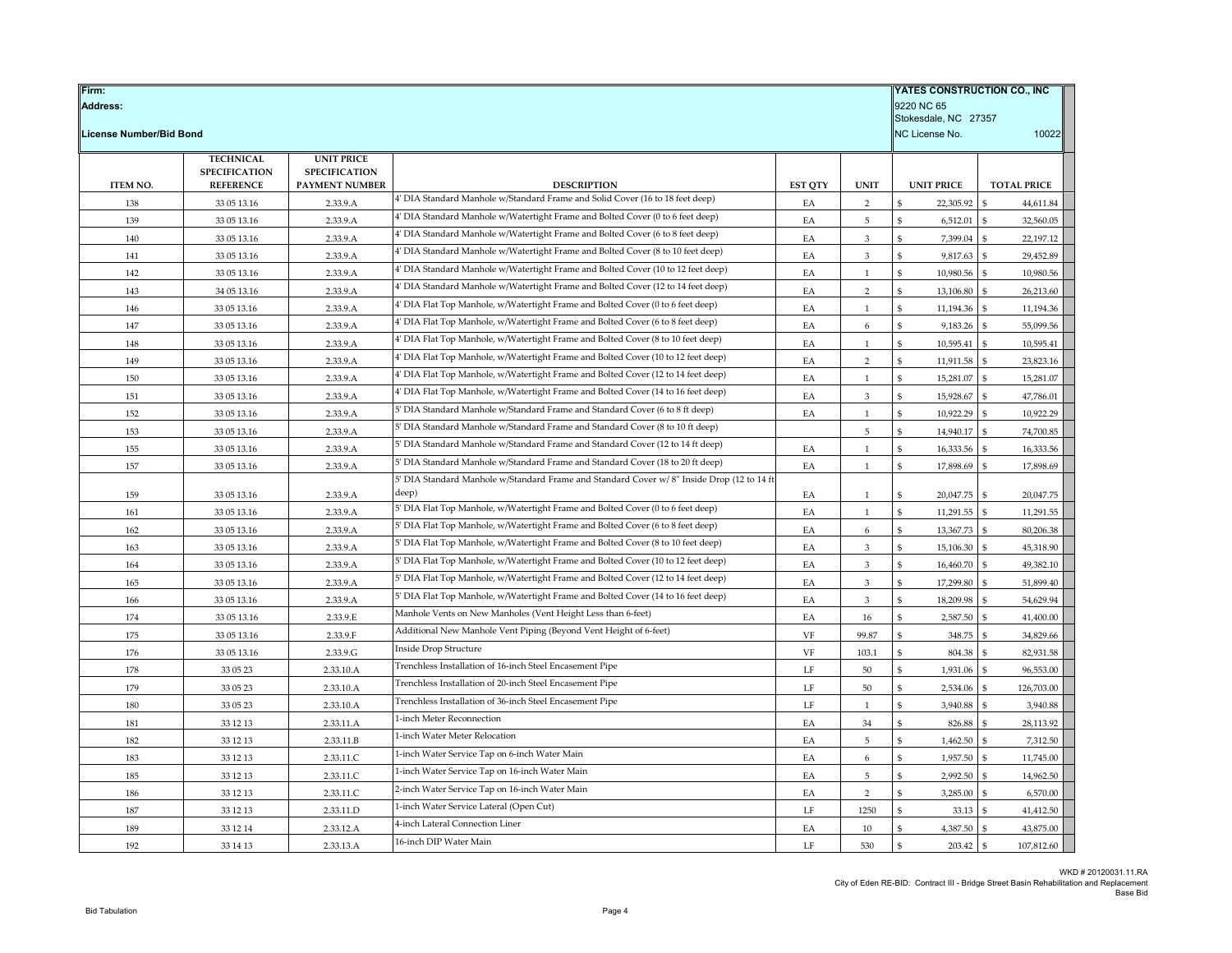| Firm:<br><b>Address:</b>       |                      | <b>YATES CONSTRUCTION CO., INC</b><br>9220 NC 65<br>Stokesdale, NC 27357 |                                                                                                     |                |                                |                       |                            |
|--------------------------------|----------------------|--------------------------------------------------------------------------|-----------------------------------------------------------------------------------------------------|----------------|--------------------------------|-----------------------|----------------------------|
| <b>License Number/Bid Bond</b> |                      |                                                                          |                                                                                                     |                |                                | NC License No.        | 10022                      |
|                                | <b>TECHNICAL</b>     | <b>UNIT PRICE</b>                                                        |                                                                                                     |                |                                |                       |                            |
|                                | <b>SPECIFICATION</b> | <b>SPECIFICATION</b>                                                     |                                                                                                     |                |                                |                       |                            |
| <b>ITEM NO.</b>                | <b>REFERENCE</b>     | PAYMENT NUMBER                                                           | <b>DESCRIPTION</b><br>4' DIA Standard Manhole w/Standard Frame and Solid Cover (16 to 18 feet deep) | <b>EST QTY</b> | <b>UNIT</b>                    | <b>UNIT PRICE</b>     | <b>TOTAL PRICE</b>         |
| 138                            | 33 05 13.16          | 2.33.9.A                                                                 | 4' DIA Standard Manhole w/Watertight Frame and Bolted Cover (0 to 6 feet deep)                      | EA             | $\overline{2}$                 | 22,305.92             | 44,611.84                  |
| 139                            | 33 05 13.16          | 2.33.9.A                                                                 | 4' DIA Standard Manhole w/Watertight Frame and Bolted Cover (6 to 8 feet deep)                      | EA             | 5                              | 6,512.01              | \$<br>32,560.05            |
| 140                            | 33 05 13.16          | 2.33.9.A                                                                 | 4' DIA Standard Manhole w/Watertight Frame and Bolted Cover (8 to 10 feet deep)                     | EA             | 3                              | 7,399.04              | \$<br>22,197.12<br>\$      |
| 141                            | 33 05 13.16          | 2.33.9.A                                                                 | 4' DIA Standard Manhole w/Watertight Frame and Bolted Cover (10 to 12 feet deep)                    | EA             | 3<br>$\overline{1}$            | 9,817.63<br>¢         | 29,452.89<br>\$.           |
| 142                            | 33 05 13.16          | 2.33.9.A                                                                 | 4' DIA Standard Manhole w/Watertight Frame and Bolted Cover (12 to 14 feet deep)                    | EA             |                                | 10,980.56<br>ፍ        | 10,980.56<br>\$            |
| 143                            | 34 05 13.16          | 2.33.9.A                                                                 | 4' DIA Flat Top Manhole, w/Watertight Frame and Bolted Cover (0 to 6 feet deep)                     | EA             | $\overline{2}$<br>$\mathbf{1}$ | 13,106.80             | 26,213.60<br>\$.           |
| 146                            | 33 05 13.16          | 2.33.9.A                                                                 | 4' DIA Flat Top Manhole, w/Watertight Frame and Bolted Cover (6 to 8 feet deep)                     | EA             |                                | 11,194.36             | 11,194.36                  |
| 147                            | 33 05 13.16          | 2.33.9.A                                                                 | 4' DIA Flat Top Manhole, w/Watertight Frame and Bolted Cover (8 to 10 feet deep)                    | EA             | 6                              | 9,183.26              | 55,099.56                  |
| 148                            | 33 05 13.16          | 2.33.9.A                                                                 | 4' DIA Flat Top Manhole, w/Watertight Frame and Bolted Cover (10 to 12 feet deep)                   | EA             | $\mathbf{1}$                   | \$<br>10,595.41       | $\mathbf{s}$<br>10,595.41  |
| 149                            | 33 05 13.16          | 2.33.9.A                                                                 | 4' DIA Flat Top Manhole, w/Watertight Frame and Bolted Cover (12 to 14 feet deep)                   | EA             | $\overline{2}$                 | 11,911.58<br>\$       | 23,823.16<br>$\mathbf{S}$  |
| 150                            | 33 05 13.16          | 2.33.9.A                                                                 | 4' DIA Flat Top Manhole, w/Watertight Frame and Bolted Cover (14 to 16 feet deep)                   | EA             | $\overline{1}$                 | 15,281.07             | 15,281.07                  |
| 151                            | 33 05 13.16          | 2.33.9.A                                                                 | 5' DIA Standard Manhole w/Standard Frame and Standard Cover (6 to 8 ft deep)                        | EA             | 3                              | \$<br>15,928.67<br>\$ | \$<br>47,786.01            |
| 152                            | 33 05 13.16          | 2.33.9.A                                                                 | 5' DIA Standard Manhole w/Standard Frame and Standard Cover (8 to 10 ft deep)                       | EA             | $\mathbf{1}$                   | 10,922.29             | 10,922.29<br>\$            |
| 153                            | 33 05 13.16          | 2.33.9.A                                                                 | 5' DIA Standard Manhole w/Standard Frame and Standard Cover (12 to 14 ft deep)                      |                | $\,$ 5                         | 14,940.17             | 74,700.85<br>\$            |
| 155                            | 33 05 13.16          | 2.33.9.A                                                                 | 5' DIA Standard Manhole w/Standard Frame and Standard Cover (18 to 20 ft deep)                      | EA             | 1                              | \$<br>16,333.56       | $\mathbf{s}$<br>16,333.56  |
| 157                            | 33 05 13.16          | 2.33.9.A                                                                 | 5' DIA Standard Manhole w/Standard Frame and Standard Cover w/8" Inside Drop (12 to 14 ft           | EA             | $\mathbf{1}$                   | 17,898.69<br>\$       | 17,898.69<br>\$            |
| 159                            | 33 05 13.16          | 2.33.9.A                                                                 | deep)                                                                                               | EA             | $\overline{1}$                 | 20,047.75<br>\$       | \$<br>20,047.75            |
| 161                            | 33 05 13.16          | 2.33.9.A                                                                 | 5' DIA Flat Top Manhole, w/Watertight Frame and Bolted Cover (0 to 6 feet deep)                     | EA             | 1                              | 11,291.55             | \$<br>11,291.55            |
| 162                            | 33 05 13.16          | 2.33.9.A                                                                 | 5' DIA Flat Top Manhole, w/Watertight Frame and Bolted Cover (6 to 8 feet deep)                     | EA             | 6                              | \$<br>13,367.73       | \$<br>80,206.38            |
| 163                            | 33 05 13.16          | 2.33.9.A                                                                 | 5' DIA Flat Top Manhole, w/Watertight Frame and Bolted Cover (8 to 10 feet deep)                    | EA             | $\mathbf{3}$                   | \$<br>15,106.30       | $\mathbf{s}$<br>45,318.90  |
| 164                            | 33 05 13.16          | 2.33.9.A                                                                 | 5' DIA Flat Top Manhole, w/Watertight Frame and Bolted Cover (10 to 12 feet deep)                   | EA             | 3                              | 16,460.70             | 49,382.10                  |
| 165                            | 33 05 13.16          | 2.33.9.A                                                                 | 5' DIA Flat Top Manhole, w/Watertight Frame and Bolted Cover (12 to 14 feet deep)                   | EA             | 3                              | 17,299.80             | $\mathbf{s}$<br>51,899.40  |
| 166                            | 33 05 13.16          | 2.33.9.A                                                                 | 5' DIA Flat Top Manhole, w/Watertight Frame and Bolted Cover (14 to 16 feet deep)                   | EA             | 3                              | 18,209.98             | 54,629.94<br>\$            |
| 174                            | 33 05 13.16          | 2.33.9.E                                                                 | Manhole Vents on New Manholes (Vent Height Less than 6-feet)                                        | EA             | 16                             | 2,587.50              | 41,400.00<br>\$            |
| 175                            | 33 05 13.16          | 2.33.9.F                                                                 | Additional New Manhole Vent Piping (Beyond Vent Height of 6-feet)                                   | VF             | 99.87                          | 348.75                | 34,829.66                  |
| 176                            | 33 05 13.16          | 2.33.9.G                                                                 | Inside Drop Structure                                                                               | $_{\rm VF}$    | 103.1                          | ፍ<br>804.38           | \$<br>82,931.58            |
| 178                            | 33 05 23             | 2.33.10.A                                                                | Trenchless Installation of 16-inch Steel Encasement Pipe                                            | LF             | $50\,$                         | 1,931.06              | \$<br>96,553.00            |
| 179                            | 33 05 23             | 2.33.10.A                                                                | Trenchless Installation of 20-inch Steel Encasement Pipe                                            | LF             | 50                             | 2,534.06              | 126,703.00                 |
| 180                            | 33 05 23             | 2.33.10.A                                                                | Trenchless Installation of 36-inch Steel Encasement Pipe                                            | LF             | 1                              | 3,940.88<br>\$        | $\mathbf{s}$<br>3,940.88   |
| 181                            | 33 12 13             | 2.33.11.A                                                                | 1-inch Meter Reconnection                                                                           | EA             | 34                             | 826.88                | 28,113.92<br>\$            |
| 182                            | 33 12 13             | 2.33.11.B                                                                | 1-inch Water Meter Relocation                                                                       | EA             | 5                              | 1,462.50<br>\$        | 7,312.50<br>\$             |
| 183                            | 33 12 13             | 2.33.11.C                                                                | 1-inch Water Service Tap on 6-inch Water Main                                                       | EA             | 6                              | 1,957.50<br>¢         | 11,745.00<br>ፍ             |
| 185                            | 33 12 13             | 2.33.11.C                                                                | 1-inch Water Service Tap on 16-inch Water Main                                                      | EA             | 5                              | 2,992.50              | 14,962.50<br>\$            |
| 186                            | 33 12 13             | 2.33.11.C                                                                | 2-inch Water Service Tap on 16-inch Water Main                                                      | EA             | $\overline{2}$                 | 3,285.00              | 6,570.00<br>\$.            |
| 187                            | 33 12 13             | 2.33.11.D                                                                | 1-inch Water Service Lateral (Open Cut)                                                             | LF             | 1250                           | 33.13                 | 41,412.50                  |
| 189                            | 33 12 14             | 2.33.12.A                                                                | 4-inch Lateral Connection Liner                                                                     | EA             | 10                             | \$<br>4,387.50        | 43,875.00<br>\$            |
| 192                            | 33 14 13             | 2.33.13.A                                                                | 16-inch DIP Water Main                                                                              | LF             | 530                            | 203.42<br>\$          | $\mathbf{s}$<br>107,812.60 |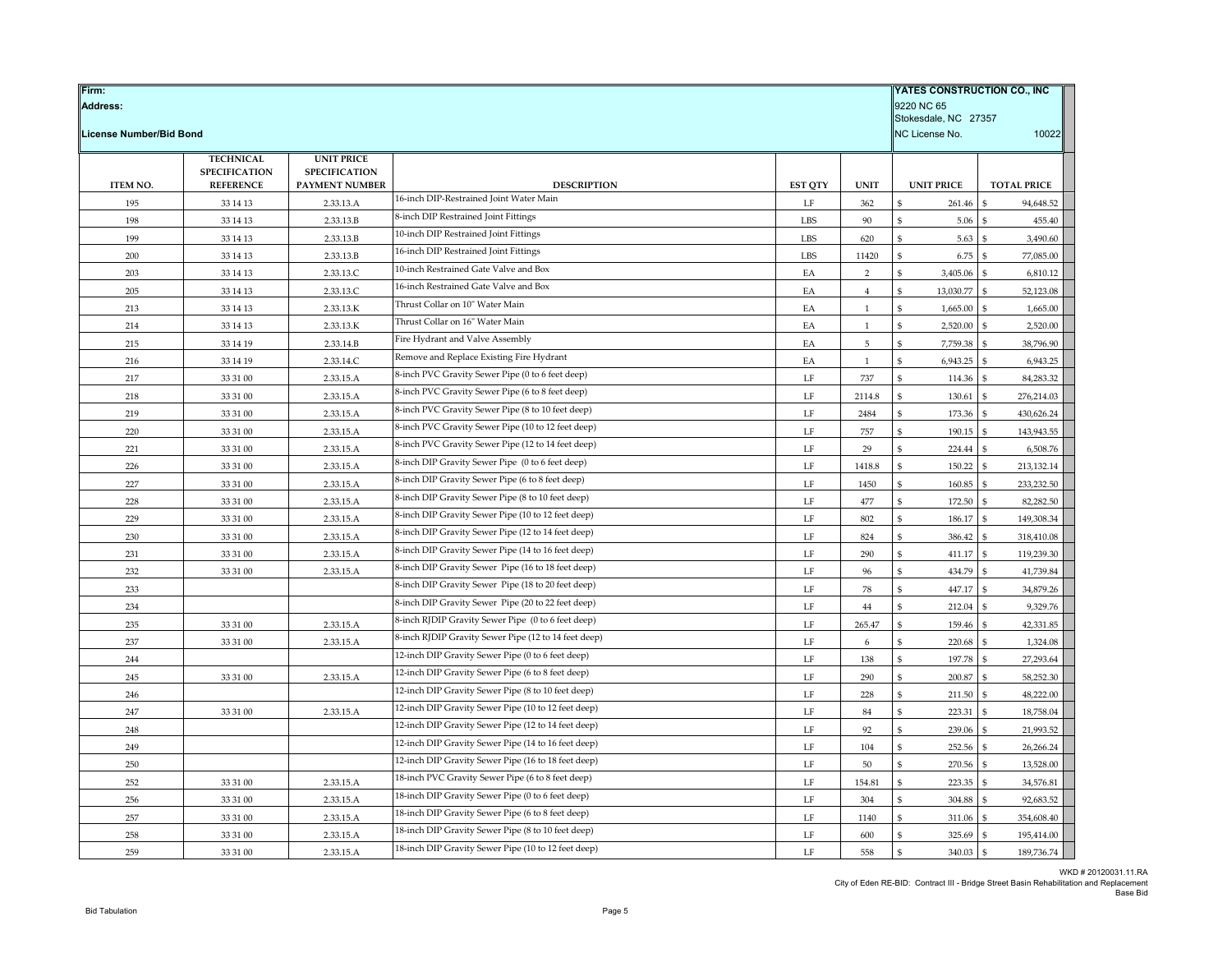| Firm:<br><b>Address:</b>       |                      |                        |                                                               |                |                | YATES CONSTRUCTION CO., INC<br>9220 NC 65<br>Stokesdale, NC 27357 |                              |  |
|--------------------------------|----------------------|------------------------|---------------------------------------------------------------|----------------|----------------|-------------------------------------------------------------------|------------------------------|--|
| <b>License Number/Bid Bond</b> |                      |                        |                                                               |                |                | NC License No.                                                    | 10022                        |  |
|                                | <b>TECHNICAL</b>     | <b>UNIT PRICE</b>      |                                                               |                |                |                                                                   |                              |  |
|                                | <b>SPECIFICATION</b> | <b>SPECIFICATION</b>   |                                                               |                |                |                                                                   |                              |  |
| <b>ITEM NO.</b>                | <b>REFERENCE</b>     | PAYMENT NUMBER         | <b>DESCRIPTION</b><br>16-inch DIP-Restrained Joint Water Main | <b>EST QTY</b> | <b>UNIT</b>    | <b>UNIT PRICE</b>                                                 | <b>TOTAL PRICE</b>           |  |
| 195<br>198                     | 33 14 13             | 2.33.13.A<br>2.33.13.B | 8-inch DIP Restrained Joint Fittings                          | LF<br>LBS      | 362<br>$90\,$  | 261.46<br>ፍ<br>5.06                                               | 94,648.52<br>455.40          |  |
| 199                            | 33 14 13<br>33 14 13 | 2.33.13.B              | 10-inch DIP Restrained Joint Fittings                         | <b>LBS</b>     | 620            | \$<br>5.63                                                        | $\mathbf{s}$<br>3,490.60     |  |
| 200                            | 33 14 13             | 2.33.13.B              | 16-inch DIP Restrained Joint Fittings                         | LBS            | 11420          | 6.75                                                              | 77,085.00                    |  |
| 203                            | 33 14 13             | 2.33.13.C              | 10-inch Restrained Gate Valve and Box                         | EA             | $\overline{2}$ | \$<br>3,405.06                                                    | $\mathfrak{S}$<br>6,810.12   |  |
| 205                            | 33 14 13             | 2.33.13.C              | 16-inch Restrained Gate Valve and Box                         | EA             | $\overline{4}$ | 13,030.77<br>\$                                                   | \$<br>52,123.08              |  |
| 213                            | 33 14 13             | 2.33.13.K              | Thrust Collar on 10" Water Main                               | EA             | $\mathbf{1}$   | 1,665.00                                                          | 1,665.00                     |  |
| 214                            | 33 14 13             | 2.33.13.K              | Thrust Collar on 16" Water Main                               | EA             | $\mathbf{1}$   | \$<br>2,520.00                                                    | 2,520.00<br>\$.              |  |
| 215                            | 33 14 19             | 2.33.14.B              | Fire Hydrant and Valve Assembly                               | EA             | $\sqrt{5}$     | \$<br>7,759.38                                                    | 38,796.90<br>\$              |  |
| 216                            | 33 14 19             | 2.33.14.C              | Remove and Replace Existing Fire Hydrant                      | EA             | -1             | 6,943.25                                                          | 6,943.25                     |  |
| 217                            | 33 31 00             | 2.33.15.A              | 8-inch PVC Gravity Sewer Pipe (0 to 6 feet deep)              | $\rm LF$       | 737            | 114.36<br>\$                                                      | 84,283.32<br>\$.             |  |
| 218                            | 33 31 00             | 2.33.15.A              | 8-inch PVC Gravity Sewer Pipe (6 to 8 feet deep)              | LF             | 2114.8         | \$<br>130.61                                                      | 276,214.03                   |  |
| 219                            | 33 31 00             | 2.33.15.A              | 8-inch PVC Gravity Sewer Pipe (8 to 10 feet deep)             | LF             | 2484           | 173.36                                                            | 430,626.24                   |  |
| 220                            | 33 31 00             | 2.33.15.A              | 8-inch PVC Gravity Sewer Pipe (10 to 12 feet deep)            | LF             | 757            | 190.15<br>\$                                                      | 143,943.55<br>$\mathbf{S}$   |  |
| 221                            | 33 31 00             | 2.33.15.A              | 8-inch PVC Gravity Sewer Pipe (12 to 14 feet deep)            | LF             | 29             | 224.44<br>\$                                                      | 6,508.76                     |  |
| 226                            | 33 31 00             | 2.33.15.A              | 8-inch DIP Gravity Sewer Pipe (0 to 6 feet deep)              | LF             | 1418.8         | 150.22<br>\$                                                      | 213,132.14<br>$\mathfrak{S}$ |  |
| 227                            | 33 31 00             | 2.33.15.A              | 8-inch DIP Gravity Sewer Pipe (6 to 8 feet deep)              | $\rm LF$       | 1450           | $\mathfrak{S}$<br>160.85                                          | 233,232.50                   |  |
| 228                            | 33 31 00             | 2.33.15.A              | 8-inch DIP Gravity Sewer Pipe (8 to 10 feet deep)             | LF             | 477            | 172.50                                                            | 82,282.50                    |  |
| 229                            | 33 31 00             | 2.33.15.A              | 8-inch DIP Gravity Sewer Pipe (10 to 12 feet deep)            | LF             | 802            | 186.17<br>\$                                                      | 149,308.34<br>-S             |  |
| 230                            | 33 31 00             | 2.33.15.A              | 8-inch DIP Gravity Sewer Pipe (12 to 14 feet deep)            | LF             | 824            | 386.42                                                            | 318,410.08                   |  |
| 231                            | 33 31 00             | 2.33.15.A              | 8-inch DIP Gravity Sewer Pipe (14 to 16 feet deep)            | LF             | 290            | \$<br>411.17                                                      | 119,239.30<br>\$.            |  |
| 232                            | 33 31 00             | 2.33.15.A              | 8-inch DIP Gravity Sewer Pipe (16 to 18 feet deep)            | LF             | 96             | 434.79<br>\$                                                      | 41,739.84<br>ፍ               |  |
| 233                            |                      |                        | 8-inch DIP Gravity Sewer Pipe (18 to 20 feet deep)            | LF             | 78             | 447.17                                                            | 34,879.26                    |  |
| 234                            |                      |                        | 8-inch DIP Gravity Sewer Pipe (20 to 22 feet deep)            | LF             | 44             | \$<br>212.04                                                      | 9,329.76                     |  |
| 235                            | 33 31 00             | 2.33.15.A              | 8-inch RJDIP Gravity Sewer Pipe (0 to 6 feet deep)            | $\rm LF$       | 265.47         | 159.46<br>\$                                                      | 42,331.85<br>\$.             |  |
| 237                            | 33 31 00             | 2.33.15.A              | 8-inch RJDIP Gravity Sewer Pipe (12 to 14 feet deep)          | LF             | 6              | 220.68                                                            | 1,324.08                     |  |
| 244                            |                      |                        | 12-inch DIP Gravity Sewer Pipe (0 to 6 feet deep)             | LF             | 138            | 197.78<br>\$                                                      | 27,293.64<br>\$.             |  |
| 245                            | 33 31 00             | 2.33.15.A              | 12-inch DIP Gravity Sewer Pipe (6 to 8 feet deep)             | LF             | 290            | 200.87                                                            | 58,252.30                    |  |
| 246                            |                      |                        | 12-inch DIP Gravity Sewer Pipe (8 to 10 feet deep)            | LF             | 228            | 211.50                                                            | 48,222.00                    |  |
| 247                            | 33 31 00             | 2.33.15.A              | 12-inch DIP Gravity Sewer Pipe (10 to 12 feet deep)           | LF             | 84             | ፍ<br>223.31                                                       | 18,758.04                    |  |
| 248                            |                      |                        | 12-inch DIP Gravity Sewer Pipe (12 to 14 feet deep)           | LF             | 92             | \$<br>239.06                                                      | 21,993.52                    |  |
| 249                            |                      |                        | 12-inch DIP Gravity Sewer Pipe (14 to 16 feet deep)           | LF             | 104            | 252.56                                                            | 26,266.24                    |  |
| 250                            |                      |                        | 12-inch DIP Gravity Sewer Pipe (16 to 18 feet deep)           | LF             | 50             | 270.56<br>\$                                                      | 13,528.00                    |  |
| 252                            | 33 31 00             | 2.33.15.A              | 18-inch PVC Gravity Sewer Pipe (6 to 8 feet deep)             | LF             | 154.81         | 223.35                                                            | 34,576.81                    |  |
| 256                            | 33 31 00             | 2.33.15.A              | 18-inch DIP Gravity Sewer Pipe (0 to 6 feet deep)             | LF             | 304            | \$<br>304.88                                                      | 92,683.52<br>\$              |  |
| 257                            | 33 31 00             | 2.33.15.A              | 18-inch DIP Gravity Sewer Pipe (6 to 8 feet deep)             | LF             | 1140           | ፍ<br>311.06                                                       | 354,608.40                   |  |
| 258                            | 33 31 00             | 2.33.15.A              | 18-inch DIP Gravity Sewer Pipe (8 to 10 feet deep)            | $\rm LF$       | 600            | 325.69                                                            | 195,414.00                   |  |
| 259                            | 33 31 00             | 2.33.15.A              | 18-inch DIP Gravity Sewer Pipe (10 to 12 feet deep)           | LF             | 558            | 340.03<br>\$                                                      | 189,736.74<br>-S             |  |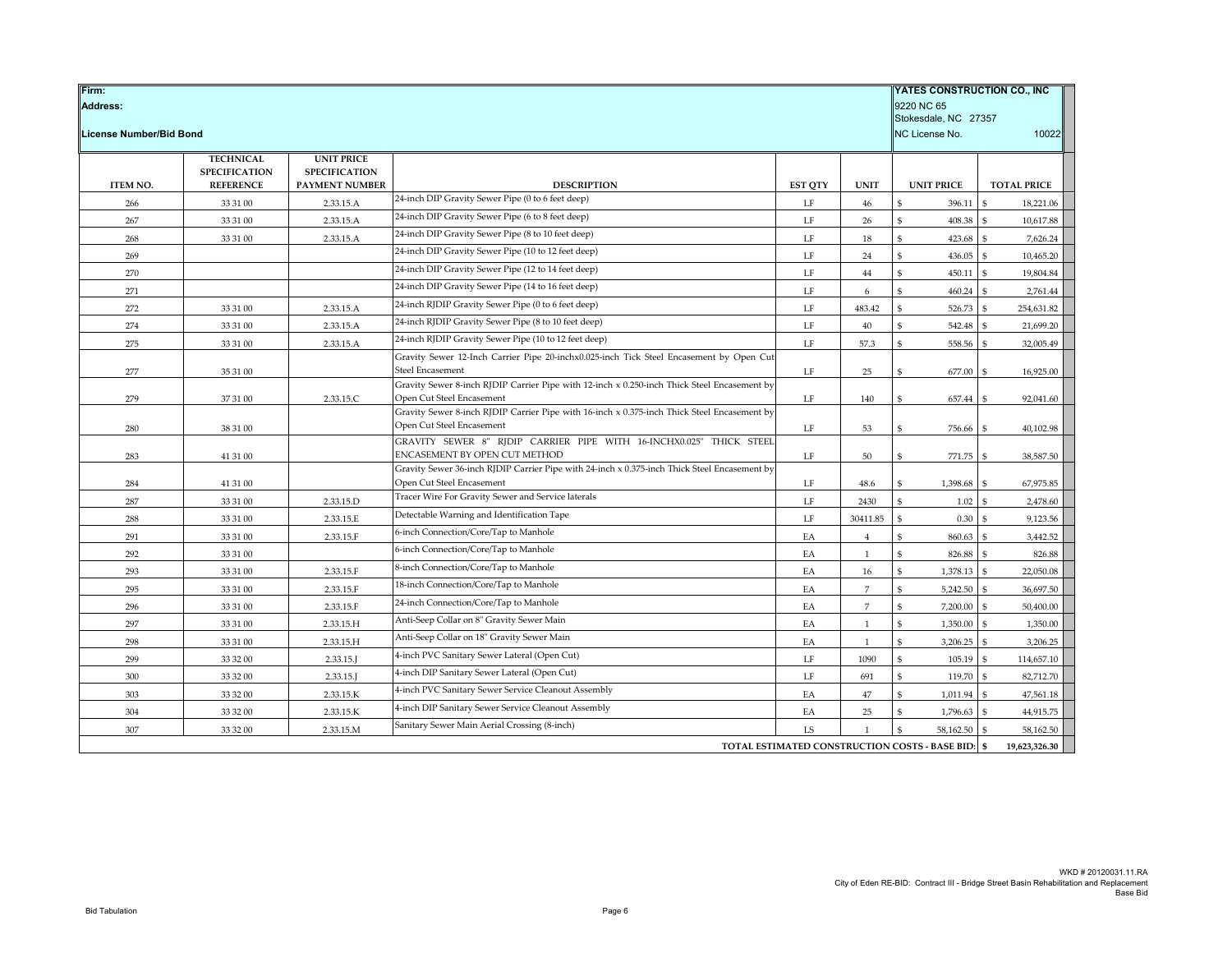| YATES CONSTRUCTION CO., INC<br>Firm:<br>9220 NC 65<br><b>Address:</b><br>Stokesdale, NC 27357<br>License Number/Bid Bond<br>NC License No. |                                          |                                           |                                                                                                                          |                |                |                                                |                                 |
|--------------------------------------------------------------------------------------------------------------------------------------------|------------------------------------------|-------------------------------------------|--------------------------------------------------------------------------------------------------------------------------|----------------|----------------|------------------------------------------------|---------------------------------|
|                                                                                                                                            | <b>TECHNICAL</b><br><b>SPECIFICATION</b> | <b>UNIT PRICE</b><br><b>SPECIFICATION</b> |                                                                                                                          |                |                |                                                |                                 |
| <b>ITEM NO.</b>                                                                                                                            | <b>REFERENCE</b>                         | <b>PAYMENT NUMBER</b>                     | <b>DESCRIPTION</b>                                                                                                       | <b>EST OTY</b> | <b>UNIT</b>    | <b>UNIT PRICE</b>                              | <b>TOTAL PRICE</b>              |
| 266                                                                                                                                        | 33 31 00                                 | 2.33.15.A                                 | 24-inch DIP Gravity Sewer Pipe (0 to 6 feet deep)                                                                        | LF             | 46             | \$<br>396.11                                   | \$<br>18,221.06                 |
| 267                                                                                                                                        | 33 31 00                                 | 2.33.15.A                                 | 24-inch DIP Gravity Sewer Pipe (6 to 8 feet deep)                                                                        | LF             | 26             | \$<br>408.38                                   | $\hat{\mathbf{s}}$<br>10,617.88 |
| 268                                                                                                                                        | 33 31 00                                 | 2.33.15.A                                 | 24-inch DIP Gravity Sewer Pipe (8 to 10 feet deep)                                                                       | LF             | 18             | \$<br>423.68                                   | $\mathbf{\hat{S}}$<br>7,626.24  |
| 269                                                                                                                                        |                                          |                                           | 24-inch DIP Gravity Sewer Pipe (10 to 12 feet deep)                                                                      | LF             | 24             | \$<br>436.05                                   | $\mathbf{\$}$<br>10,465.20      |
| 270                                                                                                                                        |                                          |                                           | 24-inch DIP Gravity Sewer Pipe (12 to 14 feet deep)                                                                      | $\rm LF$       | $44\,$         | \$<br>450.11                                   | ${\mathbb S}$<br>19,804.84      |
| 271                                                                                                                                        |                                          |                                           | 24-inch DIP Gravity Sewer Pipe (14 to 16 feet deep)                                                                      | $\rm LF$       | 6              | \$<br>460.24                                   | $\mathbf{\hat{S}}$<br>2,761.44  |
| 272                                                                                                                                        | 33 31 00                                 | 2.33.15.A                                 | 24-inch RJDIP Gravity Sewer Pipe (0 to 6 feet deep)                                                                      | LF             | 483.42         | \$<br>526.73                                   | $\mathbf{s}$<br>254,631.82      |
| 274                                                                                                                                        | 33 31 00                                 | 2.33.15.A                                 | 24-inch RJDIP Gravity Sewer Pipe (8 to 10 feet deep)                                                                     | LF             | $40\,$         | \$<br>542.48                                   | $\mathbf{s}$<br>21,699.20       |
| 275                                                                                                                                        | 33 31 00                                 | 2.33.15.A                                 | 24-inch RJDIP Gravity Sewer Pipe (10 to 12 feet deep)                                                                    | LF             | 57.3           | \$<br>558.56                                   | 32,005.49                       |
|                                                                                                                                            |                                          |                                           | Gravity Sewer 12-Inch Carrier Pipe 20-inchx0.025-inch Tick Steel Encasement by Open Cut                                  |                |                |                                                |                                 |
| 277                                                                                                                                        | 35 31 00                                 |                                           | Steel Encasement                                                                                                         | LF             | 25             | \$<br>677.00                                   | 16,925.00<br>£.                 |
|                                                                                                                                            |                                          |                                           | Gravity Sewer 8-inch RJDIP Carrier Pipe with 12-inch x 0.250-inch Thick Steel Encasement by                              |                |                |                                                |                                 |
| 279                                                                                                                                        | 37 31 00                                 | 2.33.15.C                                 | Open Cut Steel Encasement<br>Gravity Sewer 8-inch RJDIP Carrier Pipe with 16-inch x 0.375-inch Thick Steel Encasement by | LF             | 140            | \$<br>657.44                                   | 92,041.60<br>$\mathfrak{S}$     |
| 280                                                                                                                                        | 38 31 00                                 |                                           | Open Cut Steel Encasement                                                                                                | LF             | 53             | \$<br>756.66                                   | 40,102.98                       |
|                                                                                                                                            |                                          |                                           | GRAVITY SEWER 8" RJDIP CARRIER PIPE WITH 16-INCHX0.025" THICK STEEL                                                      |                |                |                                                |                                 |
| 283                                                                                                                                        | 41 31 00                                 |                                           | ENCASEMENT BY OPEN CUT METHOD                                                                                            | $\rm LF$       | 50             | \$<br>771.75                                   | 38,587.50<br>£.                 |
|                                                                                                                                            |                                          |                                           | Gravity Sewer 36-inch RJDIP Carrier Pipe with 24-inch x 0.375-inch Thick Steel Encasement by                             |                |                |                                                |                                 |
| 284                                                                                                                                        | 41 31 00                                 |                                           | Open Cut Steel Encasement                                                                                                | LF             | 48.6           | \$<br>1,398.68                                 | 67,975.85                       |
| 287                                                                                                                                        | 33 31 00                                 | 2.33.15.D                                 | Tracer Wire For Gravity Sewer and Service laterals                                                                       | LF             | 2430           | $\mathsf{\$}$<br>1.02                          | \$<br>2,478.60                  |
| 288                                                                                                                                        | 33 31 00                                 | 2.33.15.E                                 | Detectable Warning and Identification Tape                                                                               | LF             | 30411.85       | $\mathsf{\$}$<br>0.30                          | 9,123.56                        |
| 291                                                                                                                                        | 33 31 00                                 | 2.33.15.F                                 | 6-inch Connection/Core/Tap to Manhole                                                                                    | EA             | $\overline{4}$ | \$<br>860.63                                   | 3,442.52                        |
| 292                                                                                                                                        | 33 31 00                                 |                                           | 6-inch Connection/Core/Tap to Manhole                                                                                    | EA             | $\mathbf{1}$   | $\mathsf{\$}$<br>826.88                        | 826.88                          |
| 293                                                                                                                                        | 33 31 00                                 | 2.33.15.F                                 | 8-inch Connection/Core/Tap to Manhole                                                                                    | EA             | 16             | $\mathsf{\$}$<br>1,378.13                      | $\mathbf{s}$<br>22,050.08       |
| 295                                                                                                                                        | 33 31 00                                 | 2.33.15.F                                 | 18-inch Connection/Core/Tap to Manhole                                                                                   | EA             | $\overline{7}$ | \$<br>5,242.50                                 | 36,697.50<br>$\mathfrak{S}$     |
| 296                                                                                                                                        | 33 31 00                                 | 2.33.15.F                                 | 24-inch Connection/Core/Tap to Manhole                                                                                   | EA             | $\overline{7}$ | \$<br>7,200.00                                 | $\mathbf{\$}$<br>50,400.00      |
| 297                                                                                                                                        | 33 31 00                                 | 2.33.15.H                                 | Anti-Seep Collar on 8" Gravity Sewer Main                                                                                | EA             | $\mathbf{1}$   | \$<br>1,350.00                                 | $\mathbf{\$}$<br>1,350.00       |
| 298                                                                                                                                        | 33 31 00                                 | 2.33.15.H                                 | Anti-Seep Collar on 18" Gravity Sewer Main                                                                               | EA             | 1              | \$<br>3,206.25                                 | \$<br>3,206.25                  |
| 299                                                                                                                                        | 33 32 00                                 | 2.33.15.J                                 | 4-inch PVC Sanitary Sewer Lateral (Open Cut)                                                                             | LF             | 1090           | \$<br>105.19                                   | 114,657.10                      |
| 300                                                                                                                                        | 33 32 00                                 | 2.33.15.J                                 | 4-inch DIP Sanitary Sewer Lateral (Open Cut)                                                                             | $\rm LF$       | 691            | \$<br>119.70                                   | $\mathbf{s}$<br>82,712.70       |
| 303                                                                                                                                        | 33 32 00                                 | 2.33.15.K                                 | 4-inch PVC Sanitary Sewer Service Cleanout Assembly                                                                      | EA             | $47\,$         | \$<br>1,011.94                                 | 47,561.18                       |
| 304                                                                                                                                        | 33 32 00                                 | 2.33.15.K                                 | 4-inch DIP Sanitary Sewer Service Cleanout Assembly                                                                      | EA             | 25             | $\mathsf{\$}$<br>1,796.63                      | 44,915.75                       |
| 307                                                                                                                                        | 33 32 00                                 | 2.33.15.M                                 | Sanitary Sewer Main Aerial Crossing (8-inch)                                                                             | LS             | $\mathbf{1}$   | $\mathsf{\$}$<br>58,162.50                     | 58,162.50                       |
|                                                                                                                                            |                                          |                                           |                                                                                                                          |                |                | TOTAL ESTIMATED CONSTRUCTION COSTS - BASE BID: | 19,623,326.30                   |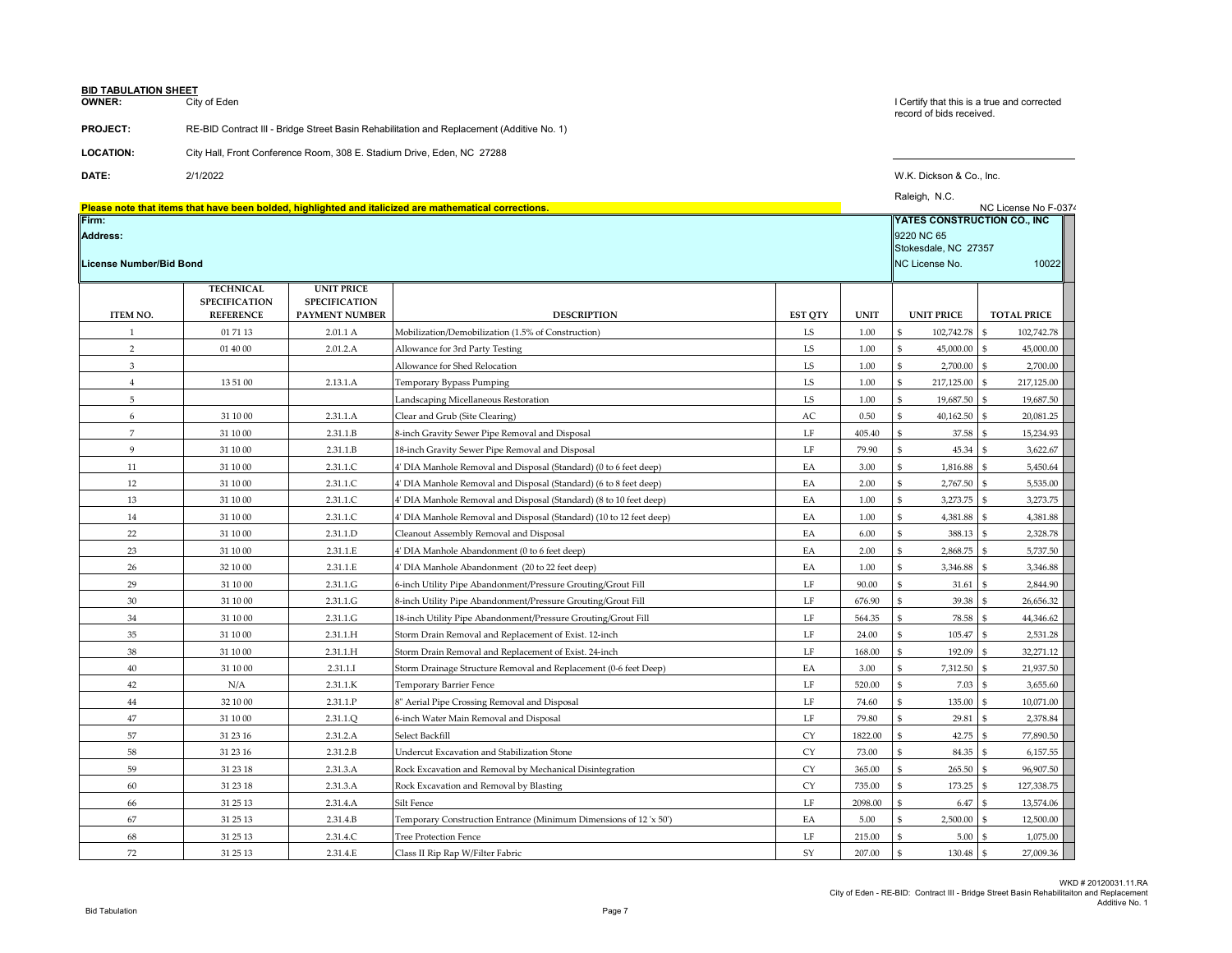**BID TABULATION SHEET** City of Eden

### **PROJECT:** RE-BID Contract III - Bridge Street Basin Rehabilitation and Replacement (Additive No. 1)

| <b>LOCATION:</b> | City Hall, Front Conference Room, 308 E. Stadium Drive, Eden, NC 27288 |
|------------------|------------------------------------------------------------------------|

**DATE:** 2/1/2022 W.K. Dickson & Co., Inc.

|                                                   |                                          |                                           |                                                                                                        |                |             | Raleigh, N.C.                                                 | NC License No F-0374         |
|---------------------------------------------------|------------------------------------------|-------------------------------------------|--------------------------------------------------------------------------------------------------------|----------------|-------------|---------------------------------------------------------------|------------------------------|
| Firm:                                             |                                          |                                           | Please note that items that have been bolded, highlighted and italicized are mathematical corrections. |                |             | YATES CONSTRUCTION CO., INC                                   |                              |
| <b>Address:</b><br><b>License Number/Bid Bond</b> |                                          |                                           |                                                                                                        |                |             | 9220 NC 65<br>Stokesdale, NC 27357<br>NC License No.<br>10022 |                              |
|                                                   | <b>TECHNICAL</b><br><b>SPECIFICATION</b> | <b>UNIT PRICE</b><br><b>SPECIFICATION</b> |                                                                                                        |                |             |                                                               |                              |
| <b>ITEM NO.</b>                                   | <b>REFERENCE</b>                         | <b>PAYMENT NUMBER</b>                     | <b>DESCRIPTION</b>                                                                                     | <b>EST QTY</b> | <b>UNIT</b> | <b>UNIT PRICE</b>                                             | <b>TOTAL PRICE</b>           |
| $\mathbf{1}$                                      | 01 71 13                                 | 2.01.1 A                                  | Mobilization/Demobilization (1.5% of Construction)                                                     | LS             | 1.00        | 102,742.78<br>\$                                              | \$.<br>102,742.78            |
| $\overline{2}$                                    | 01 40 00                                 | 2.01.2.A                                  | Allowance for 3rd Party Testing                                                                        | LS             | 1.00        | 45,000.00                                                     | 45,000.00<br>$\mathfrak{S}$  |
| 3                                                 |                                          |                                           | Allowance for Shed Relocation                                                                          | LS             | 1.00        | ፍ<br>2,700.00                                                 | $\mathbf{s}$<br>2,700.00     |
| $\overline{4}$                                    | 13 51 00                                 | 2.13.1.A                                  | Temporary Bypass Pumping                                                                               | LS             | 1.00        | ፍ<br>217,125.00                                               | \$.<br>217,125.00            |
| 5                                                 |                                          |                                           | Landscaping Micellaneous Restoration                                                                   | LS             | 1.00        | ፍ<br>19,687.50                                                | ፍ<br>19,687.50               |
| 6                                                 | 31 10 00                                 | 2.31.1.A                                  | Clear and Grub (Site Clearing)                                                                         | AC             | 0.50        | ፍ<br>40,162.50                                                | 20,081.25<br>$\mathfrak{S}$  |
| $\overline{7}$                                    | 31 10 00                                 | 2.31.1.B                                  | 8-inch Gravity Sewer Pipe Removal and Disposal                                                         | $\rm LF$       | 405.40      | \$<br>37.58                                                   | \$<br>15,234.93              |
| 9                                                 | 31 10 00                                 | 2.31.1.B                                  | 18-inch Gravity Sewer Pipe Removal and Disposal                                                        | LF             | 79.90       | $\mathfrak{s}$<br>45.34                                       | 3,622.67<br>$\mathfrak{S}$   |
| 11                                                | 31 10 00                                 | 2.31.1.C                                  | 4' DIA Manhole Removal and Disposal (Standard) (0 to 6 feet deep)                                      | EA             | 3.00        | \$<br>1,816.88                                                | \$.<br>5,450.64              |
| 12                                                | 31 10 00                                 | 2.31.1.C                                  | 4' DIA Manhole Removal and Disposal (Standard) (6 to 8 feet deep)                                      | EA             | 2.00        | \$<br>2,767.50                                                | 5,535.00<br>£.               |
| 13                                                | 31 10 00                                 | 2.31.1.C                                  | 4' DIA Manhole Removal and Disposal (Standard) (8 to 10 feet deep)                                     | EA             | 1.00        | 3,273.75                                                      | \$<br>3,273.75               |
| 14                                                | 31 10 00                                 | 2.31.1.C                                  | 4' DIA Manhole Removal and Disposal (Standard) (10 to 12 feet deep)                                    | EA             | 1.00        | ፍ<br>4,381.88                                                 | 4,381.88<br>\$.              |
| 22                                                | 31 10 00                                 | 2.31.1.D                                  | Cleanout Assembly Removal and Disposal                                                                 | EA             | 6.00        | ፍ<br>388.13                                                   | 2.328.78<br>\$.              |
| 23                                                | 31 10 00                                 | 2.31.1.E                                  | 4' DIA Manhole Abandonment (0 to 6 feet deep)                                                          | EA             | 2.00        | 2,868.75                                                      | 5,737.50<br>$\mathfrak{S}$   |
| 26                                                | 32 10 00                                 | 2.31.1.E                                  | 4' DIA Manhole Abandonment (20 to 22 feet deep)                                                        | EA             | 1.00        | 3,346.88                                                      | 3,346.88<br>£.               |
| 29                                                | 31 10 00                                 | 2.31.1.G                                  | 6-inch Utility Pipe Abandonment/Pressure Grouting/Grout Fill                                           | LF             | 90.00       | \$<br>31.61                                                   | 2,844.90<br>\$.              |
| 30                                                | 31 10 00                                 | 2.31.1.G                                  | 8-inch Utility Pipe Abandonment/Pressure Grouting/Grout Fill                                           | LF             | 676.90      | \$<br>39.38                                                   | \$<br>26,656.32              |
| 34                                                | 31 10 00                                 | 2.31.1.G                                  | 18-inch Utility Pipe Abandonment/Pressure Grouting/Grout Fill                                          | LF             | 564.35      | 78.58<br>\$                                                   | 44,346.62                    |
| 35                                                | 31 10 00                                 | 2.31.1.H                                  | Storm Drain Removal and Replacement of Exist. 12-inch                                                  | LF             | 24.00       | \$<br>105.47                                                  | 2,531.28                     |
| 38                                                | 31 10 00                                 | 2.31.1.H                                  | Storm Drain Removal and Replacement of Exist. 24-inch                                                  | LF             | 168.00      | 192.09<br>\$                                                  | 32,271.12                    |
| 40                                                | 31 10 00                                 | 2.31.1.I                                  | Storm Drainage Structure Removal and Replacement (0-6 feet Deep)                                       | EA             | 3.00        | 7,312.50<br>ፍ                                                 | 21,937.50<br>\$.             |
| 42                                                | N/A                                      | 2.31.1.K                                  | Temporary Barrier Fence                                                                                | $\rm LF$       | 520.00      | ፍ<br>7.03                                                     | $\mathfrak{S}$<br>3,655.60   |
| 44                                                | 32 10 00                                 | 2.31.1.P                                  | 8" Aerial Pipe Crossing Removal and Disposal                                                           | LF             | 74.60       | \$<br>135.00                                                  | 10.071.00                    |
| 47                                                | 31 10 00                                 | 2.31.1.Q                                  | 6-inch Water Main Removal and Disposal                                                                 | LF             | 79.80       | 29.81<br>$\mathfrak{S}$                                       | 2,378.84                     |
| 57                                                | 31 23 16                                 | 2.31.2.A                                  | Select Backfill                                                                                        | <b>CY</b>      | 1822.00     | $\mathfrak{S}$<br>42.75                                       | 77,890.50<br>£.              |
| 58                                                | 31 23 16                                 | 2.31.2.B                                  | Undercut Excavation and Stabilization Stone                                                            | <b>CY</b>      | 73.00       | \$<br>84.35                                                   | $\mathfrak{S}$<br>6,157.55   |
| 59                                                | 31 23 18                                 | 2.31.3.A                                  | Rock Excavation and Removal by Mechanical Disintegration                                               | ${\rm CY}$     | 365.00      | \$<br>265.50                                                  | 96,907.50                    |
| 60                                                | 31 23 18                                 | 2.31.3.A                                  | Rock Excavation and Removal by Blasting                                                                | <b>CY</b>      | 735.00      | $\mathfrak{S}$<br>173.25                                      | 127,338.75<br>$\mathfrak{S}$ |
| 66                                                | 31 25 13                                 | 2.31.4.A                                  | Silt Fence                                                                                             | LF             | 2098.00     | \$<br>6.47                                                    | 13,574.06<br>ፍ               |
| 67                                                | 31 25 13                                 | 2.31.4.B                                  | Temporary Construction Entrance (Minimum Dimensions of 12 'x 50')                                      | EA             | 5.00        | 2,500.00                                                      | 12,500.00<br>£.              |
| 68                                                | 31 25 13                                 | 2.31.4.C                                  | <b>Tree Protection Fence</b>                                                                           | LF             | 215.00      | 5.00                                                          | 1,075.00                     |
| 72                                                | 31 25 13                                 | 2.31.4.E                                  | Class II Rip Rap W/Filter Fabric                                                                       | SY             | 207.00      | $\mathbb{S}$<br>130.48                                        | $\mathbf{s}$<br>27,009.36    |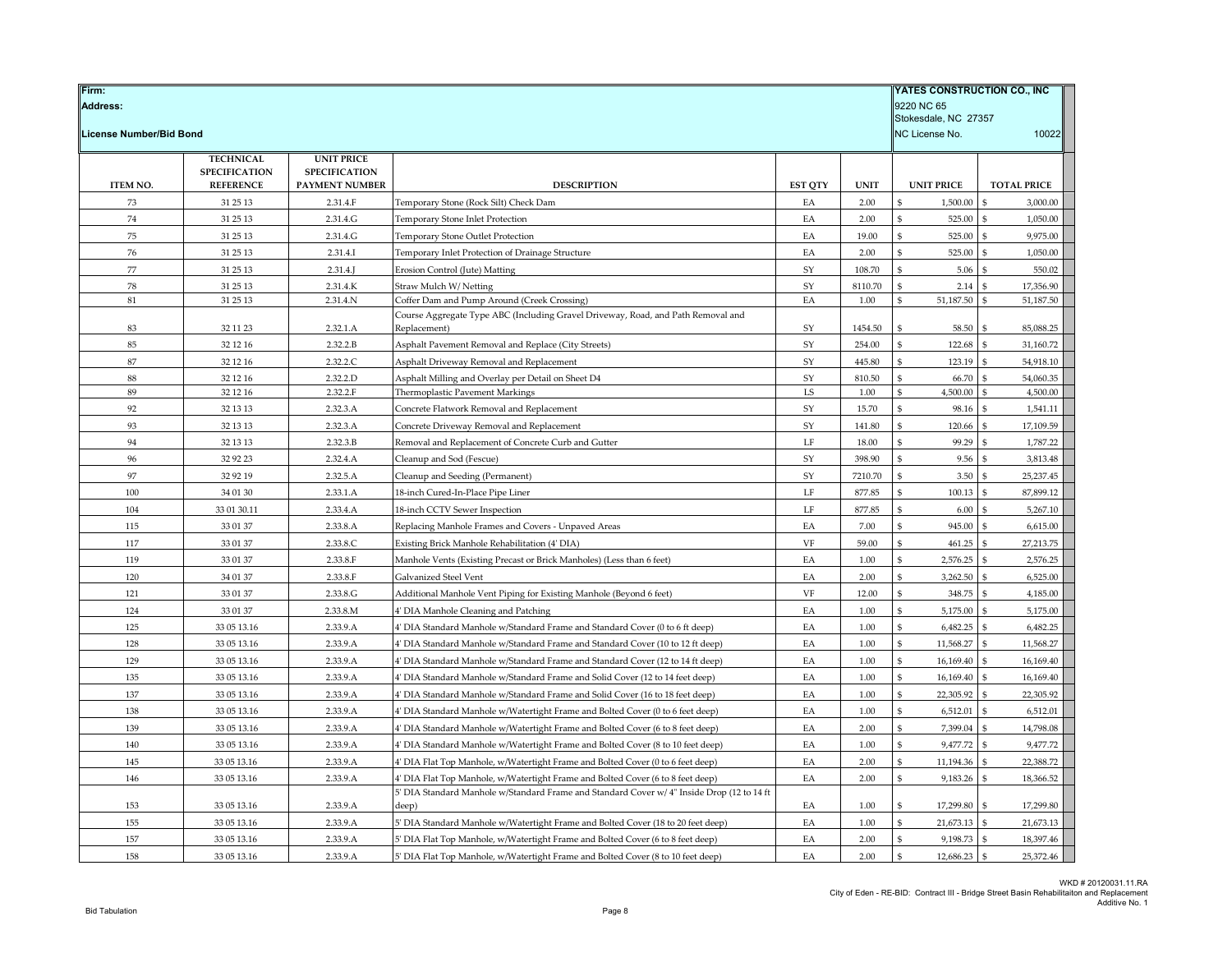| Firm:<br><b>Address:</b> |                      | YATES CONSTRUCTION CO., INC<br>9220 NC 65<br>Stokesdale, NC 27357 |                                                                                           |                |             |                   |                                |
|--------------------------|----------------------|-------------------------------------------------------------------|-------------------------------------------------------------------------------------------|----------------|-------------|-------------------|--------------------------------|
| License Number/Bid Bond  |                      |                                                                   |                                                                                           |                |             | NC License No.    | 10022                          |
|                          | <b>TECHNICAL</b>     | <b>UNIT PRICE</b>                                                 |                                                                                           |                |             |                   |                                |
|                          | <b>SPECIFICATION</b> | <b>SPECIFICATION</b>                                              |                                                                                           |                |             |                   |                                |
| ITEM NO.                 | <b>REFERENCE</b>     | PAYMENT NUMBER                                                    | <b>DESCRIPTION</b>                                                                        | <b>EST QTY</b> | <b>UNIT</b> | <b>UNIT PRICE</b> | <b>TOTAL PRICE</b>             |
| 73                       | 31 25 13             | 2.31.4.F                                                          | Temporary Stone (Rock Silt) Check Dam                                                     | EA             | 2.00        | 1,500.00<br>\$    | 3,000.00<br>\$                 |
| $74\,$                   | 31 25 13             | 2.31.4.G                                                          | Temporary Stone Inlet Protection                                                          | EA             | 2.00        | 525.00            | 1,050.00                       |
| 75                       | 31 25 13             | 2.31.4.G                                                          | <b>Temporary Stone Outlet Protection</b>                                                  | EA             | 19.00       | \$<br>525.00      | 9,975.00                       |
| 76                       | 31 25 13             | 2.31.4.I                                                          | Temporary Inlet Protection of Drainage Structure                                          | EA             | 2.00        | \$<br>525.00      | 1,050.00                       |
| 77                       | 31 25 13             | 2.31.4                                                            | Erosion Control (Jute) Matting                                                            | SY             | 108.70      | 5.06<br>\$        | 550.02                         |
| ${\bf 78}$               | 31 25 13             | 2.31.4.K                                                          | Straw Mulch W/Netting                                                                     | ${\rm SY}$     | 8110.70     | \$<br>2.14        | 17,356.90<br>\$                |
| 81                       | 31 25 13             | 2.31.4.N                                                          | Coffer Dam and Pump Around (Creek Crossing)                                               | EA             | 1.00        | 51,187.50<br>\$   | 51,187.50<br>\$                |
|                          |                      |                                                                   | Course Aggregate Type ABC (Including Gravel Driveway, Road, and Path Removal and          |                |             |                   |                                |
| 83                       | 32 11 23             | 2.32.1.A                                                          | Replacement)                                                                              | ${\rm SY}$     | 1454.50     | 58.50<br>\$       | 85,088.25<br>\$                |
| 85                       | 32 12 16             | 2.32.2.B                                                          | Asphalt Pavement Removal and Replace (City Streets)                                       | SY             | 254.00      | 122.68<br>\$      | 31,160.72                      |
| $87\,$                   | 32 12 16             | 2.32.2.C                                                          | Asphalt Driveway Removal and Replacement                                                  | ${\rm SY}$     | 445.80      | 123.19            | 54,918.10                      |
| 88                       | 32 12 16             | 2.32.2.D                                                          | Asphalt Milling and Overlay per Detail on Sheet D4                                        | ${\rm SY}$     | 810.50      | \$<br>66.70       | 54.060.35                      |
| 89                       | 32 12 16             | 2.32.2.F                                                          | Thermoplastic Pavement Markings                                                           | LS             | 1.00        | 4,500.00          | 4,500.00                       |
| 92                       | 32 13 13             | 2.32.3.A                                                          | Concrete Flatwork Removal and Replacement                                                 | ${\rm SY}$     | 15.70       | 98.16             | 1,541.11                       |
| 93                       | 32 13 13             | 2.32.3.A                                                          | Concrete Driveway Removal and Replacement                                                 | SY             | 141.80      | \$<br>120.66      | 17,109.59                      |
| 94                       | 32 13 13             | 2.32.3.B                                                          | Removal and Replacement of Concrete Curb and Gutter                                       | LF             | 18.00       | 99.29<br>\$       | 1,787.22                       |
| 96                       | 32 92 23             | 2.32.4.A                                                          | Cleanup and Sod (Fescue)                                                                  | SY             | 398.90      | \$<br>9.56        | 3,813.48<br>\$                 |
| 97                       | 32 92 19             | 2.32.5.A                                                          | Cleanup and Seeding (Permanent)                                                           | ${\rm SY}$     | 7210.70     | \$<br>3.50        | 25,237.45                      |
| 100                      | 34 01 30             | 2.33.1.A                                                          | 18-inch Cured-In-Place Pipe Liner                                                         | $\rm LF$       | 877.85      | 100.13<br>ፍ       | 87,899.12                      |
| 104                      | 33 01 30.11          | 2.33.4.A                                                          | 18-inch CCTV Sewer Inspection                                                             | LF             | 877.85      | 6.00<br>\$        | 5,267.10                       |
| 115                      | 33 01 37             | 2.33.8.A                                                          | Replacing Manhole Frames and Covers - Unpaved Areas                                       | EA             | 7.00        | \$<br>945.00      | $\mathbf{\hat{S}}$<br>6,615.00 |
| 117                      | 33 01 37             | 2.33.8.C                                                          | Existing Brick Manhole Rehabilitation (4' DIA)                                            | VF             | 59.00       | \$<br>461.25      | 27,213.75<br>\$                |
| 119                      | 33 01 37             | 2.33.8.F                                                          | Manhole Vents (Existing Precast or Brick Manholes) (Less than 6 feet)                     | EA             | 1.00        | 2,576.25          | 2,576.25                       |
| 120                      | 34 01 37             | 2.33.8.F                                                          | Galvanized Steel Vent                                                                     | EA             | 2.00        | ፍ<br>3,262.50     | 6,525.00<br>\$                 |
| 121                      | 33 01 37             | 2.33.8.G                                                          | Additional Manhole Vent Piping for Existing Manhole (Beyond 6 feet)                       | VF             | 12.00       | 348.75            | 4,185.00                       |
| 124                      | 33 01 37             | 2.33.8.M                                                          | 4' DIA Manhole Cleaning and Patching                                                      | EA             | 1.00        | \$<br>5,175.00    | 5,175.00<br>\$                 |
| 125                      | 33 05 13.16          | 2.33.9.A                                                          | 4' DIA Standard Manhole w/Standard Frame and Standard Cover (0 to 6 ft deep)              | EA             | 1.00        | 6,482.25<br>\$    | \$<br>6,482.25                 |
| 128                      | 33 05 13.16          | 2.33.9.A                                                          | 4' DIA Standard Manhole w/Standard Frame and Standard Cover (10 to 12 ft deep)            | EA             | 1.00        | 11,568.27         | 11,568.27                      |
| 129                      | 33 05 13.16          | 2.33.9.A                                                          | 4' DIA Standard Manhole w/Standard Frame and Standard Cover (12 to 14 ft deep)            | EA             | 1.00        | 16,169.40<br>ፍ    | 16,169.40<br>\$                |
| 135                      | 33 05 13.16          | 2.33.9.A                                                          | 4' DIA Standard Manhole w/Standard Frame and Solid Cover (12 to 14 feet deep)             | EA             | 1.00        | \$<br>16,169.40   | 16,169.40                      |
| 137                      | 33 05 13.16          | 2.33.9.A                                                          | 4' DIA Standard Manhole w/Standard Frame and Solid Cover (16 to 18 feet deep)             | EA             | 1.00        | 22,305.92         | 22,305.92                      |
| 138                      | 33 05 13.16          | 2.33.9.A                                                          | 4' DIA Standard Manhole w/Watertight Frame and Bolted Cover (0 to 6 feet deep)            | EA             | 1.00        | \$<br>6,512.01    | 6,512.01                       |
| 139                      | 33 05 13.16          | 2.33.9.A                                                          | 4' DIA Standard Manhole w/Watertight Frame and Bolted Cover (6 to 8 feet deep)            | EA             | 2.00        | 7,399.04          | 14,798.08                      |
| 140                      | 33 05 13.16          | 2.33.9.A                                                          | 4' DIA Standard Manhole w/Watertight Frame and Bolted Cover (8 to 10 feet deep)           | EA             | 1.00        | 9,477.72          | 9,477.72                       |
| 145                      | 33 05 13.16          | 2.33.9.A                                                          | 4' DIA Flat Top Manhole, w/Watertight Frame and Bolted Cover (0 to 6 feet deep)           | EA             | 2.00        | 11,194.36<br>ፍ    | 22,388.72<br>\$                |
| 146                      | 33 05 13.16          | 2.33.9.A                                                          | 4' DIA Flat Top Manhole, w/Watertight Frame and Bolted Cover (6 to 8 feet deep)           | EA             | 2.00        | 9,183.26<br>ፍ     | 18,366.52<br>\$                |
|                          |                      |                                                                   | 5' DIA Standard Manhole w/Standard Frame and Standard Cover w/4" Inside Drop (12 to 14 ft |                |             |                   |                                |
| 153                      | 33 05 13.16          | 2.33.9.A                                                          | deep)                                                                                     | EA             | 1.00        | 17,299.80         | \$<br>17,299.80                |
| 155                      | 33 05 13.16          | 2.33.9.A                                                          | 5' DIA Standard Manhole w/Watertight Frame and Bolted Cover (18 to 20 feet deep)          | EA             | 1.00        | 21,673.13         | 21,673.13                      |
| 157                      | 33 05 13.16          | 2.33.9.A                                                          | 5' DIA Flat Top Manhole, w/Watertight Frame and Bolted Cover (6 to 8 feet deep)           | EA             | 2.00        | 9,198.73<br>\$    | 18,397.46<br>\$                |
| 158                      | 33 05 13.16          | 2.33.9.A                                                          | 5' DIA Flat Top Manhole, w/Watertight Frame and Bolted Cover (8 to 10 feet deep)          | EA             | 2.00        | \$<br>12,686.23   | 25,372.46<br>$\mathbb{S}$      |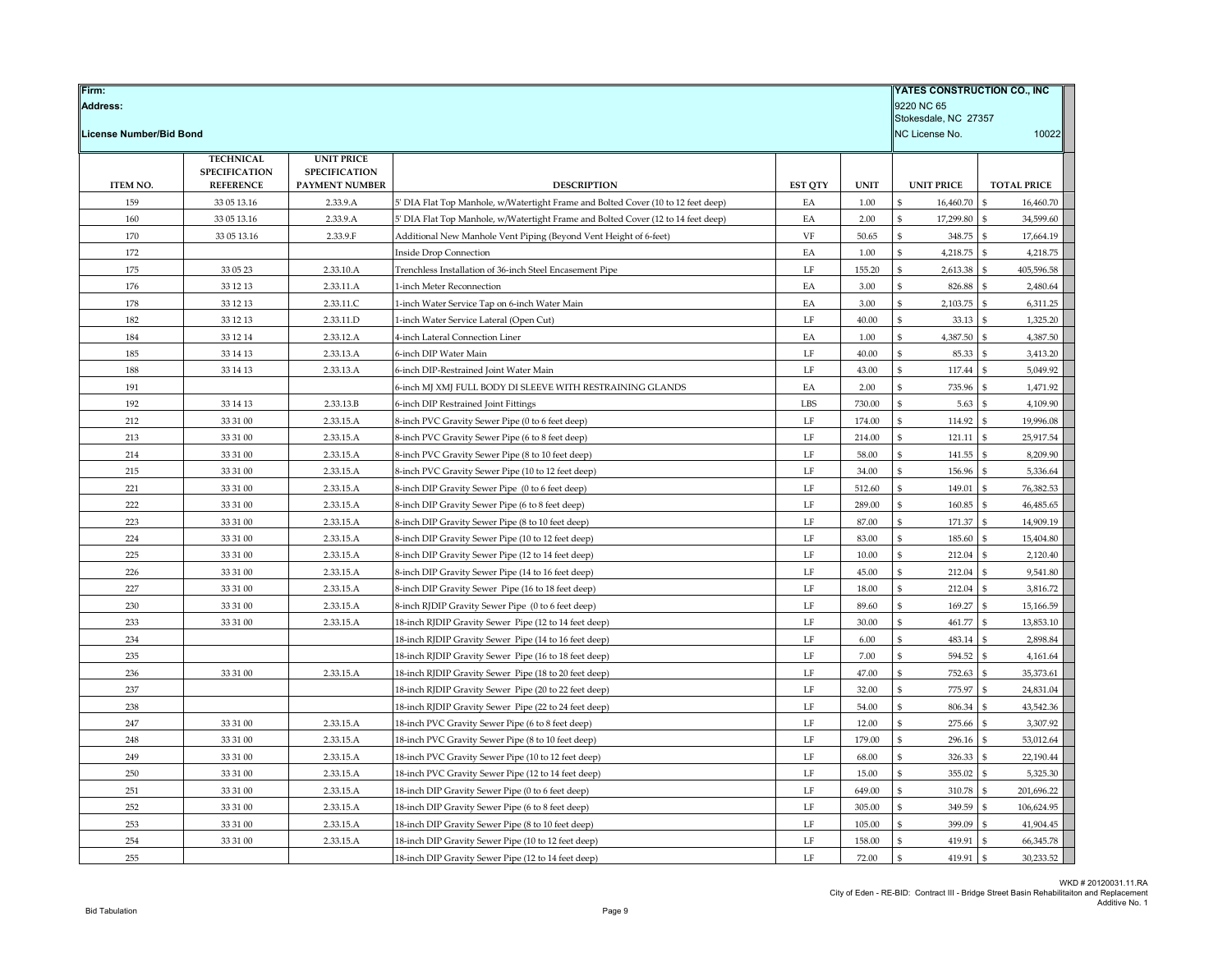| Firm:                   |                      |                        |                                                                                                        |                |                | YATES CONSTRUCTION CO., INC |                                        |
|-------------------------|----------------------|------------------------|--------------------------------------------------------------------------------------------------------|----------------|----------------|-----------------------------|----------------------------------------|
| <b>Address:</b>         |                      |                        |                                                                                                        |                |                | 9220 NC 65                  |                                        |
|                         |                      |                        |                                                                                                        |                |                | Stokesdale, NC 27357        |                                        |
| License Number/Bid Bond |                      |                        |                                                                                                        |                |                | NC License No.              | 10022                                  |
|                         | <b>TECHNICAL</b>     | <b>UNIT PRICE</b>      |                                                                                                        |                |                |                             |                                        |
|                         | <b>SPECIFICATION</b> | <b>SPECIFICATION</b>   |                                                                                                        |                |                |                             |                                        |
| <b>ITEM NO.</b>         | <b>REFERENCE</b>     | PAYMENT NUMBER         | <b>DESCRIPTION</b>                                                                                     | <b>EST OTY</b> | <b>UNIT</b>    | <b>UNIT PRICE</b>           | <b>TOTAL PRICE</b>                     |
| 159                     | 33 05 13.16          | 2.33.9.A               | 5' DIA Flat Top Manhole, w/Watertight Frame and Bolted Cover (10 to 12 feet deep)                      | EA             | 1.00           | 16,460.70                   | 16,460.70<br>\$<br>ፍ                   |
| 160                     | 33 05 13.16          | 2.33.9.A               | 5' DIA Flat Top Manhole, w/Watertight Frame and Bolted Cover (12 to 14 feet deep)                      | EA             | 2.00           | 17,299.80                   | 34,599.60                              |
| 170                     | 33 05 13.16          | 2.33.9.F               | Additional New Manhole Vent Piping (Beyond Vent Height of 6-feet)                                      | VF             | 50.65          | 348.75                      | 17,664.19                              |
| 172                     |                      |                        | <b>Inside Drop Connection</b>                                                                          | EA             | 1.00           | 4,218.75                    | 4,218.75<br>\$                         |
| 175                     | 33 05 23             | 2.33.10.A              | Trenchless Installation of 36-inch Steel Encasement Pipe                                               | LF             | 155.20         | 2,613.38<br>\$              | 405,596.58<br>\$                       |
| 176                     | 33 12 13             | 2.33.11.A              | 1-inch Meter Reconnection                                                                              | EA             | 3.00           | 826.88                      | 2.480.64<br>$\mathfrak{S}$<br>\$.      |
| 178                     | 33 12 13             | 2.33.11.C              | 1-inch Water Service Tap on 6-inch Water Main                                                          | EA             | 3.00           | 2,103.75                    | 6,311.25                               |
| 182                     | 33 12 13             | 2.33.11.D              | 1-inch Water Service Lateral (Open Cut)                                                                | LF             | 40.00          | 33.13<br>4,387.50           | 1,325.20<br>4,387.50<br>\$             |
| 184                     | 33 12 14             | 2.33.12.A              | 4-inch Lateral Connection Liner                                                                        | EA             | 1.00           | 85.33                       |                                        |
| 185<br>188              | 33 14 13<br>33 14 13 | 2.33.13.A<br>2.33.13.A | 6-inch DIP Water Main                                                                                  | LF<br>LF       | 40.00<br>43.00 | 117.44<br>\$                | 3,413.20<br>5.049.92<br>$\mathfrak{S}$ |
|                         |                      |                        | 6-inch DIP-Restrained Joint Water Main                                                                 |                |                | 735.96                      | \$.                                    |
| 191<br>192              | 33 14 13             | 2.33.13.B              | 6-inch MJ XMJ FULL BODY DI SLEEVE WITH RESTRAINING GLANDS                                              | EA<br>LBS      | 2.00<br>730.00 | 5.63                        | 1,471.92<br>4,109.90                   |
| 212                     | 33 31 00             | 2.33.15.A              | 6-inch DIP Restrained Joint Fittings<br>8-inch PVC Gravity Sewer Pipe (0 to 6 feet deep)               | $\rm LF$       | 174.00         | 114.92                      | $\mathbf{s}$<br>19,996.08              |
| 213                     |                      |                        |                                                                                                        | LF             | 214.00         | 121.11                      | 25,917.54<br>\$                        |
| 214                     | 33 31 00<br>33 31 00 | 2.33.15.A<br>2.33.15.A | 8-inch PVC Gravity Sewer Pipe (6 to 8 feet deep)                                                       | LF             | 58.00          | 141.55<br>\$                | 8,209.90<br>$\mathfrak{S}$             |
| 215                     | 33 31 00             | 2.33.15.A              | 8-inch PVC Gravity Sewer Pipe (8 to 10 feet deep)                                                      | $\rm LF$       | 34.00          | 156.96                      | \$<br>5,336.64                         |
| 221                     | 33 31 00             | 2.33.15.A              | 8-inch PVC Gravity Sewer Pipe (10 to 12 feet deep)<br>8-inch DIP Gravity Sewer Pipe (0 to 6 feet deep) | LF             | 512.60         | 149.01                      | 76,382.53                              |
| 222                     | 33 31 00             | 2.33.15.A              | 8-inch DIP Gravity Sewer Pipe (6 to 8 feet deep)                                                       | $\rm LF$       | 289.00         | 160.85                      | 46,485.65<br>$\mathbf{\hat{s}}$        |
| 223                     | 33 31 00             | 2.33.15.A              | 8-inch DIP Gravity Sewer Pipe (8 to 10 feet deep)                                                      | LF             | 87.00          | 171.37                      | 14,909.19<br>\$                        |
| 224                     | 33 31 00             | 2.33.15.A              | 8-inch DIP Gravity Sewer Pipe (10 to 12 feet deep)                                                     | LF             | 83.00          | 185.60<br>\$                | 15,404.80<br>$\mathfrak{S}$            |
| 225                     | 33 31 00             | 2.33.15.A              | 8-inch DIP Gravity Sewer Pipe (12 to 14 feet deep)                                                     | $\rm LF$       | 10.00          | 212.04                      | \$<br>2,120.40                         |
| 226                     | 33 31 00             | 2.33.15.A              | 8-inch DIP Gravity Sewer Pipe (14 to 16 feet deep)                                                     | LF             | 45.00          | 212.04                      | 9,541.80                               |
| 227                     | 33 31 00             | 2.33.15.A              | 8-inch DIP Gravity Sewer Pipe (16 to 18 feet deep)                                                     | $\rm LF$       | 18.00          | 212.04                      | ፍ<br>3,816.72                          |
| 230                     | 33 31 00             | 2.33.15.A              | 8-inch RJDIP Gravity Sewer Pipe (0 to 6 feet deep)                                                     | LF             | 89.60          | 169.27                      | -S<br>15,166.59                        |
| 233                     | 33 31 00             | 2.33.15.A              | 18-inch RJDIP Gravity Sewer Pipe (12 to 14 feet deep)                                                  | LF             | 30.00          | 461.77<br>\$                | 13,853.10<br>$\mathfrak{S}$            |
| 234                     |                      |                        | 18-inch RJDIP Gravity Sewer Pipe (14 to 16 feet deep)                                                  | LF             | 6.00           | 483.14                      | 2,898.84<br>\$                         |
| 235                     |                      |                        | 18-inch RJDIP Gravity Sewer Pipe (16 to 18 feet deep)                                                  | LF             | 7.00           | 594.52                      | 4,161.64                               |
| 236                     | 33 31 00             | 2.33.15.A              | 18-inch RJDIP Gravity Sewer Pipe (18 to 20 feet deep)                                                  | $\rm LF$       | 47.00          | 752.63                      | 35,373.61<br>\$                        |
| 237                     |                      |                        | 18-inch RJDIP Gravity Sewer Pipe (20 to 22 feet deep)                                                  | LF             | 32.00          | 775.97                      | $\mathbf{s}$<br>24,831.04              |
| 238                     |                      |                        | 18-inch RJDIP Gravity Sewer Pipe (22 to 24 feet deep)                                                  | $\rm LF$       | 54.00          | 806.34<br>\$                | 43,542.36<br>$\mathfrak{S}$            |
| 247                     | 33 31 00             | 2.33.15.A              | 18-inch PVC Gravity Sewer Pipe (6 to 8 feet deep)                                                      | LF             | 12.00          | 275.66                      | 3,307.92                               |
| 248                     | 33 31 00             | 2.33.15.A              | 18-inch PVC Gravity Sewer Pipe (8 to 10 feet deep)                                                     | LF             | 179.00         | 296.16                      | 53,012.64                              |
| 249                     | 33 31 00             | 2.33.15.A              | 18-inch PVC Gravity Sewer Pipe (10 to 12 feet deep)                                                    | $\rm LF$       | 68.00          | 326.33                      | 22,190.44<br>\$                        |
| 250                     | 33 31 00             | 2.33.15.A              | 18-inch PVC Gravity Sewer Pipe (12 to 14 feet deep)                                                    | LF             | 15.00          | 355.02                      | $\mathbf{s}$<br>5,325.30               |
| 251                     | 33 31 00             | 2.33.15.A              | 18-inch DIP Gravity Sewer Pipe (0 to 6 feet deep)                                                      | $\rm LF$       | 649.00         | 310.78<br>\$                | $\mathbf{s}$<br>201,696.22             |
| 252                     | 33 31 00             | 2.33.15.A              | 18-inch DIP Gravity Sewer Pipe (6 to 8 feet deep)                                                      | LF             | 305.00         | 349.59                      | 106,624.95<br>£,                       |
| 253                     | 33 31 00             | 2.33.15.A              | 18-inch DIP Gravity Sewer Pipe (8 to 10 feet deep)                                                     | LF             | 105.00         | 399.09                      | 41,904.45                              |
| 254                     | 33 31 00             | 2.33.15.A              | 18-inch DIP Gravity Sewer Pipe (10 to 12 feet deep)                                                    | $\rm LF$       | 158.00         | 419.91                      | 66,345.78                              |
| 255                     |                      |                        | 18-inch DIP Gravity Sewer Pipe (12 to 14 feet deep)                                                    | LF             | 72.00          | \$<br>419.91                | 30,233.52<br>$\mathbf{s}$              |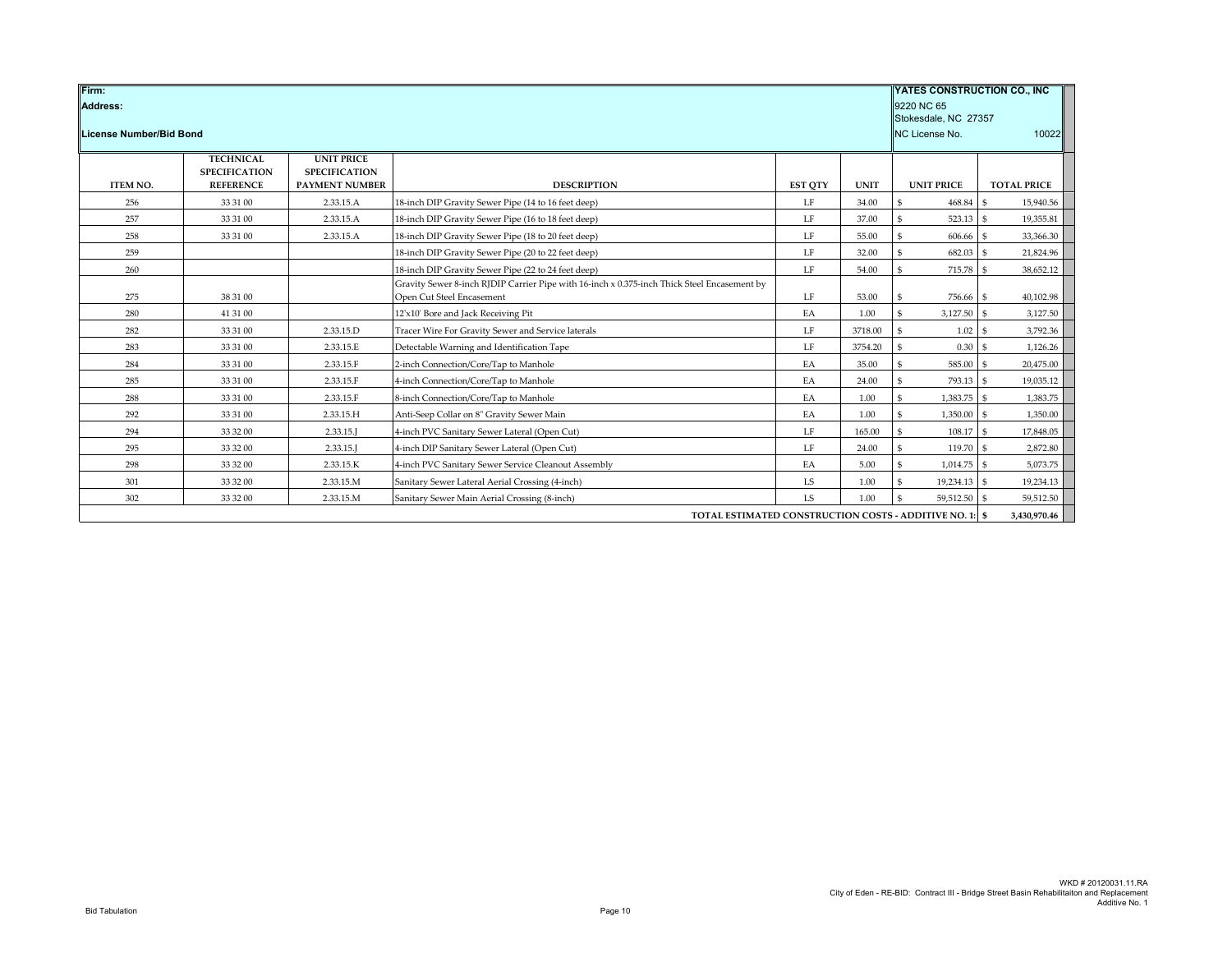| Firm:<br>Address: | YATES CONSTRUCTION CO., INC.<br>9220 NC 65<br>Stokesdale, NC 27357 |                                                                    |                                                                                                                          |                |             |                     |                     |
|-------------------|--------------------------------------------------------------------|--------------------------------------------------------------------|--------------------------------------------------------------------------------------------------------------------------|----------------|-------------|---------------------|---------------------|
|                   | NC License No.<br>License Number/Bid Bond                          |                                                                    |                                                                                                                          |                |             |                     | 10022               |
| <b>ITEM NO.</b>   | <b>TECHNICAL</b><br><b>SPECIFICATION</b><br><b>REFERENCE</b>       | <b>UNIT PRICE</b><br><b>SPECIFICATION</b><br><b>PAYMENT NUMBER</b> | <b>DESCRIPTION</b>                                                                                                       | <b>EST QTY</b> | <b>UNIT</b> | <b>UNIT PRICE</b>   | <b>TOTAL PRICE</b>  |
| 256               | 33 31 00                                                           | 2.33.15.A                                                          | 18-inch DIP Gravity Sewer Pipe (14 to 16 feet deep)                                                                      | LF             | 34.00       | \$<br>468.84        | $.$ \$<br>15,940.56 |
| 257               | 33 31 00                                                           | 2.33.15.A                                                          | 18-inch DIP Gravity Sewer Pipe (16 to 18 feet deep)                                                                      | LF             | 37.00       | \$<br>523.13 \$     | 19,355.81           |
| 258               | 33 31 00                                                           | 2.33.15.A                                                          | 18-inch DIP Gravity Sewer Pipe (18 to 20 feet deep)                                                                      | LF             | 55.00       | \$<br>606.66        | \$<br>33,366.30     |
| 259               |                                                                    |                                                                    | 18-inch DIP Gravity Sewer Pipe (20 to 22 feet deep)                                                                      | LF             | 32.00       | 682.03<br>\$        | 21,824.96           |
| 260               |                                                                    |                                                                    | 18-inch DIP Gravity Sewer Pipe (22 to 24 feet deep)                                                                      | LF             | 54.00       | \$<br>715.78 \$     | 38,652.12           |
| 275               | 38 31 00                                                           |                                                                    | Gravity Sewer 8-inch RJDIP Carrier Pipe with 16-inch x 0.375-inch Thick Steel Encasement by<br>Open Cut Steel Encasement | $\rm LF$       | 53.00       | \$<br>756.66 \$     | 40,102.98           |
| 280               | 41 31 00                                                           |                                                                    | 12'x10' Bore and Jack Receiving Pit                                                                                      | EA             | 1.00        | $3,127.50$ \$<br>\$ | 3,127.50            |
| 282               | 33 31 00                                                           | 2.33.15.D                                                          | Tracer Wire For Gravity Sewer and Service laterals                                                                       | LF             | 3718.00     | 1.02<br>\$          | 3,792.36<br>-S      |
| 283               | 33 31 00                                                           | 2.33.15.E                                                          | Detectable Warning and Identification Tape                                                                               | LF             | 3754.20     | \$<br>$0.30-5$      | 1,126.26            |
| 284               | 33 31 00                                                           | 2.33.15.F                                                          | 2-inch Connection/Core/Tap to Manhole                                                                                    | EA             | 35.00       | \$<br>585.00 \$     | 20,475.00           |
| 285               | 33 31 00                                                           | 2.33.15.F                                                          | 4-inch Connection/Core/Tap to Manhole                                                                                    | EA             | 24.00       | \$<br>793.13 \$     | 19,035.12           |
| 288               | 33 31 00                                                           | 2.33.15.F                                                          | 8-inch Connection/Core/Tap to Manhole                                                                                    | EA             | 1.00        | 1,383.75 \$<br>\$   | 1,383.75            |
| 292               | 33 31 00                                                           | 2.33.15.H                                                          | Anti-Seep Collar on 8" Gravity Sewer Main                                                                                | EA             | 1.00        | \$<br>1,350.00 \$   | 1,350.00            |
| 294               | 33 32 00                                                           | 2.33.15.                                                           | 4-inch PVC Sanitary Sewer Lateral (Open Cut)                                                                             | LF             | 165.00      | 108.17 \$<br>\$     | 17,848.05           |
| 295               | 33 32 00                                                           | 2.33.15.1                                                          | 4-inch DIP Sanitary Sewer Lateral (Open Cut)                                                                             | LF             | 24.00       | \$<br>119.70 \$     | 2,872.80            |
| 298               | 33 32 00                                                           | 2.33.15.K                                                          | 4-inch PVC Sanitary Sewer Service Cleanout Assembly                                                                      | EA             | 5.00        | \$<br>$1,014.75$ \$ | 5,073.75            |
| 301               | 33 32 00                                                           | 2.33.15.M                                                          | Sanitary Sewer Lateral Aerial Crossing (4-inch)                                                                          | <b>LS</b>      | 1.00        | 19,234.13 \$<br>\$  | 19,234.13           |
| 302               | 33 32 00                                                           | 2.33.15.M                                                          | Sanitary Sewer Main Aerial Crossing (8-inch)                                                                             | <b>LS</b>      | 1.00        | 59,512.50 \$<br>\$  | 59,512.50           |
|                   |                                                                    |                                                                    | TOTAL ESTIMATED CONSTRUCTION COSTS - ADDITIVE NO. 1: \$                                                                  |                |             |                     | 3,430,970.46        |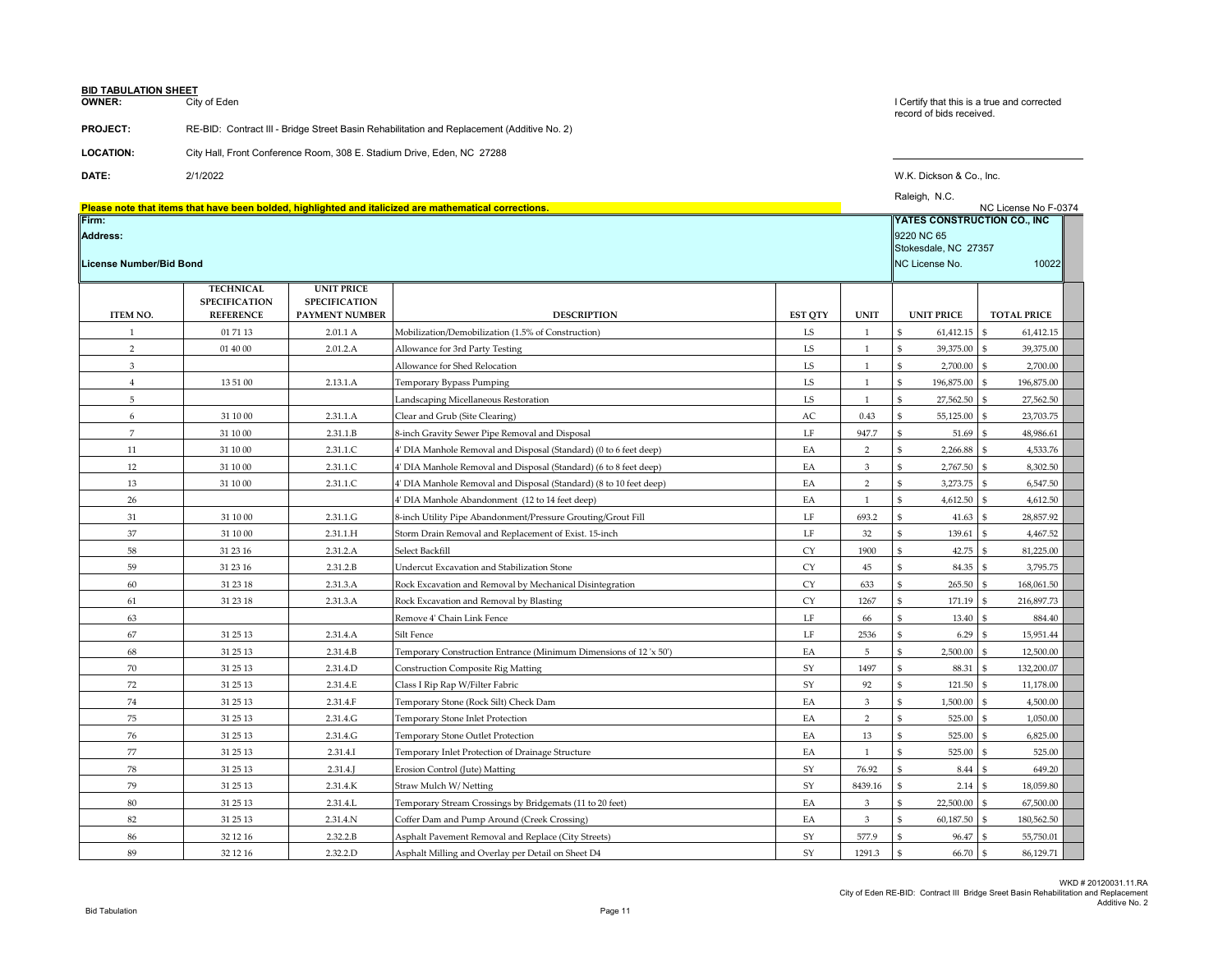# **BID TABULATION SHEET**<br>**OWNER:** City

City of Eden

### **PROJECT:** RE-BID: Contract III - Bridge Street Basin Rehabilitation and Replacement (Additive No. 2)

**OWNER:** City of Eden City of Eden and corrected the state and corrected that this is a true and corrected record of bids received.

| <b>LOCATION:</b> | City Hall, Front Conference Room, 308 E. Stadium Drive, Eden, NC 27288 |
|------------------|------------------------------------------------------------------------|

**DATE:** 2/1/2022 W.K. Dickson & Co., Inc. Raleigh, N.C.

|                         |                                          |                                           |                                                                                                        |                |                | Raleigii, IV.U.              | NC License No F-0374       |
|-------------------------|------------------------------------------|-------------------------------------------|--------------------------------------------------------------------------------------------------------|----------------|----------------|------------------------------|----------------------------|
| Firm:                   |                                          |                                           | Please note that items that have been bolded, highlighted and italicized are mathematical corrections. |                |                | YATES CONSTRUCTION CO., INC  |                            |
| <b>Address:</b>         |                                          |                                           |                                                                                                        |                |                | 9220 NC 65                   |                            |
|                         |                                          |                                           |                                                                                                        |                |                | Stokesdale, NC 27357         |                            |
| License Number/Bid Bond |                                          |                                           |                                                                                                        |                |                | NC License No.               | 10022                      |
|                         |                                          |                                           |                                                                                                        |                |                |                              |                            |
|                         | <b>TECHNICAL</b><br><b>SPECIFICATION</b> | <b>UNIT PRICE</b><br><b>SPECIFICATION</b> |                                                                                                        |                |                |                              |                            |
| <b>ITEM NO.</b>         | <b>REFERENCE</b>                         | <b>PAYMENT NUMBER</b>                     | <b>DESCRIPTION</b>                                                                                     | <b>EST QTY</b> | <b>UNIT</b>    | <b>UNIT PRICE</b>            | <b>TOTAL PRICE</b>         |
| 1                       | 01 71 13                                 | 2.01.1 A                                  | Mobilization/Demobilization (1.5% of Construction)                                                     | LS             | $\mathbf{1}$   | \$<br>61,412.15              | 61,412.15<br>-S            |
| $\overline{2}$          | 01 40 00                                 | 2.01.2.A                                  | Allowance for 3rd Party Testing                                                                        | LS             | $\mathbf{1}$   | \$<br>39,375.00              | \$.<br>39,375.00           |
| 3                       |                                          |                                           | Allowance for Shed Relocation                                                                          | LS.            | $\mathbf{1}$   | \$<br>2,700.00               | 2,700.00<br>-S             |
| $\overline{4}$          | 13 51 00                                 | 2.13.1.A                                  | Temporary Bypass Pumping                                                                               | LS             | $\mathbf{1}$   | \$<br>196,875.00             | 196,875.00                 |
| 5                       |                                          |                                           | Landscaping Micellaneous Restoration                                                                   | LS             | 1              | \$<br>27,562.50              | 27,562.50<br>ፍ             |
| 6                       | 31 10 00                                 | 2.31.1.A                                  | Clear and Grub (Site Clearing)                                                                         | AC             | 0.43           | \$<br>55,125.00              | 23,703.75<br>\$.           |
| $\overline{7}$          | 31 10 00                                 | 2.31.1.B                                  | 8-inch Gravity Sewer Pipe Removal and Disposal                                                         | LF             | 947.7          | \$<br>51.69                  | 48,986.61                  |
| 11                      | 31 10 00                                 | 2.31.1.C                                  | 4' DIA Manhole Removal and Disposal (Standard) (0 to 6 feet deep)                                      | EA             | $\overline{2}$ | $\mathsf{\$}$<br>2,266.88    | 4,533.76                   |
| 12                      | 31 10 00                                 | 2.31.1.C                                  | 4' DIA Manhole Removal and Disposal (Standard) (6 to 8 feet deep)                                      | EA             | 3              | \$<br>2,767.50               | 8,302.50                   |
| 13                      | 31 10 00                                 | 2.31.1.C                                  | 4' DIA Manhole Removal and Disposal (Standard) (8 to 10 feet deep)                                     | EA             | $\overline{2}$ | \$<br>3,273.75               | 6,547.50<br>\$.            |
| 26                      |                                          |                                           | 4' DIA Manhole Abandonment (12 to 14 feet deep)                                                        | EA             | $\mathbf{1}$   | $\mathsf{\$}$<br>4,612.50    | \$<br>4,612.50             |
| 31                      | 31 10 00                                 | 2.31.1.G                                  | 8-inch Utility Pipe Abandonment/Pressure Grouting/Grout Fill                                           | LF             | 693.2          | \$<br>41.63                  | 28,857.92<br>\$.           |
| 37                      | 31 10 00                                 | 2.31.1.H                                  | Storm Drain Removal and Replacement of Exist. 15-inch                                                  | LF             | 32             | \$<br>139.61                 | 4,467.52<br>£.             |
| 58                      | 31 23 16                                 | 2.31.2.A                                  | Select Backfill                                                                                        | <b>CY</b>      | 1900           | \$<br>42.75                  | 81,225.00<br>$\mathbf{s}$  |
| 59                      | 31 23 16                                 | 2.31.2.B                                  | Undercut Excavation and Stabilization Stone                                                            | CY             | 45             | $\mathsf{\$}$<br>84.35       | ፍ<br>3,795.75              |
| 60                      | 31 23 18                                 | 2.31.3.A                                  | Rock Excavation and Removal by Mechanical Disintegration                                               | CY             | 633            | $\mathbb{S}$<br>265.50       | 168,061.50<br>$\mathbf{s}$ |
| 61                      | 31 23 18                                 | 2.31.3.A                                  | Rock Excavation and Removal by Blasting                                                                | <b>CY</b>      | 1267           | \$<br>171.19                 | 216,897.73<br>\$.          |
| 63                      |                                          |                                           | Remove 4' Chain Link Fence                                                                             | LF             | 66             | \$<br>13.40                  | 884.40<br>$\mathfrak{S}$   |
| 67                      | 31 25 13                                 | 2.31.4.A                                  | Silt Fence                                                                                             | LF             | 2536           | \$<br>6.29                   | 15,951.44<br>-S            |
| 68                      | 31 25 13                                 | 2.31.4.B                                  | Temporary Construction Entrance (Minimum Dimensions of 12 'x 50')                                      | EA             | 5              | $\mathsf{\$}$<br>2,500.00    | \$<br>12,500.00            |
| 70                      | 31 25 13                                 | 2.31.4.D                                  | <b>Construction Composite Rig Matting</b>                                                              | SY             | 1497           | \$<br>88.31                  | 132,200.07<br>\$           |
| 72                      | 31 25 13                                 | 2.31.4.E                                  | Class I Rip Rap W/Filter Fabric                                                                        | SY             | 92             | \$<br>121.50                 | 11,178.00<br>l \$          |
| 74                      | 31 25 13                                 | 2.31.4.F                                  | Temporary Stone (Rock Silt) Check Dam                                                                  | EA             | 3              | \$<br>1,500.00               | 4,500.00<br>-S             |
| 75                      | 31 25 13                                 | 2.31.4.G                                  | Temporary Stone Inlet Protection                                                                       | EA             | 2              | \$<br>525.00                 | 1,050.00<br>\$.            |
| 76                      | 31 25 13                                 | 2.31.4.G                                  | Temporary Stone Outlet Protection                                                                      | EA             | 13             | $\mathsf{\$}$<br>525.00      | 6,825.00                   |
| 77                      | 31 25 13                                 | 2.31.4.I                                  | Temporary Inlet Protection of Drainage Structure                                                       | EA             | $\mathbf{1}$   | $\mathbf{\hat{s}}$<br>525.00 | 525.00<br>\$.              |
| 78                      | 31 25 13                                 | 2.31.4                                    | Erosion Control (Jute) Matting                                                                         | SY             | 76.92          | \$<br>8.44                   | 649.20<br>l s              |
| 79                      | 31 25 13                                 | 2.31.4.K                                  | Straw Mulch W/Netting                                                                                  | SY             | 8439.16        | \$<br>2.14                   | 18,059.80<br>\$.           |
| 80                      | 31 25 13                                 | 2.31.4.L                                  | Temporary Stream Crossings by Bridgemats (11 to 20 feet)                                               | EA             | 3              | \$<br>22,500.00              | $\mathbf{s}$<br>67,500.00  |
| 82                      | 31 25 13                                 | 2.31.4.N                                  | Coffer Dam and Pump Around (Creek Crossing)                                                            | EA             | 3              | \$<br>60,187.50              | 180,562.50                 |
| 86                      | 32 12 16                                 | 2.32.2.B                                  | Asphalt Pavement Removal and Replace (City Streets)                                                    | SY             | 577.9          | $\mathsf{\$}$<br>96.47       | 55,750.01                  |
| 89                      | 32 12 16                                 | 2.32.2.D                                  | Asphalt Milling and Overlay per Detail on Sheet D4                                                     | SY             | 1291.3         | \$<br>66.70                  | $\mathsf{s}$<br>86,129.71  |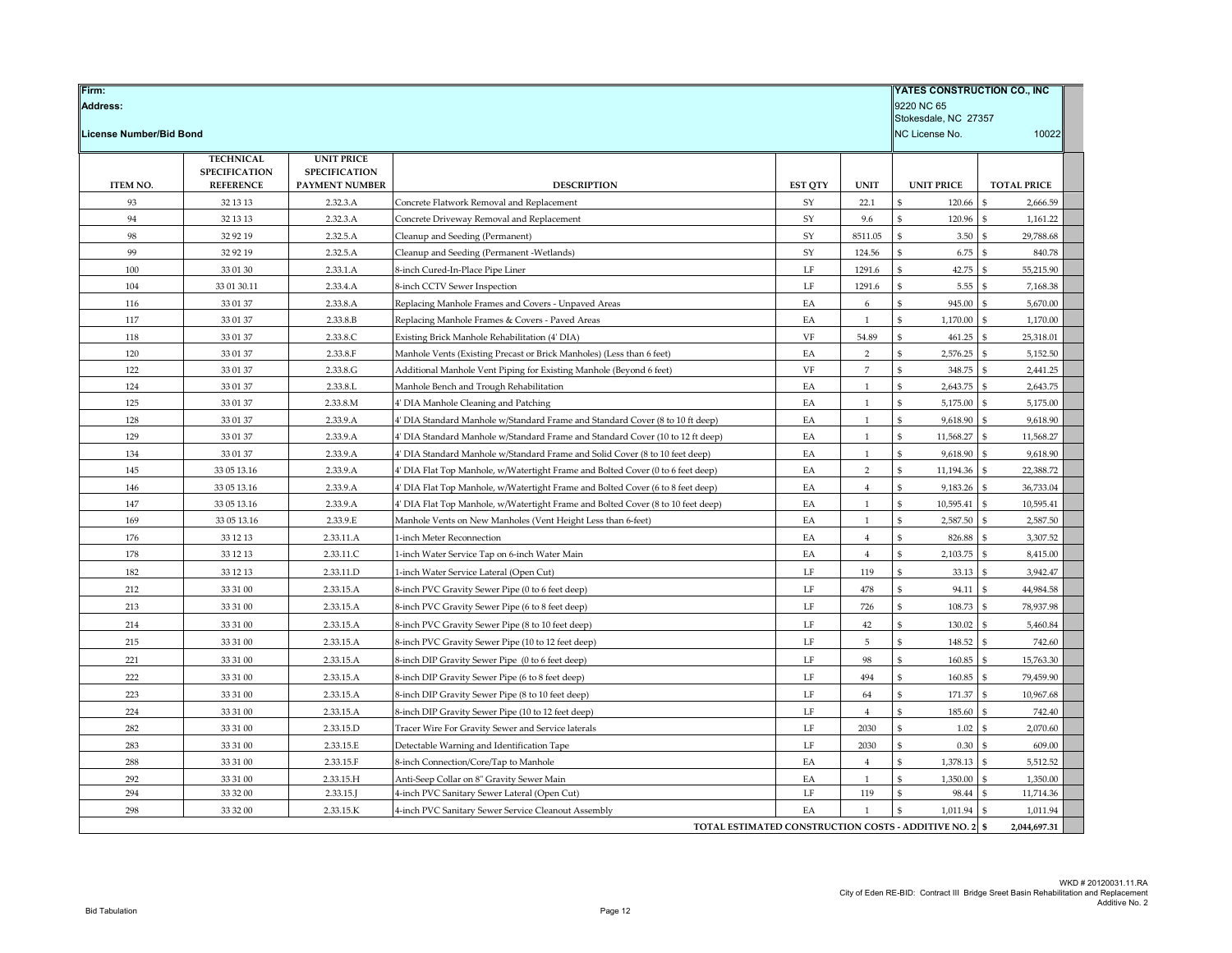| Firm:                                                  |                              |                            |                                                                                                                                                                |                      |                     | <b>YATES CONSTRUCTION CO., INC</b> |                                |
|--------------------------------------------------------|------------------------------|----------------------------|----------------------------------------------------------------------------------------------------------------------------------------------------------------|----------------------|---------------------|------------------------------------|--------------------------------|
| <b>Address:</b>                                        |                              |                            |                                                                                                                                                                |                      |                     | 9220 NC 65                         |                                |
| Stokesdale, NC 27357                                   |                              |                            |                                                                                                                                                                |                      |                     |                                    |                                |
| <b>License Number/Bid Bond</b>                         |                              |                            |                                                                                                                                                                |                      |                     | NC License No.                     | 10022                          |
|                                                        | <b>TECHNICAL</b>             | <b>UNIT PRICE</b>          |                                                                                                                                                                |                      |                     |                                    |                                |
|                                                        | <b>SPECIFICATION</b>         | <b>SPECIFICATION</b>       |                                                                                                                                                                |                      |                     |                                    |                                |
| ITEM NO.<br>93                                         | <b>REFERENCE</b><br>32 13 13 | PAYMENT NUMBER<br>2.32.3.A | <b>DESCRIPTION</b><br>Concrete Flatwork Removal and Replacement                                                                                                | <b>EST QTY</b><br>SY | <b>UNIT</b><br>22.1 | <b>UNIT PRICE</b><br>\$<br>120.66  | <b>TOTAL PRICE</b><br>2,666.59 |
| 94                                                     | 32 13 13                     | 2.32.3.A                   | Concrete Driveway Removal and Replacement                                                                                                                      | SY                   | 9.6                 | $\mathsf{\$}$<br>120.96            | 1,161.22<br>\$                 |
| 98                                                     | 32 92 19                     | 2.32.5.A                   | Cleanup and Seeding (Permanent)                                                                                                                                | SY                   | 8511.05             | \$<br>3.50                         | 29,788.68                      |
| 99                                                     | 32 92 19                     | 2.32.5.A                   | Cleanup and Seeding (Permanent -Wetlands)                                                                                                                      | SY                   | 124.56              | 6.75<br>\$                         | 840.78                         |
| 100                                                    | 33 01 30                     | 2.33.1.A                   | 8-inch Cured-In-Place Pipe Liner                                                                                                                               | $\rm LF$             | 1291.6              | $\mathfrak{S}$<br>42.75            | 55,215.90                      |
| 104                                                    | 33 01 30.11                  | 2.33.4.A                   | 8-inch CCTV Sewer Inspection                                                                                                                                   | LF                   | 1291.6              | ፍ<br>5.55                          | 7,168.38                       |
| 116                                                    | 33 01 37                     | 2.33.8.A                   | Replacing Manhole Frames and Covers - Unpaved Areas                                                                                                            | EA                   | 6                   | \$<br>945.00                       | 5,670.00<br>\$                 |
| 117                                                    | 33 01 37                     | 2.33.8.B                   | Replacing Manhole Frames & Covers - Paved Areas                                                                                                                | EA                   | 1                   | $\mathfrak{S}$<br>1,170.00         | 1,170.00                       |
| 118                                                    | 33 01 37                     | 2.33.8.C                   | Existing Brick Manhole Rehabilitation (4' DIA)                                                                                                                 | VF                   | 54.89               | $\mathsf{\$}$<br>461.25            | 25,318.01                      |
| 120                                                    | 33 01 37                     | 2.33.8.F                   | Manhole Vents (Existing Precast or Brick Manholes) (Less than 6 feet)                                                                                          | EA                   | 2                   | \$<br>2,576.25                     | 5,152.50<br>$\mathbf{S}$       |
| 122                                                    | 33 01 37                     | 2.33.8.G                   | Additional Manhole Vent Piping for Existing Manhole (Beyond 6 feet)                                                                                            | VF                   | $\overline{7}$      | $\mathbf{\hat{s}}$<br>348.75       | 2,441.25                       |
| 124                                                    | 33 01 37                     | 2.33.8.L                   | Manhole Bench and Trough Rehabilitation                                                                                                                        | EA                   | $\mathbf{1}$        | $\mathfrak{S}$<br>2,643.75         | 2,643.75<br>-9                 |
| 125                                                    |                              |                            |                                                                                                                                                                |                      | -1                  | 5,175.00<br>\$                     |                                |
| 128                                                    | 33 01 37<br>33 01 37         | 2.33.8.M<br>2.33.9.A       | 4' DIA Manhole Cleaning and Patching                                                                                                                           | EA<br>EA             | $\mathbf{1}$        | \$<br>9,618.90                     | 5,175.00<br>9,618.90           |
| 129                                                    | 33 01 37                     |                            | 4' DIA Standard Manhole w/Standard Frame and Standard Cover (8 to 10 ft deep)                                                                                  |                      |                     | \$                                 | -S                             |
| 134                                                    | 33 01 37                     | 2.33.9.A<br>2.33.9.A       | 4' DIA Standard Manhole w/Standard Frame and Standard Cover (10 to 12 ft deep)<br>4' DIA Standard Manhole w/Standard Frame and Solid Cover (8 to 10 feet deep) | EA<br>EA             | 1<br>$\mathbf{1}$   | 11,568.27<br>\$<br>9,618.90        | 11,568.27<br>9,618.90          |
|                                                        |                              |                            |                                                                                                                                                                |                      | $\overline{2}$      | \$                                 | -S                             |
| 145                                                    | 33 05 13.16                  | 2.33.9.A                   | 4' DIA Flat Top Manhole, w/Watertight Frame and Bolted Cover (0 to 6 feet deep)                                                                                | EA                   |                     | 11,194.36<br>$\mathfrak{S}$        | 22,388.72<br>\$.               |
| 146                                                    | 33 05 13.16                  | 2.33.9.A                   | 4' DIA Flat Top Manhole, w/Watertight Frame and Bolted Cover (6 to 8 feet deep)                                                                                | EA                   | $\overline{4}$      | 9,183.26                           | 36,733.04                      |
| 147                                                    | 33 05 13.16                  | 2.33.9.A                   | 4' DIA Flat Top Manhole, w/Watertight Frame and Bolted Cover (8 to 10 feet deep)                                                                               | EA                   | -1                  | \$<br>10,595.41                    | 10,595.41<br>S                 |
| 169                                                    | 33 05 13.16                  | 2.33.9.E                   | Manhole Vents on New Manholes (Vent Height Less than 6-feet)                                                                                                   | EA                   | $\mathbf{1}$        | \$<br>2,587.50                     | 2,587.50                       |
| 176                                                    | 33 12 13                     | 2.33.11.A                  | 1-inch Meter Reconnection                                                                                                                                      | EA                   | $\overline{4}$      | \$<br>826.88                       | 3,307.52<br>\$                 |
| 178                                                    | 33 12 13                     | 2.33.11.C                  | 1-inch Water Service Tap on 6-inch Water Main                                                                                                                  | EA                   | $\overline{4}$      | \$<br>2,103.75                     | 8,415.00<br>\$                 |
| 182                                                    | 33 12 13                     | 2.33.11.D                  | 1-inch Water Service Lateral (Open Cut)                                                                                                                        | $\rm LF$             | 119                 | \$<br>33.13                        | 3,942.47<br>$\mathbf{S}$       |
| 212                                                    | 33 31 00                     | 2.33.15.A                  | 8-inch PVC Gravity Sewer Pipe (0 to 6 feet deep)                                                                                                               | $\rm LF$             | 478                 | $\mathsf{\$}$<br>94.11             | 44,984.58<br>£,                |
| 213                                                    | 33 31 00                     | 2.33.15.A                  | 8-inch PVC Gravity Sewer Pipe (6 to 8 feet deep)                                                                                                               | $\rm LF$             | 726                 | 108.73<br>\$                       | 78,937.98<br>\$                |
| 214                                                    | 33 31 00                     | 2.33.15.A                  | 8-inch PVC Gravity Sewer Pipe (8 to 10 feet deep)                                                                                                              | LF                   | 42                  | 130.02<br>\$                       | 5,460.84                       |
| 215                                                    | 33 31 00                     | 2.33.15.A                  | 8-inch PVC Gravity Sewer Pipe (10 to 12 feet deep)                                                                                                             | $\rm LF$             | $\,$ 5 $\,$         | \$<br>148.52                       | 742.60<br>ፍ                    |
| 221                                                    | 33 31 00                     | 2.33.15.A                  | 8-inch DIP Gravity Sewer Pipe (0 to 6 feet deep)                                                                                                               | $\rm LF$             | 98                  | $\mathsf{\$}$<br>160.85            | 15,763.30                      |
| 222                                                    | 33 31 00                     | 2.33.15.A                  | 8-inch DIP Gravity Sewer Pipe (6 to 8 feet deep)                                                                                                               | LF                   | 494                 | \$<br>160.85                       | 79,459.90<br>£,                |
| 223                                                    | 33 31 00                     | 2.33.15.A                  | 8-inch DIP Gravity Sewer Pipe (8 to 10 feet deep)                                                                                                              | LF                   | 64                  | 171.37<br>\$                       | 10,967.68                      |
| 224                                                    | 33 31 00                     | 2.33.15.A                  | 8-inch DIP Gravity Sewer Pipe (10 to 12 feet deep)                                                                                                             | LF                   | $\overline{4}$      | \$<br>185.60                       | 742.40<br>\$                   |
| 282                                                    | 33 31 00                     | 2.33.15.D                  | Tracer Wire For Gravity Sewer and Service laterals                                                                                                             | $\rm LF$             | 2030                | $\mathsf{\$}$<br>1.02              | 2,070.60<br>\$                 |
| 283                                                    | 33 31 00                     | 2.33.15.E                  | Detectable Warning and Identification Tape                                                                                                                     | $\rm LF$             | 2030                | \$<br>0.30                         | 609.00                         |
| 288                                                    | 33 31 00                     | 2.33.15.F                  | 8-inch Connection/Core/Tap to Manhole                                                                                                                          | EA                   | $\overline{4}$      | \$<br>1,378.13                     | 5,512.52<br>-9                 |
| 292                                                    | 33 31 00                     | 2.33.15.H                  | Anti-Seep Collar on 8" Gravity Sewer Main                                                                                                                      | EA                   | $\mathbf{1}$        | \$<br>1,350.00                     | 1,350.00<br>\$                 |
| 294                                                    | 33 32 00                     | 2.33.15.J                  | 4-inch PVC Sanitary Sewer Lateral (Open Cut)                                                                                                                   | LF                   | 119                 | \$<br>98.44                        | 11,714.36                      |
| 298                                                    | 33 32 00                     | 2.33.15.K                  | 4-inch PVC Sanitary Sewer Service Cleanout Assembly                                                                                                            | EA                   | $\mathbf{1}$        | \$<br>1,011.94                     | 1,011.94<br>\$                 |
| TOTAL ESTIMATED CONSTRUCTION COSTS - ADDITIVE NO. 2 \$ |                              |                            |                                                                                                                                                                |                      |                     | 2,044,697.31                       |                                |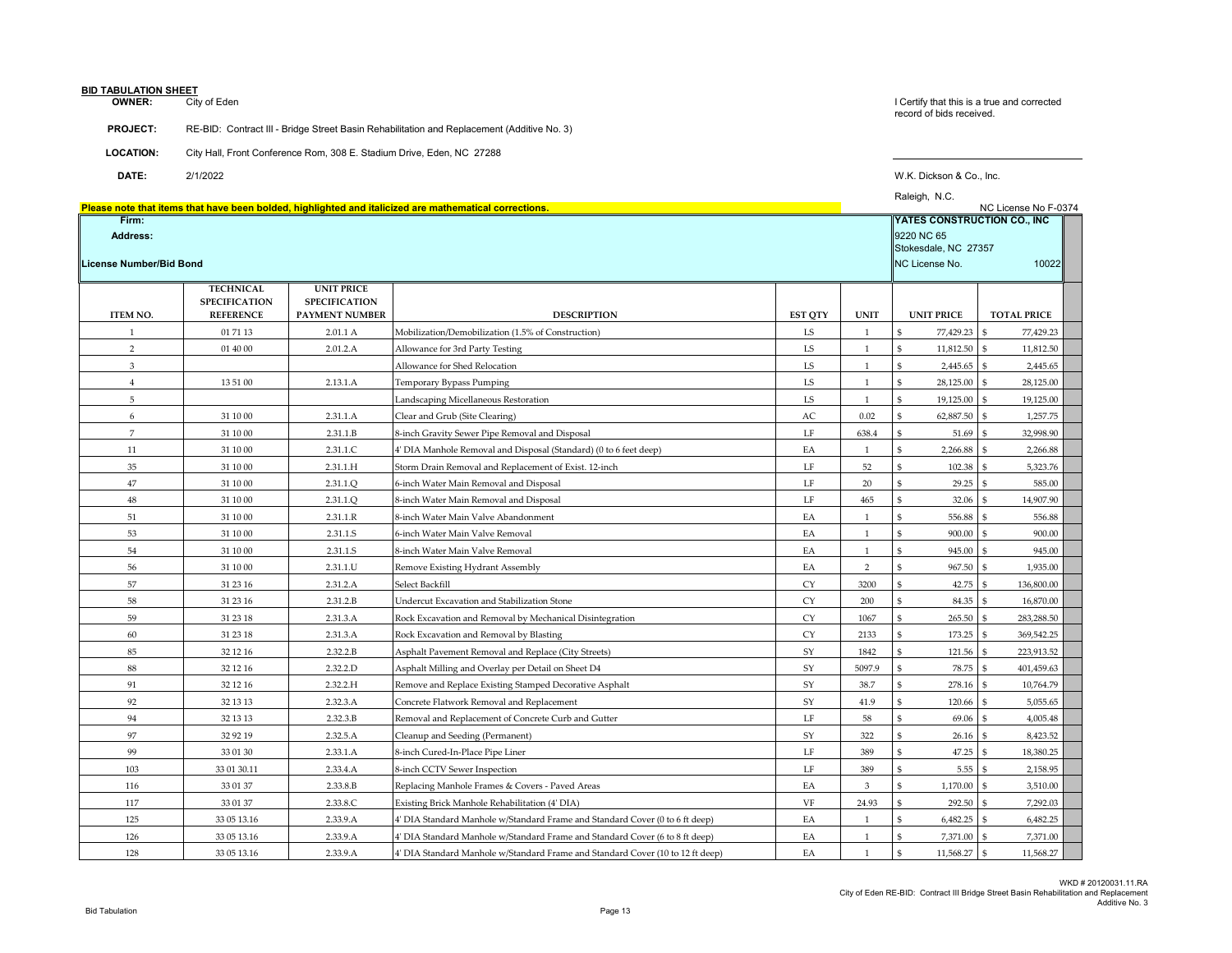# **BID TABULATION SHEET<br>OWNER:** City

City of Eden

**PROJECT:** RE-BID: Contract III - Bridge Street Basin Rehabilitation and Replacement (Additive No. 3)

**OWNER:** City of Eden Corrected Corrected in this is a true and corrected corrected corrected corrected in the state and corrected corrected corrected corrected in the state and corrected corrected corrected in the state a

| <b>LOCATION:</b> | City Hall, Front Conference Rom, 308 E. Stadium Drive, Eden, NC 27288 |
|------------------|-----------------------------------------------------------------------|

**DATE:** 2/1/2022 W.K. Dickson & Co., Inc.

|                                              |                                                                                                     |                                                             | Please note that items that have been bolded, highlighted and italicized are mathematical corrections. |                |                | Raleigh, N.C.                | NC License No F-0374         |
|----------------------------------------------|-----------------------------------------------------------------------------------------------------|-------------------------------------------------------------|--------------------------------------------------------------------------------------------------------|----------------|----------------|------------------------------|------------------------------|
| Firm:<br>Address:<br>License Number/Bid Bond | <b>YATES CONSTRUCTION CO., INC</b><br>9220 NC 65<br>Stokesdale, NC 27357<br>NC License No.<br>10022 |                                                             |                                                                                                        |                |                |                              |                              |
| <b>ITEM NO.</b>                              | <b>TECHNICAL</b><br><b>SPECIFICATION</b><br><b>REFERENCE</b>                                        | <b>UNIT PRICE</b><br><b>SPECIFICATION</b><br>PAYMENT NUMBER | <b>DESCRIPTION</b>                                                                                     | <b>EST QTY</b> | <b>UNIT</b>    | <b>UNIT PRICE</b>            | <b>TOTAL PRICE</b>           |
| $\mathbf{1}$                                 | 01 71 13                                                                                            | 2.01.1 A                                                    | Mobilization/Demobilization (1.5% of Construction)                                                     | LS             | <sup>1</sup>   | 77,429.23                    | 77,429.23                    |
| $\overline{2}$                               | 01 40 00                                                                                            | 2.01.2.A                                                    | Allowance for 3rd Party Testing                                                                        | LS             | <sup>1</sup>   | \$<br>11,812.50              | 11,812.50<br>\$              |
| 3                                            |                                                                                                     |                                                             | Allowance for Shed Relocation                                                                          | LS             | <sup>1</sup>   | \$<br>2,445.65               | \$<br>2,445.65               |
| $\overline{4}$                               | 13 51 00                                                                                            | 2.13.1.A                                                    | Temporary Bypass Pumping                                                                               | ${\rm LS}$     | $\mathbf{1}$   | $\mathbb{S}$<br>28,125.00    | $\mathbf{s}$<br>28,125.00    |
| 5                                            |                                                                                                     |                                                             | Landscaping Micellaneous Restoration                                                                   | ${\rm LS}$     | $\mathbf{1}$   | \$<br>19,125.00              | 19,125.00<br>\$              |
| 6                                            | 31 10 00                                                                                            | 2.31.1.A                                                    | Clear and Grub (Site Clearing)                                                                         | AC             | 0.02           | $\mathbf{S}$<br>62,887.50    | 1,257.75<br>l \$             |
| $\overline{7}$                               | 31 10 00                                                                                            | 2.31.1.B                                                    | 8-inch Gravity Sewer Pipe Removal and Disposal                                                         | LF             | 638.4          | 51.69<br>$\mathfrak{F}$      | 32,998.90                    |
| 11                                           | 31 10 00                                                                                            | 2.31.1.C                                                    | 4' DIA Manhole Removal and Disposal (Standard) (0 to 6 feet deep)                                      | EA             | 1              | $\mathbb{S}$<br>2,266.88     | 2,266.88<br>-S               |
| 35                                           | 31 10 00                                                                                            | 2.31.1.H                                                    | Storm Drain Removal and Replacement of Exist. 12-inch                                                  | LF             | 52             | $\mathfrak{s}$<br>102.38     | 5,323.76<br>ፍ                |
| 47                                           | 31 10 00                                                                                            | 2.31.1.Q                                                    | 6-inch Water Main Removal and Disposal                                                                 | $\rm LF$       | $20\,$         | $\$$<br>29.25                | 585.00<br>$\mathbf{s}$       |
| 48                                           | 31 10 00                                                                                            | 2.31.1.O                                                    | 8-inch Water Main Removal and Disposal                                                                 | LF             | 465            | $\mathbb{S}$<br>32.06        | 14,907.90                    |
| 51                                           | 31 10 00                                                                                            | 2.31.1.R                                                    | 8-inch Water Main Valve Abandonment                                                                    | EA             | $\overline{1}$ | $\hat{\mathbf{s}}$<br>556.88 | 556.88                       |
| 53                                           | 31 10 00                                                                                            | 2.31.1.S                                                    | 6-inch Water Main Valve Removal                                                                        | EA             | <sup>1</sup>   | $\mathbb{S}$<br>900.00       | 900.00<br>\$                 |
| 54                                           | 31 10 00                                                                                            | 2.31.1.S                                                    | 8-inch Water Main Valve Removal                                                                        | EA             | <sup>1</sup>   | \$<br>945.00                 | 945.00<br>-S                 |
| 56                                           | 31 10 00                                                                                            | 2.31.1.U                                                    | Remove Existing Hydrant Assembly                                                                       | EA             | 2              | $\mathbb{S}$<br>967.50       | 1,935.00<br>\$               |
| 57                                           | 31 23 16                                                                                            | 2.31.2.A                                                    | Select Backfill                                                                                        | <b>CY</b>      | 3200           | 42.75<br>$\mathfrak{F}$      | 136,800.00<br>-S             |
| 58                                           | 31 23 16                                                                                            | 2.31.2.B                                                    | Undercut Excavation and Stabilization Stone                                                            | <b>CY</b>      | 200            | $\mathfrak{S}$<br>84.35      | $\mathbf{s}$<br>16,870.00    |
| 59                                           | 31 23 18                                                                                            | 2.31.3.A                                                    | Rock Excavation and Removal by Mechanical Disintegration                                               | <b>CY</b>      | 1067           | $\mathfrak{s}$<br>265.50     | 283,288.50<br>$\mathfrak{S}$ |
| 60                                           | 31 23 18                                                                                            | 2.31.3.A                                                    | Rock Excavation and Removal by Blasting                                                                | <b>CY</b>      | 2133           | $\mathbb{S}$<br>173.25       | 369,542.25<br>- \$           |
| 85                                           | 32 12 16                                                                                            | 2.32.2.B                                                    | Asphalt Pavement Removal and Replace (City Streets)                                                    | SY             | 1842           | $\mathbb{S}$<br>121.56       | 223,913.52                   |
| 88                                           | 32 12 16                                                                                            | 2.32.2.D                                                    | Asphalt Milling and Overlay per Detail on Sheet D4                                                     | SY             | 5097.9         | \$<br>78.75                  | 401,459.63<br>\$             |
| 91                                           | 32 12 16                                                                                            | 2.32.2.H                                                    | Remove and Replace Existing Stamped Decorative Asphalt                                                 | ${\rm SY}$     | 38.7           | \$<br>278.16                 | $\mathbb{S}$<br>10,764.79    |
| 92                                           | 32 13 13                                                                                            | 2.32.3.A                                                    | Concrete Flatwork Removal and Replacement                                                              | SY             | 41.9           | $\mathbb{S}$<br>120.66       | 5,055.65                     |
| 94                                           | 32 13 13                                                                                            | 2.32.3.B                                                    | Removal and Replacement of Concrete Curb and Gutter                                                    | LF             | 58             | $\mathbb{S}$<br>69.06        | 4,005.48<br>-S               |
| 97                                           | 32 92 19                                                                                            | 2.32.5.A                                                    | Cleanup and Seeding (Permanent)                                                                        | SY             | 322            | \$<br>26.16                  | 8,423.52<br>$\mathfrak{S}$   |
| 99                                           | 33 01 30                                                                                            | 2.33.1.A                                                    | 8-inch Cured-In-Place Pipe Liner                                                                       | $\rm LF$       | 389            | \$<br>47.25                  | 18,380.25<br>$\mathbf{s}$    |
| 103                                          | 33 01 30.11                                                                                         | 2.33.4.A                                                    | 8-inch CCTV Sewer Inspection                                                                           | $\rm LF$       | 389            | $\hat{\mathbf{s}}$<br>5.55   | 2,158.95<br>$\mathbf{s}$     |
| 116                                          | 33 01 37                                                                                            | 2.33.8.B                                                    | Replacing Manhole Frames & Covers - Paved Areas                                                        | EA             | $\overline{3}$ | $\mathbb{S}$<br>1,170.00     | 3,510.00                     |
| 117                                          | 33 01 37                                                                                            | 2.33.8.C                                                    | Existing Brick Manhole Rehabilitation (4' DIA)                                                         | VF             | 24.93          | \$<br>292.50                 | 7,292.03                     |
| 125                                          | 33 05 13.16                                                                                         | 2.33.9.A                                                    | 4' DIA Standard Manhole w/Standard Frame and Standard Cover (0 to 6 ft deep)                           | EA             | $\mathbf{1}$   | $\mathbb{S}$<br>6,482.25     | 6,482.25                     |
| 126                                          | 33 05 13.16                                                                                         | 2.33.9.A                                                    | 4' DIA Standard Manhole w/Standard Frame and Standard Cover (6 to 8 ft deep)                           | EA             | $\mathbf{1}$   | $\mathbb{S}$<br>7,371.00     | 7,371.00                     |
| 128                                          | 33 05 13.16                                                                                         | 2.33.9.A                                                    | 4' DIA Standard Manhole w/Standard Frame and Standard Cover (10 to 12 ft deep)                         | EA             | 1              | \$<br>11,568.27 \$           | 11,568.27                    |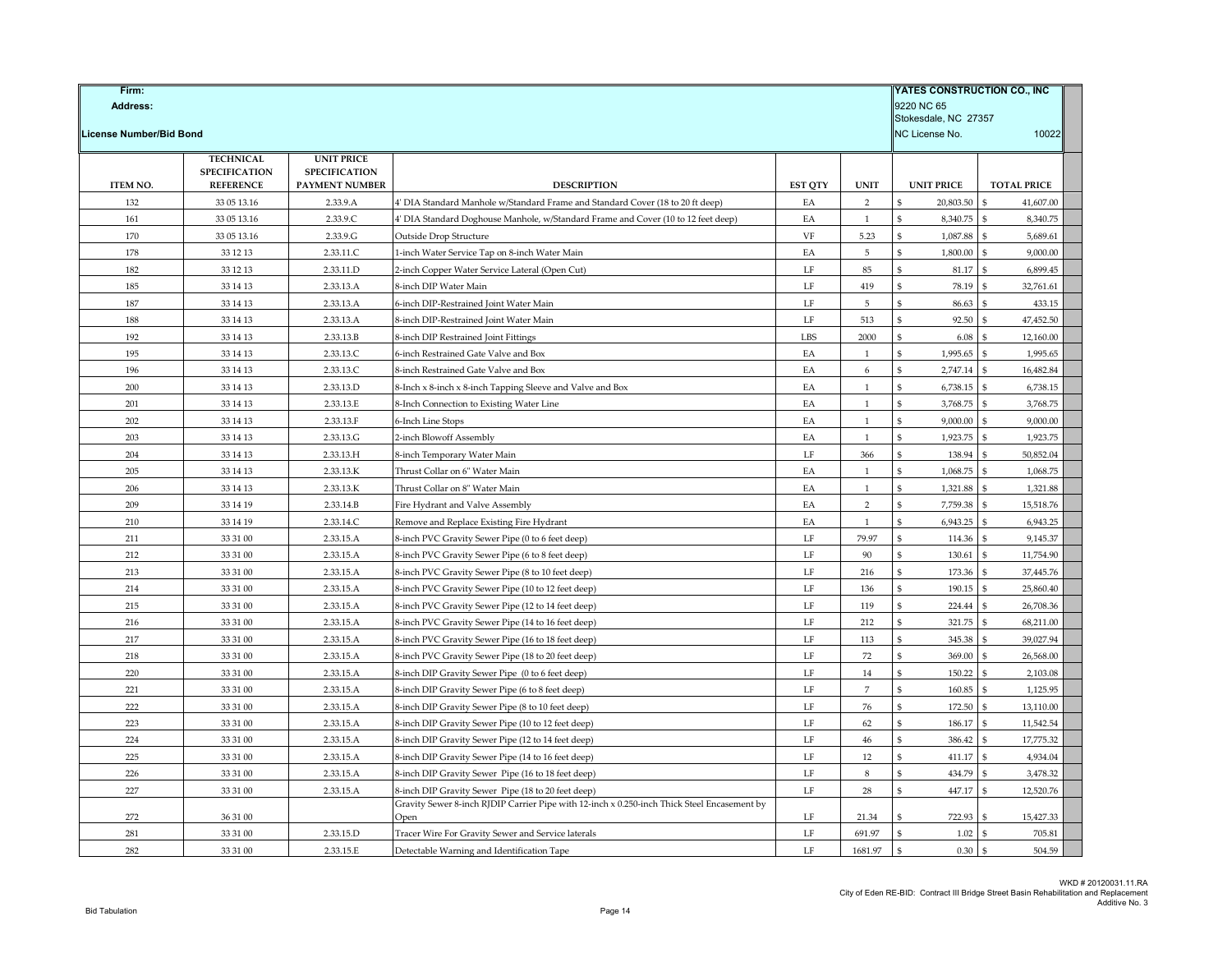| <b>License Number/Bid Bond</b><br><b>TECHNICAL</b><br><b>UNIT PRICE</b><br><b>SPECIFICATION</b><br><b>SPECIFICATION</b><br>ITEM NO.<br><b>REFERENCE</b><br>PAYMENT NUMBER<br><b>DESCRIPTION</b><br><b>EST QTY</b><br><b>UNIT</b><br><b>UNIT PRICE</b><br><b>TOTAL PRICE</b><br>132<br>2<br>20,803.50<br>41,607.00<br>33 05 13.16<br>2.33.9.A<br>EA<br>\$<br>ፍ<br>4' DIA Standard Manhole w/Standard Frame and Standard Cover (18 to 20 ft deep)<br>161<br>33 05 13.16<br>2.33.9.C<br>4' DIA Standard Doghouse Manhole, w/Standard Frame and Cover (10 to 12 feet deep)<br>EA<br>\$<br>8,340.75<br>8,340.75<br>1<br>170<br>33 05 13.16<br>2.33.9.G<br>VF<br>5.23<br>1,087.88<br>5,689.61<br>Outside Drop Structure<br>\$<br>5<br>1,800.00<br>178<br>33 12 13<br>2.33.11.C<br>1-inch Water Service Tap on 8-inch Water Main<br>EA<br>\$<br>\$<br>9,000.00<br>182<br>2.33.11.D<br>LF<br>85<br>81.17<br>$\mathbf{\hat{s}}$<br>6,899.45<br>33 12 13<br>2-inch Copper Water Service Lateral (Open Cut)<br>\$<br>\$<br>419<br>32,761.61<br>185<br>33 14 13<br>2.33.13.A<br>8-inch DIP Water Main<br>LF<br>78.19<br>187<br>2.33.13.A<br>$\rm LF$<br>$\overline{5}$<br>ፍ<br>86.63<br>¢<br>433.15<br>33 14 13<br>6-inch DIP-Restrained Joint Water Main<br>188<br>33 14 13<br>2.33.13.A<br>8-inch DIP-Restrained Joint Water Main<br>LF<br>513<br>\$<br>92.50<br>\$.<br>47,452.50<br>192<br>2.33.13.B<br>LBS<br>2000<br>6.08<br>12,160.00<br>33 14 13<br>8-inch DIP Restrained Joint Fittings<br>\$<br>\$.<br>\$<br>1,995.65<br>1,995.65<br>195<br>33 14 13<br>2.33.13.C<br>6-inch Restrained Gate Valve and Box<br>EA<br>$\mathbf{1}$<br>\$<br>2,747.14<br>196<br>33 14 13<br>2.33.13.C<br>8-inch Restrained Gate Valve and Box<br>EA<br>6<br>\$.<br>16,482.84<br>EA<br>6,738.15<br>6,738.15<br>200<br>33 14 13<br>2.33.13.D<br>8-Inch x 8-inch x 8-inch Tapping Sleeve and Valve and Box<br>$\mathbf{1}$<br>\$<br>\$<br>201<br>33 14 13<br>2.33.13.E<br>EA<br>$\mathbf{1}$<br>3,768.75<br>$\mathbb{S}$<br>3,768.75<br>8-Inch Connection to Existing Water Line<br>\$<br>9,000.00<br>202<br>2.33.13.F<br>EA<br>$\mathbf{1}$<br>\$<br>9,000.00<br>33 14 13<br>6-Inch Line Stops<br>203<br>2.33.13.G<br>EA<br>$\hat{\mathbf{S}}$<br>1,923.75<br>$\$$<br>1,923.75<br>33 14 13<br>2-inch Blowoff Assembly<br>$\mathbf{1}$<br>50,852.04<br>204<br>2.33.13.H<br>LF<br>366<br>138.94<br>$\mathbf{s}$<br>33 14 13<br>8-inch Temporary Water Main<br>\$<br>1,068.75<br>205<br>33 14 13<br>2.33.13.K<br>Thrust Collar on 6" Water Main<br>EA<br>$\mathbf{1}$<br>$\mathbf{\$}$<br>$\mathbf{s}$<br>1,068.75<br>EA<br>\$<br>1,321.88<br>\$<br>1,321.88<br>206<br>33 14 13<br>2.33.13.K<br>Thrust Collar on 8" Water Main<br>$\mathbf{1}$<br>7,759.38<br>15,518.76<br>209<br>33 14 19<br>2.33.14.B<br>Fire Hydrant and Valve Assembly<br>EA<br>$\sqrt{2}$<br>6,943.25<br>210<br>33 14 19<br>2.33.14.C<br>EA<br>\$<br>6,943.25<br>Remove and Replace Existing Fire Hydrant<br>1<br>\$<br>211<br>33 31 00<br>2.33.15.A<br>LF<br>79.97<br>114.36<br>$\mathbb{S}$<br>9,145.37<br>8-inch PVC Gravity Sewer Pipe (0 to 6 feet deep)<br>\$<br>$\rm LF$<br>90<br>11,754.90<br>212<br>33 31 00<br>2.33.15.A<br>ፍ<br>130.61<br>ፍ<br>8-inch PVC Gravity Sewer Pipe (6 to 8 feet deep)<br>213<br>33 31 00<br>2.33.15.A<br>8-inch PVC Gravity Sewer Pipe (8 to 10 feet deep)<br>LF<br>216<br>173.36<br>37,445.76<br>\$<br>214<br>LF<br>190.15<br>25,860.40<br>33 31 00<br>2.33.15.A<br>8-inch PVC Gravity Sewer Pipe (10 to 12 feet deep)<br>136<br>215<br>33 31 00<br>2.33.15.A<br>8-inch PVC Gravity Sewer Pipe (12 to 14 feet deep)<br>LF<br>119<br>\$<br>224.44<br>\$<br>26,708.36<br>$\rm LF$<br>212<br>321.75<br>$\mathbf{\hat{S}}$<br>216<br>33 31 00<br>2.33.15.A<br>ፍ<br>68,211.00<br>8-inch PVC Gravity Sewer Pipe (14 to 16 feet deep)<br>39,027.94<br>217<br>33 31 00<br>2.33.15.A<br>8-inch PVC Gravity Sewer Pipe (16 to 18 feet deep)<br>LF<br>113<br>345.38<br>$\rm LF$<br>$72\,$<br>369.00<br>26,568.00<br>218<br>33 31 00<br>2.33.15.A<br>ፍ<br>8-inch PVC Gravity Sewer Pipe (18 to 20 feet deep)<br>220<br>33 31 00<br>2.33.15.A<br>LF<br>14<br>150.22<br>2,103.08<br>8-inch DIP Gravity Sewer Pipe (0 to 6 feet deep)<br>\$<br>-S<br>$\overline{7}$<br>221<br>$\rm LF$<br>\$<br>160.85<br>1,125.95<br>33 31 00<br>2.33.15.A<br>8-inch DIP Gravity Sewer Pipe (6 to 8 feet deep)<br>ፍ<br>222<br>LF<br>76<br>\$<br>172.50<br>13,110.00<br>33 31 00<br>2.33.15.A<br>8-inch DIP Gravity Sewer Pipe (8 to 10 feet deep)<br>\$<br>223<br>33 31 00<br>2.33.15.A<br>LF<br>62<br>186.17<br>11,542.54<br>8-inch DIP Gravity Sewer Pipe (10 to 12 feet deep)<br>\$<br>224<br>17,775.32<br>33 31 00<br>2.33.15.A<br>8-inch DIP Gravity Sewer Pipe (12 to 14 feet deep)<br>LF<br>46<br>\$<br>386.42<br>\$<br>225<br>33 31 00<br>2.33.15.A<br>LF<br>12<br>411.17<br>$\mathbf{\hat{s}}$<br>4,934.04<br>8-inch DIP Gravity Sewer Pipe (14 to 16 feet deep)<br>\$<br>226<br>$\rm LF$<br>$\,$ 8 $\,$<br>\$<br>33 31 00<br>2.33.15.A<br>8-inch DIP Gravity Sewer Pipe (16 to 18 feet deep)<br>434.79<br>3,478.32<br>227<br>$\rm LF$<br>$28\,$<br>\$<br>447.17<br>12,520.76<br>33 31 00<br>2.33.15.A<br>8-inch DIP Gravity Sewer Pipe (18 to 20 feet deep)<br>\$<br>Gravity Sewer 8-inch RJDIP Carrier Pipe with 12-inch x 0.250-inch Thick Steel Encasement by<br>272<br>36 31 00<br>LF<br>722.93<br>15,427.33<br>21.34<br>Open<br>281<br>2.33.15.D<br>LF<br>691.97<br>1.02<br>33 31 00<br>Tracer Wire For Gravity Sewer and Service laterals<br>\$<br>\$<br>705.81<br>282<br>LF<br>1681.97<br>$\mathbf{s}$<br>0.30<br>$\mathbf{s}$<br>33 31 00<br>2.33.15.E<br>504.59<br>Detectable Warning and Identification Tape | Firm:<br>Address: |  |  |  |  |  |                |       |
|-----------------------------------------------------------------------------------------------------------------------------------------------------------------------------------------------------------------------------------------------------------------------------------------------------------------------------------------------------------------------------------------------------------------------------------------------------------------------------------------------------------------------------------------------------------------------------------------------------------------------------------------------------------------------------------------------------------------------------------------------------------------------------------------------------------------------------------------------------------------------------------------------------------------------------------------------------------------------------------------------------------------------------------------------------------------------------------------------------------------------------------------------------------------------------------------------------------------------------------------------------------------------------------------------------------------------------------------------------------------------------------------------------------------------------------------------------------------------------------------------------------------------------------------------------------------------------------------------------------------------------------------------------------------------------------------------------------------------------------------------------------------------------------------------------------------------------------------------------------------------------------------------------------------------------------------------------------------------------------------------------------------------------------------------------------------------------------------------------------------------------------------------------------------------------------------------------------------------------------------------------------------------------------------------------------------------------------------------------------------------------------------------------------------------------------------------------------------------------------------------------------------------------------------------------------------------------------------------------------------------------------------------------------------------------------------------------------------------------------------------------------------------------------------------------------------------------------------------------------------------------------------------------------------------------------------------------------------------------------------------------------------------------------------------------------------------------------------------------------------------------------------------------------------------------------------------------------------------------------------------------------------------------------------------------------------------------------------------------------------------------------------------------------------------------------------------------------------------------------------------------------------------------------------------------------------------------------------------------------------------------------------------------------------------------------------------------------------------------------------------------------------------------------------------------------------------------------------------------------------------------------------------------------------------------------------------------------------------------------------------------------------------------------------------------------------------------------------------------------------------------------------------------------------------------------------------------------------------------------------------------------------------------------------------------------------------------------------------------------------------------------------------------------------------------------------------------------------------------------------------------------------------------------------------------------------------------------------------------------------------------------------------------------------------------------------------------------------------------------------------------------------------------------------------------------------------------------------------------------------------------------------------------------------------------------------------------------------------------------------------------------------------------------------------------------------------------------------------------------------------------------------------------------------------------------------------------------------------------------------------------------------------------------------------------------------------------------------------------------------------------------------------------------------------------------------------------------------------------------------------------------------------------------------------------------------------------------------------------------------------------------------------------------------------------------|-------------------|--|--|--|--|--|----------------|-------|
|                                                                                                                                                                                                                                                                                                                                                                                                                                                                                                                                                                                                                                                                                                                                                                                                                                                                                                                                                                                                                                                                                                                                                                                                                                                                                                                                                                                                                                                                                                                                                                                                                                                                                                                                                                                                                                                                                                                                                                                                                                                                                                                                                                                                                                                                                                                                                                                                                                                                                                                                                                                                                                                                                                                                                                                                                                                                                                                                                                                                                                                                                                                                                                                                                                                                                                                                                                                                                                                                                                                                                                                                                                                                                                                                                                                                                                                                                                                                                                                                                                                                                                                                                                                                                                                                                                                                                                                                                                                                                                                                                                                                                                                                                                                                                                                                                                                                                                                                                                                                                                                                                                                                                                                                                                                                                                                                                                                                                                                                                                                                                                                                                                                                                   |                   |  |  |  |  |  | NC License No. | 10022 |
|                                                                                                                                                                                                                                                                                                                                                                                                                                                                                                                                                                                                                                                                                                                                                                                                                                                                                                                                                                                                                                                                                                                                                                                                                                                                                                                                                                                                                                                                                                                                                                                                                                                                                                                                                                                                                                                                                                                                                                                                                                                                                                                                                                                                                                                                                                                                                                                                                                                                                                                                                                                                                                                                                                                                                                                                                                                                                                                                                                                                                                                                                                                                                                                                                                                                                                                                                                                                                                                                                                                                                                                                                                                                                                                                                                                                                                                                                                                                                                                                                                                                                                                                                                                                                                                                                                                                                                                                                                                                                                                                                                                                                                                                                                                                                                                                                                                                                                                                                                                                                                                                                                                                                                                                                                                                                                                                                                                                                                                                                                                                                                                                                                                                                   |                   |  |  |  |  |  |                |       |
|                                                                                                                                                                                                                                                                                                                                                                                                                                                                                                                                                                                                                                                                                                                                                                                                                                                                                                                                                                                                                                                                                                                                                                                                                                                                                                                                                                                                                                                                                                                                                                                                                                                                                                                                                                                                                                                                                                                                                                                                                                                                                                                                                                                                                                                                                                                                                                                                                                                                                                                                                                                                                                                                                                                                                                                                                                                                                                                                                                                                                                                                                                                                                                                                                                                                                                                                                                                                                                                                                                                                                                                                                                                                                                                                                                                                                                                                                                                                                                                                                                                                                                                                                                                                                                                                                                                                                                                                                                                                                                                                                                                                                                                                                                                                                                                                                                                                                                                                                                                                                                                                                                                                                                                                                                                                                                                                                                                                                                                                                                                                                                                                                                                                                   |                   |  |  |  |  |  |                |       |
|                                                                                                                                                                                                                                                                                                                                                                                                                                                                                                                                                                                                                                                                                                                                                                                                                                                                                                                                                                                                                                                                                                                                                                                                                                                                                                                                                                                                                                                                                                                                                                                                                                                                                                                                                                                                                                                                                                                                                                                                                                                                                                                                                                                                                                                                                                                                                                                                                                                                                                                                                                                                                                                                                                                                                                                                                                                                                                                                                                                                                                                                                                                                                                                                                                                                                                                                                                                                                                                                                                                                                                                                                                                                                                                                                                                                                                                                                                                                                                                                                                                                                                                                                                                                                                                                                                                                                                                                                                                                                                                                                                                                                                                                                                                                                                                                                                                                                                                                                                                                                                                                                                                                                                                                                                                                                                                                                                                                                                                                                                                                                                                                                                                                                   |                   |  |  |  |  |  |                |       |
|                                                                                                                                                                                                                                                                                                                                                                                                                                                                                                                                                                                                                                                                                                                                                                                                                                                                                                                                                                                                                                                                                                                                                                                                                                                                                                                                                                                                                                                                                                                                                                                                                                                                                                                                                                                                                                                                                                                                                                                                                                                                                                                                                                                                                                                                                                                                                                                                                                                                                                                                                                                                                                                                                                                                                                                                                                                                                                                                                                                                                                                                                                                                                                                                                                                                                                                                                                                                                                                                                                                                                                                                                                                                                                                                                                                                                                                                                                                                                                                                                                                                                                                                                                                                                                                                                                                                                                                                                                                                                                                                                                                                                                                                                                                                                                                                                                                                                                                                                                                                                                                                                                                                                                                                                                                                                                                                                                                                                                                                                                                                                                                                                                                                                   |                   |  |  |  |  |  |                |       |
|                                                                                                                                                                                                                                                                                                                                                                                                                                                                                                                                                                                                                                                                                                                                                                                                                                                                                                                                                                                                                                                                                                                                                                                                                                                                                                                                                                                                                                                                                                                                                                                                                                                                                                                                                                                                                                                                                                                                                                                                                                                                                                                                                                                                                                                                                                                                                                                                                                                                                                                                                                                                                                                                                                                                                                                                                                                                                                                                                                                                                                                                                                                                                                                                                                                                                                                                                                                                                                                                                                                                                                                                                                                                                                                                                                                                                                                                                                                                                                                                                                                                                                                                                                                                                                                                                                                                                                                                                                                                                                                                                                                                                                                                                                                                                                                                                                                                                                                                                                                                                                                                                                                                                                                                                                                                                                                                                                                                                                                                                                                                                                                                                                                                                   |                   |  |  |  |  |  |                |       |
|                                                                                                                                                                                                                                                                                                                                                                                                                                                                                                                                                                                                                                                                                                                                                                                                                                                                                                                                                                                                                                                                                                                                                                                                                                                                                                                                                                                                                                                                                                                                                                                                                                                                                                                                                                                                                                                                                                                                                                                                                                                                                                                                                                                                                                                                                                                                                                                                                                                                                                                                                                                                                                                                                                                                                                                                                                                                                                                                                                                                                                                                                                                                                                                                                                                                                                                                                                                                                                                                                                                                                                                                                                                                                                                                                                                                                                                                                                                                                                                                                                                                                                                                                                                                                                                                                                                                                                                                                                                                                                                                                                                                                                                                                                                                                                                                                                                                                                                                                                                                                                                                                                                                                                                                                                                                                                                                                                                                                                                                                                                                                                                                                                                                                   |                   |  |  |  |  |  |                |       |
|                                                                                                                                                                                                                                                                                                                                                                                                                                                                                                                                                                                                                                                                                                                                                                                                                                                                                                                                                                                                                                                                                                                                                                                                                                                                                                                                                                                                                                                                                                                                                                                                                                                                                                                                                                                                                                                                                                                                                                                                                                                                                                                                                                                                                                                                                                                                                                                                                                                                                                                                                                                                                                                                                                                                                                                                                                                                                                                                                                                                                                                                                                                                                                                                                                                                                                                                                                                                                                                                                                                                                                                                                                                                                                                                                                                                                                                                                                                                                                                                                                                                                                                                                                                                                                                                                                                                                                                                                                                                                                                                                                                                                                                                                                                                                                                                                                                                                                                                                                                                                                                                                                                                                                                                                                                                                                                                                                                                                                                                                                                                                                                                                                                                                   |                   |  |  |  |  |  |                |       |
|                                                                                                                                                                                                                                                                                                                                                                                                                                                                                                                                                                                                                                                                                                                                                                                                                                                                                                                                                                                                                                                                                                                                                                                                                                                                                                                                                                                                                                                                                                                                                                                                                                                                                                                                                                                                                                                                                                                                                                                                                                                                                                                                                                                                                                                                                                                                                                                                                                                                                                                                                                                                                                                                                                                                                                                                                                                                                                                                                                                                                                                                                                                                                                                                                                                                                                                                                                                                                                                                                                                                                                                                                                                                                                                                                                                                                                                                                                                                                                                                                                                                                                                                                                                                                                                                                                                                                                                                                                                                                                                                                                                                                                                                                                                                                                                                                                                                                                                                                                                                                                                                                                                                                                                                                                                                                                                                                                                                                                                                                                                                                                                                                                                                                   |                   |  |  |  |  |  |                |       |
|                                                                                                                                                                                                                                                                                                                                                                                                                                                                                                                                                                                                                                                                                                                                                                                                                                                                                                                                                                                                                                                                                                                                                                                                                                                                                                                                                                                                                                                                                                                                                                                                                                                                                                                                                                                                                                                                                                                                                                                                                                                                                                                                                                                                                                                                                                                                                                                                                                                                                                                                                                                                                                                                                                                                                                                                                                                                                                                                                                                                                                                                                                                                                                                                                                                                                                                                                                                                                                                                                                                                                                                                                                                                                                                                                                                                                                                                                                                                                                                                                                                                                                                                                                                                                                                                                                                                                                                                                                                                                                                                                                                                                                                                                                                                                                                                                                                                                                                                                                                                                                                                                                                                                                                                                                                                                                                                                                                                                                                                                                                                                                                                                                                                                   |                   |  |  |  |  |  |                |       |
|                                                                                                                                                                                                                                                                                                                                                                                                                                                                                                                                                                                                                                                                                                                                                                                                                                                                                                                                                                                                                                                                                                                                                                                                                                                                                                                                                                                                                                                                                                                                                                                                                                                                                                                                                                                                                                                                                                                                                                                                                                                                                                                                                                                                                                                                                                                                                                                                                                                                                                                                                                                                                                                                                                                                                                                                                                                                                                                                                                                                                                                                                                                                                                                                                                                                                                                                                                                                                                                                                                                                                                                                                                                                                                                                                                                                                                                                                                                                                                                                                                                                                                                                                                                                                                                                                                                                                                                                                                                                                                                                                                                                                                                                                                                                                                                                                                                                                                                                                                                                                                                                                                                                                                                                                                                                                                                                                                                                                                                                                                                                                                                                                                                                                   |                   |  |  |  |  |  |                |       |
|                                                                                                                                                                                                                                                                                                                                                                                                                                                                                                                                                                                                                                                                                                                                                                                                                                                                                                                                                                                                                                                                                                                                                                                                                                                                                                                                                                                                                                                                                                                                                                                                                                                                                                                                                                                                                                                                                                                                                                                                                                                                                                                                                                                                                                                                                                                                                                                                                                                                                                                                                                                                                                                                                                                                                                                                                                                                                                                                                                                                                                                                                                                                                                                                                                                                                                                                                                                                                                                                                                                                                                                                                                                                                                                                                                                                                                                                                                                                                                                                                                                                                                                                                                                                                                                                                                                                                                                                                                                                                                                                                                                                                                                                                                                                                                                                                                                                                                                                                                                                                                                                                                                                                                                                                                                                                                                                                                                                                                                                                                                                                                                                                                                                                   |                   |  |  |  |  |  |                |       |
|                                                                                                                                                                                                                                                                                                                                                                                                                                                                                                                                                                                                                                                                                                                                                                                                                                                                                                                                                                                                                                                                                                                                                                                                                                                                                                                                                                                                                                                                                                                                                                                                                                                                                                                                                                                                                                                                                                                                                                                                                                                                                                                                                                                                                                                                                                                                                                                                                                                                                                                                                                                                                                                                                                                                                                                                                                                                                                                                                                                                                                                                                                                                                                                                                                                                                                                                                                                                                                                                                                                                                                                                                                                                                                                                                                                                                                                                                                                                                                                                                                                                                                                                                                                                                                                                                                                                                                                                                                                                                                                                                                                                                                                                                                                                                                                                                                                                                                                                                                                                                                                                                                                                                                                                                                                                                                                                                                                                                                                                                                                                                                                                                                                                                   |                   |  |  |  |  |  |                |       |
|                                                                                                                                                                                                                                                                                                                                                                                                                                                                                                                                                                                                                                                                                                                                                                                                                                                                                                                                                                                                                                                                                                                                                                                                                                                                                                                                                                                                                                                                                                                                                                                                                                                                                                                                                                                                                                                                                                                                                                                                                                                                                                                                                                                                                                                                                                                                                                                                                                                                                                                                                                                                                                                                                                                                                                                                                                                                                                                                                                                                                                                                                                                                                                                                                                                                                                                                                                                                                                                                                                                                                                                                                                                                                                                                                                                                                                                                                                                                                                                                                                                                                                                                                                                                                                                                                                                                                                                                                                                                                                                                                                                                                                                                                                                                                                                                                                                                                                                                                                                                                                                                                                                                                                                                                                                                                                                                                                                                                                                                                                                                                                                                                                                                                   |                   |  |  |  |  |  |                |       |
|                                                                                                                                                                                                                                                                                                                                                                                                                                                                                                                                                                                                                                                                                                                                                                                                                                                                                                                                                                                                                                                                                                                                                                                                                                                                                                                                                                                                                                                                                                                                                                                                                                                                                                                                                                                                                                                                                                                                                                                                                                                                                                                                                                                                                                                                                                                                                                                                                                                                                                                                                                                                                                                                                                                                                                                                                                                                                                                                                                                                                                                                                                                                                                                                                                                                                                                                                                                                                                                                                                                                                                                                                                                                                                                                                                                                                                                                                                                                                                                                                                                                                                                                                                                                                                                                                                                                                                                                                                                                                                                                                                                                                                                                                                                                                                                                                                                                                                                                                                                                                                                                                                                                                                                                                                                                                                                                                                                                                                                                                                                                                                                                                                                                                   |                   |  |  |  |  |  |                |       |
|                                                                                                                                                                                                                                                                                                                                                                                                                                                                                                                                                                                                                                                                                                                                                                                                                                                                                                                                                                                                                                                                                                                                                                                                                                                                                                                                                                                                                                                                                                                                                                                                                                                                                                                                                                                                                                                                                                                                                                                                                                                                                                                                                                                                                                                                                                                                                                                                                                                                                                                                                                                                                                                                                                                                                                                                                                                                                                                                                                                                                                                                                                                                                                                                                                                                                                                                                                                                                                                                                                                                                                                                                                                                                                                                                                                                                                                                                                                                                                                                                                                                                                                                                                                                                                                                                                                                                                                                                                                                                                                                                                                                                                                                                                                                                                                                                                                                                                                                                                                                                                                                                                                                                                                                                                                                                                                                                                                                                                                                                                                                                                                                                                                                                   |                   |  |  |  |  |  |                |       |
|                                                                                                                                                                                                                                                                                                                                                                                                                                                                                                                                                                                                                                                                                                                                                                                                                                                                                                                                                                                                                                                                                                                                                                                                                                                                                                                                                                                                                                                                                                                                                                                                                                                                                                                                                                                                                                                                                                                                                                                                                                                                                                                                                                                                                                                                                                                                                                                                                                                                                                                                                                                                                                                                                                                                                                                                                                                                                                                                                                                                                                                                                                                                                                                                                                                                                                                                                                                                                                                                                                                                                                                                                                                                                                                                                                                                                                                                                                                                                                                                                                                                                                                                                                                                                                                                                                                                                                                                                                                                                                                                                                                                                                                                                                                                                                                                                                                                                                                                                                                                                                                                                                                                                                                                                                                                                                                                                                                                                                                                                                                                                                                                                                                                                   |                   |  |  |  |  |  |                |       |
|                                                                                                                                                                                                                                                                                                                                                                                                                                                                                                                                                                                                                                                                                                                                                                                                                                                                                                                                                                                                                                                                                                                                                                                                                                                                                                                                                                                                                                                                                                                                                                                                                                                                                                                                                                                                                                                                                                                                                                                                                                                                                                                                                                                                                                                                                                                                                                                                                                                                                                                                                                                                                                                                                                                                                                                                                                                                                                                                                                                                                                                                                                                                                                                                                                                                                                                                                                                                                                                                                                                                                                                                                                                                                                                                                                                                                                                                                                                                                                                                                                                                                                                                                                                                                                                                                                                                                                                                                                                                                                                                                                                                                                                                                                                                                                                                                                                                                                                                                                                                                                                                                                                                                                                                                                                                                                                                                                                                                                                                                                                                                                                                                                                                                   |                   |  |  |  |  |  |                |       |
|                                                                                                                                                                                                                                                                                                                                                                                                                                                                                                                                                                                                                                                                                                                                                                                                                                                                                                                                                                                                                                                                                                                                                                                                                                                                                                                                                                                                                                                                                                                                                                                                                                                                                                                                                                                                                                                                                                                                                                                                                                                                                                                                                                                                                                                                                                                                                                                                                                                                                                                                                                                                                                                                                                                                                                                                                                                                                                                                                                                                                                                                                                                                                                                                                                                                                                                                                                                                                                                                                                                                                                                                                                                                                                                                                                                                                                                                                                                                                                                                                                                                                                                                                                                                                                                                                                                                                                                                                                                                                                                                                                                                                                                                                                                                                                                                                                                                                                                                                                                                                                                                                                                                                                                                                                                                                                                                                                                                                                                                                                                                                                                                                                                                                   |                   |  |  |  |  |  |                |       |
|                                                                                                                                                                                                                                                                                                                                                                                                                                                                                                                                                                                                                                                                                                                                                                                                                                                                                                                                                                                                                                                                                                                                                                                                                                                                                                                                                                                                                                                                                                                                                                                                                                                                                                                                                                                                                                                                                                                                                                                                                                                                                                                                                                                                                                                                                                                                                                                                                                                                                                                                                                                                                                                                                                                                                                                                                                                                                                                                                                                                                                                                                                                                                                                                                                                                                                                                                                                                                                                                                                                                                                                                                                                                                                                                                                                                                                                                                                                                                                                                                                                                                                                                                                                                                                                                                                                                                                                                                                                                                                                                                                                                                                                                                                                                                                                                                                                                                                                                                                                                                                                                                                                                                                                                                                                                                                                                                                                                                                                                                                                                                                                                                                                                                   |                   |  |  |  |  |  |                |       |
|                                                                                                                                                                                                                                                                                                                                                                                                                                                                                                                                                                                                                                                                                                                                                                                                                                                                                                                                                                                                                                                                                                                                                                                                                                                                                                                                                                                                                                                                                                                                                                                                                                                                                                                                                                                                                                                                                                                                                                                                                                                                                                                                                                                                                                                                                                                                                                                                                                                                                                                                                                                                                                                                                                                                                                                                                                                                                                                                                                                                                                                                                                                                                                                                                                                                                                                                                                                                                                                                                                                                                                                                                                                                                                                                                                                                                                                                                                                                                                                                                                                                                                                                                                                                                                                                                                                                                                                                                                                                                                                                                                                                                                                                                                                                                                                                                                                                                                                                                                                                                                                                                                                                                                                                                                                                                                                                                                                                                                                                                                                                                                                                                                                                                   |                   |  |  |  |  |  |                |       |
|                                                                                                                                                                                                                                                                                                                                                                                                                                                                                                                                                                                                                                                                                                                                                                                                                                                                                                                                                                                                                                                                                                                                                                                                                                                                                                                                                                                                                                                                                                                                                                                                                                                                                                                                                                                                                                                                                                                                                                                                                                                                                                                                                                                                                                                                                                                                                                                                                                                                                                                                                                                                                                                                                                                                                                                                                                                                                                                                                                                                                                                                                                                                                                                                                                                                                                                                                                                                                                                                                                                                                                                                                                                                                                                                                                                                                                                                                                                                                                                                                                                                                                                                                                                                                                                                                                                                                                                                                                                                                                                                                                                                                                                                                                                                                                                                                                                                                                                                                                                                                                                                                                                                                                                                                                                                                                                                                                                                                                                                                                                                                                                                                                                                                   |                   |  |  |  |  |  |                |       |
|                                                                                                                                                                                                                                                                                                                                                                                                                                                                                                                                                                                                                                                                                                                                                                                                                                                                                                                                                                                                                                                                                                                                                                                                                                                                                                                                                                                                                                                                                                                                                                                                                                                                                                                                                                                                                                                                                                                                                                                                                                                                                                                                                                                                                                                                                                                                                                                                                                                                                                                                                                                                                                                                                                                                                                                                                                                                                                                                                                                                                                                                                                                                                                                                                                                                                                                                                                                                                                                                                                                                                                                                                                                                                                                                                                                                                                                                                                                                                                                                                                                                                                                                                                                                                                                                                                                                                                                                                                                                                                                                                                                                                                                                                                                                                                                                                                                                                                                                                                                                                                                                                                                                                                                                                                                                                                                                                                                                                                                                                                                                                                                                                                                                                   |                   |  |  |  |  |  |                |       |
|                                                                                                                                                                                                                                                                                                                                                                                                                                                                                                                                                                                                                                                                                                                                                                                                                                                                                                                                                                                                                                                                                                                                                                                                                                                                                                                                                                                                                                                                                                                                                                                                                                                                                                                                                                                                                                                                                                                                                                                                                                                                                                                                                                                                                                                                                                                                                                                                                                                                                                                                                                                                                                                                                                                                                                                                                                                                                                                                                                                                                                                                                                                                                                                                                                                                                                                                                                                                                                                                                                                                                                                                                                                                                                                                                                                                                                                                                                                                                                                                                                                                                                                                                                                                                                                                                                                                                                                                                                                                                                                                                                                                                                                                                                                                                                                                                                                                                                                                                                                                                                                                                                                                                                                                                                                                                                                                                                                                                                                                                                                                                                                                                                                                                   |                   |  |  |  |  |  |                |       |
|                                                                                                                                                                                                                                                                                                                                                                                                                                                                                                                                                                                                                                                                                                                                                                                                                                                                                                                                                                                                                                                                                                                                                                                                                                                                                                                                                                                                                                                                                                                                                                                                                                                                                                                                                                                                                                                                                                                                                                                                                                                                                                                                                                                                                                                                                                                                                                                                                                                                                                                                                                                                                                                                                                                                                                                                                                                                                                                                                                                                                                                                                                                                                                                                                                                                                                                                                                                                                                                                                                                                                                                                                                                                                                                                                                                                                                                                                                                                                                                                                                                                                                                                                                                                                                                                                                                                                                                                                                                                                                                                                                                                                                                                                                                                                                                                                                                                                                                                                                                                                                                                                                                                                                                                                                                                                                                                                                                                                                                                                                                                                                                                                                                                                   |                   |  |  |  |  |  |                |       |
|                                                                                                                                                                                                                                                                                                                                                                                                                                                                                                                                                                                                                                                                                                                                                                                                                                                                                                                                                                                                                                                                                                                                                                                                                                                                                                                                                                                                                                                                                                                                                                                                                                                                                                                                                                                                                                                                                                                                                                                                                                                                                                                                                                                                                                                                                                                                                                                                                                                                                                                                                                                                                                                                                                                                                                                                                                                                                                                                                                                                                                                                                                                                                                                                                                                                                                                                                                                                                                                                                                                                                                                                                                                                                                                                                                                                                                                                                                                                                                                                                                                                                                                                                                                                                                                                                                                                                                                                                                                                                                                                                                                                                                                                                                                                                                                                                                                                                                                                                                                                                                                                                                                                                                                                                                                                                                                                                                                                                                                                                                                                                                                                                                                                                   |                   |  |  |  |  |  |                |       |
|                                                                                                                                                                                                                                                                                                                                                                                                                                                                                                                                                                                                                                                                                                                                                                                                                                                                                                                                                                                                                                                                                                                                                                                                                                                                                                                                                                                                                                                                                                                                                                                                                                                                                                                                                                                                                                                                                                                                                                                                                                                                                                                                                                                                                                                                                                                                                                                                                                                                                                                                                                                                                                                                                                                                                                                                                                                                                                                                                                                                                                                                                                                                                                                                                                                                                                                                                                                                                                                                                                                                                                                                                                                                                                                                                                                                                                                                                                                                                                                                                                                                                                                                                                                                                                                                                                                                                                                                                                                                                                                                                                                                                                                                                                                                                                                                                                                                                                                                                                                                                                                                                                                                                                                                                                                                                                                                                                                                                                                                                                                                                                                                                                                                                   |                   |  |  |  |  |  |                |       |
|                                                                                                                                                                                                                                                                                                                                                                                                                                                                                                                                                                                                                                                                                                                                                                                                                                                                                                                                                                                                                                                                                                                                                                                                                                                                                                                                                                                                                                                                                                                                                                                                                                                                                                                                                                                                                                                                                                                                                                                                                                                                                                                                                                                                                                                                                                                                                                                                                                                                                                                                                                                                                                                                                                                                                                                                                                                                                                                                                                                                                                                                                                                                                                                                                                                                                                                                                                                                                                                                                                                                                                                                                                                                                                                                                                                                                                                                                                                                                                                                                                                                                                                                                                                                                                                                                                                                                                                                                                                                                                                                                                                                                                                                                                                                                                                                                                                                                                                                                                                                                                                                                                                                                                                                                                                                                                                                                                                                                                                                                                                                                                                                                                                                                   |                   |  |  |  |  |  |                |       |
|                                                                                                                                                                                                                                                                                                                                                                                                                                                                                                                                                                                                                                                                                                                                                                                                                                                                                                                                                                                                                                                                                                                                                                                                                                                                                                                                                                                                                                                                                                                                                                                                                                                                                                                                                                                                                                                                                                                                                                                                                                                                                                                                                                                                                                                                                                                                                                                                                                                                                                                                                                                                                                                                                                                                                                                                                                                                                                                                                                                                                                                                                                                                                                                                                                                                                                                                                                                                                                                                                                                                                                                                                                                                                                                                                                                                                                                                                                                                                                                                                                                                                                                                                                                                                                                                                                                                                                                                                                                                                                                                                                                                                                                                                                                                                                                                                                                                                                                                                                                                                                                                                                                                                                                                                                                                                                                                                                                                                                                                                                                                                                                                                                                                                   |                   |  |  |  |  |  |                |       |
|                                                                                                                                                                                                                                                                                                                                                                                                                                                                                                                                                                                                                                                                                                                                                                                                                                                                                                                                                                                                                                                                                                                                                                                                                                                                                                                                                                                                                                                                                                                                                                                                                                                                                                                                                                                                                                                                                                                                                                                                                                                                                                                                                                                                                                                                                                                                                                                                                                                                                                                                                                                                                                                                                                                                                                                                                                                                                                                                                                                                                                                                                                                                                                                                                                                                                                                                                                                                                                                                                                                                                                                                                                                                                                                                                                                                                                                                                                                                                                                                                                                                                                                                                                                                                                                                                                                                                                                                                                                                                                                                                                                                                                                                                                                                                                                                                                                                                                                                                                                                                                                                                                                                                                                                                                                                                                                                                                                                                                                                                                                                                                                                                                                                                   |                   |  |  |  |  |  |                |       |
|                                                                                                                                                                                                                                                                                                                                                                                                                                                                                                                                                                                                                                                                                                                                                                                                                                                                                                                                                                                                                                                                                                                                                                                                                                                                                                                                                                                                                                                                                                                                                                                                                                                                                                                                                                                                                                                                                                                                                                                                                                                                                                                                                                                                                                                                                                                                                                                                                                                                                                                                                                                                                                                                                                                                                                                                                                                                                                                                                                                                                                                                                                                                                                                                                                                                                                                                                                                                                                                                                                                                                                                                                                                                                                                                                                                                                                                                                                                                                                                                                                                                                                                                                                                                                                                                                                                                                                                                                                                                                                                                                                                                                                                                                                                                                                                                                                                                                                                                                                                                                                                                                                                                                                                                                                                                                                                                                                                                                                                                                                                                                                                                                                                                                   |                   |  |  |  |  |  |                |       |
|                                                                                                                                                                                                                                                                                                                                                                                                                                                                                                                                                                                                                                                                                                                                                                                                                                                                                                                                                                                                                                                                                                                                                                                                                                                                                                                                                                                                                                                                                                                                                                                                                                                                                                                                                                                                                                                                                                                                                                                                                                                                                                                                                                                                                                                                                                                                                                                                                                                                                                                                                                                                                                                                                                                                                                                                                                                                                                                                                                                                                                                                                                                                                                                                                                                                                                                                                                                                                                                                                                                                                                                                                                                                                                                                                                                                                                                                                                                                                                                                                                                                                                                                                                                                                                                                                                                                                                                                                                                                                                                                                                                                                                                                                                                                                                                                                                                                                                                                                                                                                                                                                                                                                                                                                                                                                                                                                                                                                                                                                                                                                                                                                                                                                   |                   |  |  |  |  |  |                |       |
|                                                                                                                                                                                                                                                                                                                                                                                                                                                                                                                                                                                                                                                                                                                                                                                                                                                                                                                                                                                                                                                                                                                                                                                                                                                                                                                                                                                                                                                                                                                                                                                                                                                                                                                                                                                                                                                                                                                                                                                                                                                                                                                                                                                                                                                                                                                                                                                                                                                                                                                                                                                                                                                                                                                                                                                                                                                                                                                                                                                                                                                                                                                                                                                                                                                                                                                                                                                                                                                                                                                                                                                                                                                                                                                                                                                                                                                                                                                                                                                                                                                                                                                                                                                                                                                                                                                                                                                                                                                                                                                                                                                                                                                                                                                                                                                                                                                                                                                                                                                                                                                                                                                                                                                                                                                                                                                                                                                                                                                                                                                                                                                                                                                                                   |                   |  |  |  |  |  |                |       |
|                                                                                                                                                                                                                                                                                                                                                                                                                                                                                                                                                                                                                                                                                                                                                                                                                                                                                                                                                                                                                                                                                                                                                                                                                                                                                                                                                                                                                                                                                                                                                                                                                                                                                                                                                                                                                                                                                                                                                                                                                                                                                                                                                                                                                                                                                                                                                                                                                                                                                                                                                                                                                                                                                                                                                                                                                                                                                                                                                                                                                                                                                                                                                                                                                                                                                                                                                                                                                                                                                                                                                                                                                                                                                                                                                                                                                                                                                                                                                                                                                                                                                                                                                                                                                                                                                                                                                                                                                                                                                                                                                                                                                                                                                                                                                                                                                                                                                                                                                                                                                                                                                                                                                                                                                                                                                                                                                                                                                                                                                                                                                                                                                                                                                   |                   |  |  |  |  |  |                |       |
|                                                                                                                                                                                                                                                                                                                                                                                                                                                                                                                                                                                                                                                                                                                                                                                                                                                                                                                                                                                                                                                                                                                                                                                                                                                                                                                                                                                                                                                                                                                                                                                                                                                                                                                                                                                                                                                                                                                                                                                                                                                                                                                                                                                                                                                                                                                                                                                                                                                                                                                                                                                                                                                                                                                                                                                                                                                                                                                                                                                                                                                                                                                                                                                                                                                                                                                                                                                                                                                                                                                                                                                                                                                                                                                                                                                                                                                                                                                                                                                                                                                                                                                                                                                                                                                                                                                                                                                                                                                                                                                                                                                                                                                                                                                                                                                                                                                                                                                                                                                                                                                                                                                                                                                                                                                                                                                                                                                                                                                                                                                                                                                                                                                                                   |                   |  |  |  |  |  |                |       |
|                                                                                                                                                                                                                                                                                                                                                                                                                                                                                                                                                                                                                                                                                                                                                                                                                                                                                                                                                                                                                                                                                                                                                                                                                                                                                                                                                                                                                                                                                                                                                                                                                                                                                                                                                                                                                                                                                                                                                                                                                                                                                                                                                                                                                                                                                                                                                                                                                                                                                                                                                                                                                                                                                                                                                                                                                                                                                                                                                                                                                                                                                                                                                                                                                                                                                                                                                                                                                                                                                                                                                                                                                                                                                                                                                                                                                                                                                                                                                                                                                                                                                                                                                                                                                                                                                                                                                                                                                                                                                                                                                                                                                                                                                                                                                                                                                                                                                                                                                                                                                                                                                                                                                                                                                                                                                                                                                                                                                                                                                                                                                                                                                                                                                   |                   |  |  |  |  |  |                |       |
|                                                                                                                                                                                                                                                                                                                                                                                                                                                                                                                                                                                                                                                                                                                                                                                                                                                                                                                                                                                                                                                                                                                                                                                                                                                                                                                                                                                                                                                                                                                                                                                                                                                                                                                                                                                                                                                                                                                                                                                                                                                                                                                                                                                                                                                                                                                                                                                                                                                                                                                                                                                                                                                                                                                                                                                                                                                                                                                                                                                                                                                                                                                                                                                                                                                                                                                                                                                                                                                                                                                                                                                                                                                                                                                                                                                                                                                                                                                                                                                                                                                                                                                                                                                                                                                                                                                                                                                                                                                                                                                                                                                                                                                                                                                                                                                                                                                                                                                                                                                                                                                                                                                                                                                                                                                                                                                                                                                                                                                                                                                                                                                                                                                                                   |                   |  |  |  |  |  |                |       |
|                                                                                                                                                                                                                                                                                                                                                                                                                                                                                                                                                                                                                                                                                                                                                                                                                                                                                                                                                                                                                                                                                                                                                                                                                                                                                                                                                                                                                                                                                                                                                                                                                                                                                                                                                                                                                                                                                                                                                                                                                                                                                                                                                                                                                                                                                                                                                                                                                                                                                                                                                                                                                                                                                                                                                                                                                                                                                                                                                                                                                                                                                                                                                                                                                                                                                                                                                                                                                                                                                                                                                                                                                                                                                                                                                                                                                                                                                                                                                                                                                                                                                                                                                                                                                                                                                                                                                                                                                                                                                                                                                                                                                                                                                                                                                                                                                                                                                                                                                                                                                                                                                                                                                                                                                                                                                                                                                                                                                                                                                                                                                                                                                                                                                   |                   |  |  |  |  |  |                |       |
|                                                                                                                                                                                                                                                                                                                                                                                                                                                                                                                                                                                                                                                                                                                                                                                                                                                                                                                                                                                                                                                                                                                                                                                                                                                                                                                                                                                                                                                                                                                                                                                                                                                                                                                                                                                                                                                                                                                                                                                                                                                                                                                                                                                                                                                                                                                                                                                                                                                                                                                                                                                                                                                                                                                                                                                                                                                                                                                                                                                                                                                                                                                                                                                                                                                                                                                                                                                                                                                                                                                                                                                                                                                                                                                                                                                                                                                                                                                                                                                                                                                                                                                                                                                                                                                                                                                                                                                                                                                                                                                                                                                                                                                                                                                                                                                                                                                                                                                                                                                                                                                                                                                                                                                                                                                                                                                                                                                                                                                                                                                                                                                                                                                                                   |                   |  |  |  |  |  |                |       |
|                                                                                                                                                                                                                                                                                                                                                                                                                                                                                                                                                                                                                                                                                                                                                                                                                                                                                                                                                                                                                                                                                                                                                                                                                                                                                                                                                                                                                                                                                                                                                                                                                                                                                                                                                                                                                                                                                                                                                                                                                                                                                                                                                                                                                                                                                                                                                                                                                                                                                                                                                                                                                                                                                                                                                                                                                                                                                                                                                                                                                                                                                                                                                                                                                                                                                                                                                                                                                                                                                                                                                                                                                                                                                                                                                                                                                                                                                                                                                                                                                                                                                                                                                                                                                                                                                                                                                                                                                                                                                                                                                                                                                                                                                                                                                                                                                                                                                                                                                                                                                                                                                                                                                                                                                                                                                                                                                                                                                                                                                                                                                                                                                                                                                   |                   |  |  |  |  |  |                |       |
|                                                                                                                                                                                                                                                                                                                                                                                                                                                                                                                                                                                                                                                                                                                                                                                                                                                                                                                                                                                                                                                                                                                                                                                                                                                                                                                                                                                                                                                                                                                                                                                                                                                                                                                                                                                                                                                                                                                                                                                                                                                                                                                                                                                                                                                                                                                                                                                                                                                                                                                                                                                                                                                                                                                                                                                                                                                                                                                                                                                                                                                                                                                                                                                                                                                                                                                                                                                                                                                                                                                                                                                                                                                                                                                                                                                                                                                                                                                                                                                                                                                                                                                                                                                                                                                                                                                                                                                                                                                                                                                                                                                                                                                                                                                                                                                                                                                                                                                                                                                                                                                                                                                                                                                                                                                                                                                                                                                                                                                                                                                                                                                                                                                                                   |                   |  |  |  |  |  |                |       |
|                                                                                                                                                                                                                                                                                                                                                                                                                                                                                                                                                                                                                                                                                                                                                                                                                                                                                                                                                                                                                                                                                                                                                                                                                                                                                                                                                                                                                                                                                                                                                                                                                                                                                                                                                                                                                                                                                                                                                                                                                                                                                                                                                                                                                                                                                                                                                                                                                                                                                                                                                                                                                                                                                                                                                                                                                                                                                                                                                                                                                                                                                                                                                                                                                                                                                                                                                                                                                                                                                                                                                                                                                                                                                                                                                                                                                                                                                                                                                                                                                                                                                                                                                                                                                                                                                                                                                                                                                                                                                                                                                                                                                                                                                                                                                                                                                                                                                                                                                                                                                                                                                                                                                                                                                                                                                                                                                                                                                                                                                                                                                                                                                                                                                   |                   |  |  |  |  |  |                |       |